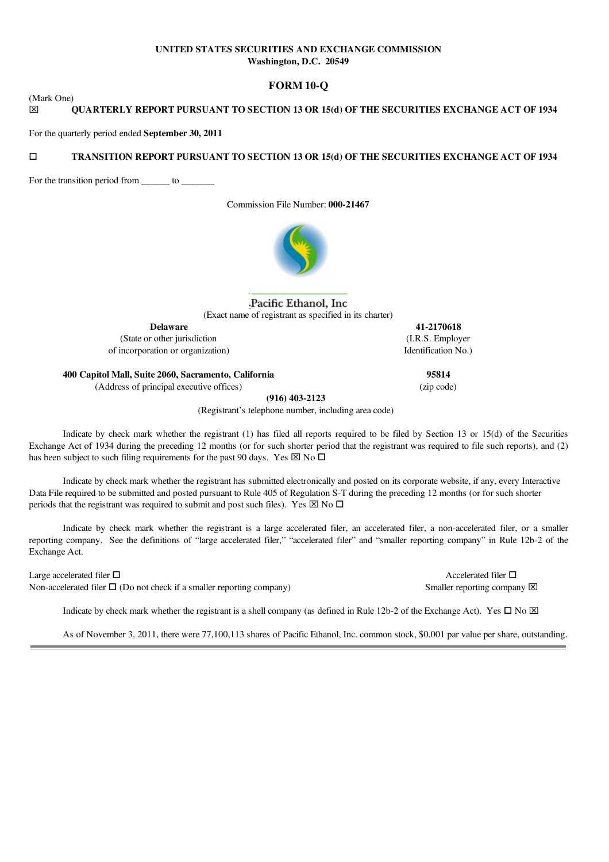# UNITED STATES SECURITIES AND EXCHANGE COMMISSION Washington, D.C. 20549

FORM 10-Q

(Mark One) x QUARTERLY REPORT PURSUANT TO SECTION 13 OR 15(d) OF THE SECURITIES EXCHANGE ACT OF 1934

For the quarterly period ended September 30, 2011

### o TRANSITION REPORT PURSUANT TO SECTION 13 OR 15(d) OF THE SECURITIES EXCHANGE ACT OF 1934

For the transition period from \_\_\_\_\_\_\_\_ to \_

Commission File Number: 000-21467



Pacific Ethanol, Inc. (Exact name of registrant as specified in its charter)

Delaware

(State or other jurisdiction of incorporation or organization)

400 Capitol Mall, Suite 2060, Sacramento, California

(Address of principal executive offices)

(916) 403-2123

(Registrant's telephone number, including area code)

Indicate by check mark whether the registrant (1) has filed all reports required to be filed by Section 13 or 15(d) of the Securities Exchange Act of 1934 during the preceding 12 months (or for such shorter period that the registrant was required to file such reports), and (2) has been subject to such filing requirements for the past 90 days. Yes  $\boxtimes$  No  $\Box$ 

Indicate by check mark whether the registrant has submitted electronically and posted on its corporate website, if any, every Interactive Data File required to be submitted and posted pursuant to Rule 405 of Regulation S-T during the preceding 12 months (or for such shorter periods that the registrant was required to submit and post such files). Yes  $\boxtimes$  No  $\square$ 

Indicate by check mark whether the registrant is a large accelerated filer, an accelerated filer, a non-accelerated filer, or a smaller reporting company. See the definitions of "large accelerated filer," "accelerated filer" and "smaller reporting company" in Rule 12b-2 of the Exchange Act.

Large accelerated filer  $\Box$  Accelerated filer  $\Box$ 

Non-accelerated filer  $\square$  (Do not check if a smaller reporting company) Smaller reporting company  $\square$ 

Indicate by check mark whether the registrant is a shell company (as defined in Rule 12b-2 of the Exchange Act). Yes  $\Box$  No  $\boxtimes$ 

As of November 3, 2011, there were 77,100,113 shares of Pacific Ethanol, Inc. common stock, \$0.001 par value per share, outstanding.

41-2170618 (I.R.S. Employer Identification No.)

> 95814 (zip code)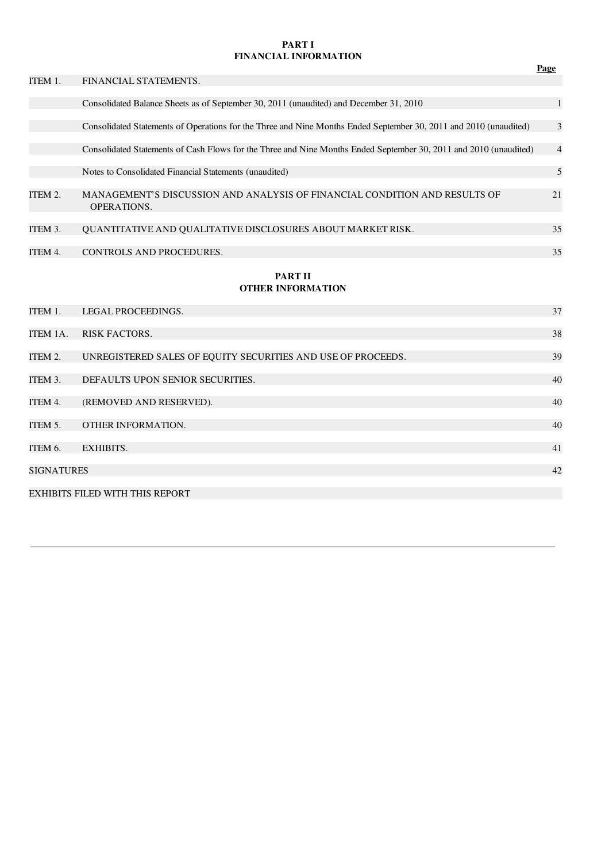# PART I FINANCIAL INFORMATION

|          |                                                                                                                   | Page           |
|----------|-------------------------------------------------------------------------------------------------------------------|----------------|
| ITEM 1.  | FINANCIAL STATEMENTS.                                                                                             |                |
|          | Consolidated Balance Sheets as of September 30, 2011 (unaudited) and December 31, 2010                            | $\mathbf{1}$   |
|          | Consolidated Statements of Operations for the Three and Nine Months Ended September 30, 2011 and 2010 (unaudited) | 3              |
|          | Consolidated Statements of Cash Flows for the Three and Nine Months Ended September 30, 2011 and 2010 (unaudited) | $\overline{4}$ |
|          | Notes to Consolidated Financial Statements (unaudited)                                                            | 5              |
| ITEM 2.  | MANAGEMENT'S DISCUSSION AND ANALYSIS OF FINANCIAL CONDITION AND RESULTS OF<br>OPERATIONS.                         | 21             |
| ITEM 3.  | QUANTITATIVE AND QUALITATIVE DISCLOSURES ABOUT MARKET RISK.                                                       | 35             |
| ITEM 4.  | CONTROLS AND PROCEDURES.                                                                                          | 35             |
|          | <b>PART II</b><br><b>OTHER INFORMATION</b>                                                                        |                |
| ITEM 1.  | LEGAL PROCEEDINGS.                                                                                                | 37             |
| ITEM 1A. | <b>RISK FACTORS.</b>                                                                                              | 38             |
| ITEM 2.  | UNREGISTERED SALES OF EQUITY SECURITIES AND USE OF PROCEEDS.                                                      | 39             |
| ITEM 3.  | DEFAULTS UPON SENIOR SECURITIES.                                                                                  | 40             |
| ITEM 4.  | (REMOVED AND RESERVED).                                                                                           | 40             |
| ITEM 5.  | OTHER INFORMATION.                                                                                                | 40             |

ITEM 6. EXHIBITS. 41

SIGNATURES 42

EXHIBITS FILED WITH THIS REPORT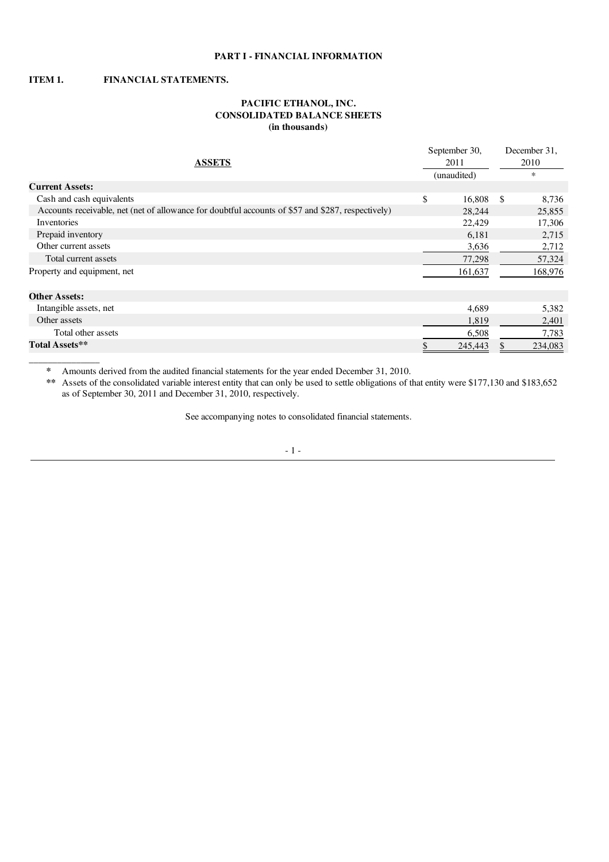# PART I - FINANCIAL INFORMATION

# ITEM 1. FINANCIAL STATEMENTS.

 $\overline{\phantom{a}}$  , where  $\overline{\phantom{a}}$ 

# PACIFIC ETHANOL, INC. CONSOLIDATED BALANCE SHEETS (in thousands)

| <b>ASSETS</b>                                                                                     | September 30,<br>2011 | December 31,<br>2010 |
|---------------------------------------------------------------------------------------------------|-----------------------|----------------------|
|                                                                                                   | (unaudited)           | ∗                    |
| <b>Current Assets:</b>                                                                            |                       |                      |
| Cash and cash equivalents                                                                         | \$<br>16,808 \$       | 8,736                |
| Accounts receivable, net (net of allowance for doubtful accounts of \$57 and \$287, respectively) | 28,244                | 25,855               |
| Inventories                                                                                       | 22,429                | 17,306               |
| Prepaid inventory                                                                                 | 6,181                 | 2,715                |
| Other current assets                                                                              | 3,636                 | 2,712                |
| Total current assets                                                                              | 77,298                | 57,324               |
| Property and equipment, net                                                                       | 161,637               | 168,976              |
| <b>Other Assets:</b>                                                                              |                       |                      |
| Intangible assets, net                                                                            | 4,689                 | 5,382                |
| Other assets                                                                                      | 1,819                 | 2,401                |
| Total other assets                                                                                | 6,508                 | 7,783                |
| Total Assets**                                                                                    | 245,443               | 234,083              |

\* Amounts derived from the audited financial statements for the year ended December 31, 2010.

\*\* Assets of the consolidated variable interest entity that can only be used to settle obligations of that entity were \$177,130 and \$183,652 as of September 30, 2011 and December 31, 2010, respectively.

See accompanying notes to consolidated financial statements.

- 1 -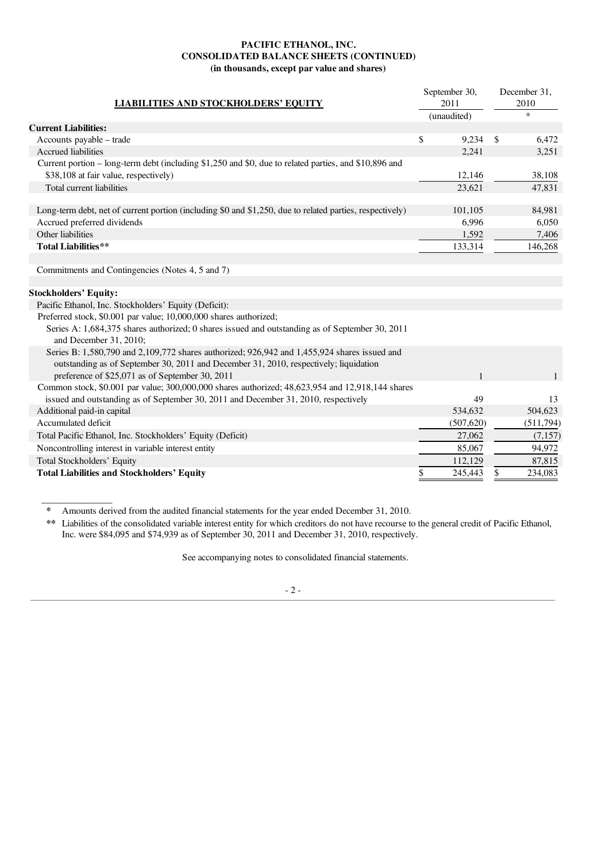# PACIFIC ETHANOL, INC. CONSOLIDATED BALANCE SHEETS (CONTINUED) (in thousands, except par value and shares)

| <b>LIABILITIES AND STOCKHOLDERS' EQUITY</b>                                                                               | September 30,<br>2011 | December 31,<br>2010  |
|---------------------------------------------------------------------------------------------------------------------------|-----------------------|-----------------------|
|                                                                                                                           | (unaudited)           | $\ast$                |
| <b>Current Liabilities:</b>                                                                                               |                       |                       |
| Accounts payable - trade                                                                                                  | \$<br>9,234           | 6,472<br>$\mathbb{S}$ |
| <b>Accrued liabilities</b>                                                                                                | 2,241                 | 3,251                 |
| Current portion – long-term debt (including \$1,250 and \$0, due to related parties, and \$10,896 and                     |                       |                       |
| \$38,108 at fair value, respectively)                                                                                     | 12,146                | 38,108                |
| Total current liabilities                                                                                                 | 23,621                | 47,831                |
| Long-term debt, net of current portion (including \$0 and \$1,250, due to related parties, respectively)                  | 101,105               | 84,981                |
| Accrued preferred dividends                                                                                               | 6,996                 | 6,050                 |
| Other liabilities                                                                                                         | 1,592                 | 7,406                 |
| <b>Total Liabilities**</b>                                                                                                | 133,314               | 146,268               |
|                                                                                                                           |                       |                       |
| Commitments and Contingencies (Notes 4, 5 and 7)                                                                          |                       |                       |
| <b>Stockholders' Equity:</b>                                                                                              |                       |                       |
| Pacific Ethanol, Inc. Stockholders' Equity (Deficit):                                                                     |                       |                       |
| Preferred stock, \$0.001 par value; 10,000,000 shares authorized;                                                         |                       |                       |
| Series A: 1,684,375 shares authorized; 0 shares issued and outstanding as of September 30, 2011<br>and December 31, 2010; |                       |                       |
| Series B: 1,580,790 and 2,109,772 shares authorized; 926,942 and 1,455,924 shares issued and                              |                       |                       |
| outstanding as of September 30, 2011 and December 31, 2010, respectively; liquidation                                     |                       |                       |
| preference of \$25,071 as of September 30, 2011                                                                           |                       |                       |
| Common stock, \$0.001 par value; 300,000,000 shares authorized; 48,623,954 and 12,918,144 shares                          |                       |                       |
| issued and outstanding as of September 30, 2011 and December 31, 2010, respectively                                       | 49                    | 13                    |
| Additional paid-in capital                                                                                                | 534,632               | 504,623               |
| Accumulated deficit                                                                                                       | (507, 620)            | (511, 794)            |
| Total Pacific Ethanol, Inc. Stockholders' Equity (Deficit)                                                                | 27,062                | (7,157)               |
| Noncontrolling interest in variable interest entity                                                                       | 85,067                | 94,972                |
| <b>Total Stockholders' Equity</b>                                                                                         | 112,129               | 87,815                |
| <b>Total Liabilities and Stockholders' Equity</b>                                                                         | 245,443<br>\$         | 234,083<br>\$         |

\* Amounts derived from the audited financial statements for the year ended December 31, 2010.

 $\overline{\phantom{a}}$  , we can also the contract of  $\overline{\phantom{a}}$ 

\*\* Liabilities of the consolidated variable interest entity for which creditors do not have recourse to the general credit of Pacific Ethanol, Inc. were \$84,095 and \$74,939 as of September 30, 2011 and December 31, 2010, respectively.

See accompanying notes to consolidated financial statements.

# $-2-$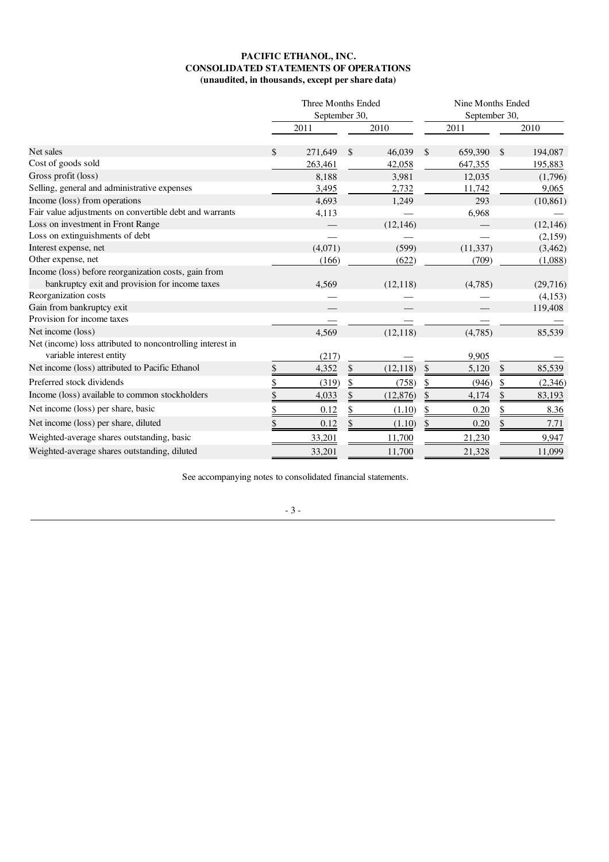# PACIFIC ETHANOL, INC. CONSOLIDATED STATEMENTS OF OPERATIONS (unaudited, in thousands, except per share data)

|                                                                                                        | Three Months Ended<br>September 30, |         |    |           | Nine Months Ended |           |               |           |
|--------------------------------------------------------------------------------------------------------|-------------------------------------|---------|----|-----------|-------------------|-----------|---------------|-----------|
|                                                                                                        |                                     |         |    |           | September 30,     |           |               |           |
|                                                                                                        |                                     | 2011    |    | 2010      |                   | 2011      |               | 2010      |
| Net sales                                                                                              | \$                                  | 271,649 | \$ | 46,039    | \$                | 659,390   | $\mathcal{S}$ | 194,087   |
| Cost of goods sold                                                                                     |                                     | 263,461 |    | 42,058    |                   | 647,355   |               | 195,883   |
| Gross profit (loss)                                                                                    |                                     | 8.188   |    | 3.981     |                   | 12.035    |               | (1,796)   |
| Selling, general and administrative expenses                                                           |                                     | 3,495   |    | 2,732     |                   | 11,742    |               | 9,065     |
| Income (loss) from operations                                                                          |                                     | 4.693   |    | 1,249     |                   | 293       |               | (10, 861) |
| Fair value adjustments on convertible debt and warrants                                                |                                     | 4,113   |    |           |                   | 6,968     |               |           |
| Loss on investment in Front Range                                                                      |                                     |         |    | (12, 146) |                   |           |               | (12, 146) |
| Loss on extinguishments of debt                                                                        |                                     |         |    |           |                   |           |               | (2,159)   |
| Interest expense, net                                                                                  |                                     | (4,071) |    | (599)     |                   | (11, 337) |               | (3,462)   |
| Other expense, net                                                                                     |                                     | (166)   |    | (622)     |                   | (709)     |               | (1,088)   |
| Income (loss) before reorganization costs, gain from<br>bankruptcy exit and provision for income taxes |                                     | 4,569   |    | (12, 118) |                   | (4,785)   |               | (29,716)  |
| Reorganization costs                                                                                   |                                     |         |    |           |                   |           |               | (4,153)   |
| Gain from bankruptcy exit                                                                              |                                     |         |    |           |                   |           |               | 119,408   |
| Provision for income taxes                                                                             |                                     |         |    |           |                   |           |               |           |
| Net income (loss)                                                                                      |                                     | 4,569   |    | (12, 118) |                   | (4,785)   |               | 85,539    |
| Net (income) loss attributed to noncontrolling interest in                                             |                                     |         |    |           |                   |           |               |           |
| variable interest entity                                                                               |                                     | (217)   |    |           |                   | 9,905     |               |           |
| Net income (loss) attributed to Pacific Ethanol                                                        | \$                                  | 4,352   | S  | (12, 118) | \$                | 5,120     | \$            | 85,539    |
| Preferred stock dividends                                                                              | \$                                  | (319)   | \$ | (758)     | \$                | (946)     | \$            | (2,346)   |
| Income (loss) available to common stockholders                                                         | \$                                  | 4,033   |    | (12, 876) | \$                | 4,174     | \$            | 83,193    |
| Net income (loss) per share, basic                                                                     | \$                                  | 0.12    |    | (1.10)    | \$                | 0.20      | \$            | 8.36      |
| Net income (loss) per share, diluted                                                                   | \$                                  | 0.12    |    | (1.10)    | <sup>\$</sup>     | 0.20      | \$            | 7.71      |
| Weighted-average shares outstanding, basic                                                             |                                     | 33,201  |    | 11,700    |                   | 21,230    |               | 9,947     |
| Weighted-average shares outstanding, diluted                                                           |                                     | 33,201  |    | 11,700    |                   | 21,328    |               | 11,099    |

See accompanying notes to consolidated financial statements.

- 3 -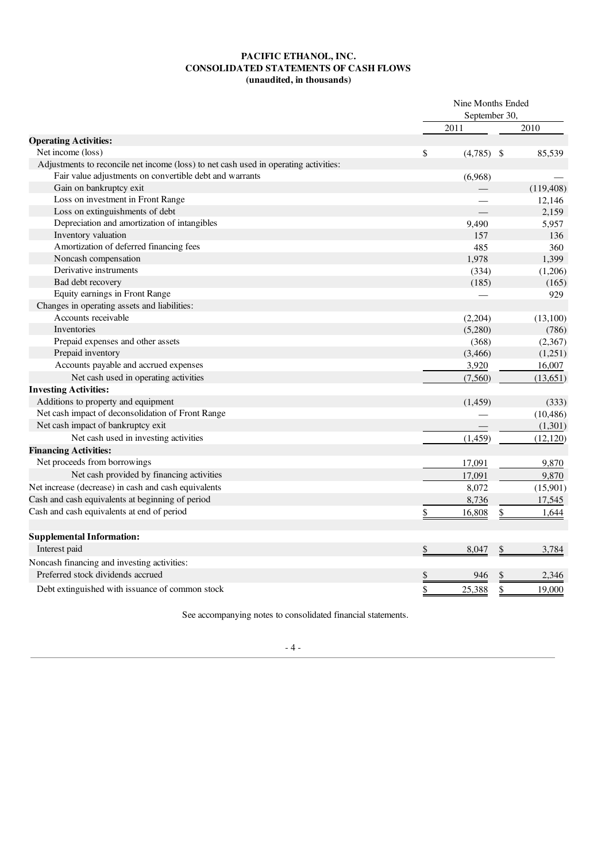# PACIFIC ETHANOL, INC. CONSOLIDATED STATEMENTS OF CASH FLOWS (unaudited, in thousands)

|                                                                                      | Nine Months Ended |               |    |            |
|--------------------------------------------------------------------------------------|-------------------|---------------|----|------------|
|                                                                                      |                   | September 30, |    |            |
|                                                                                      |                   | 2011          |    | 2010       |
| <b>Operating Activities:</b>                                                         |                   |               |    |            |
| Net income (loss)                                                                    | \$                | $(4,785)$ \$  |    | 85,539     |
| Adjustments to reconcile net income (loss) to net cash used in operating activities: |                   |               |    |            |
| Fair value adjustments on convertible debt and warrants                              |                   | (6,968)       |    |            |
| Gain on bankruptcy exit                                                              |                   |               |    | (119, 408) |
| Loss on investment in Front Range                                                    |                   |               |    | 12,146     |
| Loss on extinguishments of debt                                                      |                   |               |    | 2,159      |
| Depreciation and amortization of intangibles                                         |                   | 9,490         |    | 5,957      |
| Inventory valuation                                                                  |                   | 157           |    | 136        |
| Amortization of deferred financing fees                                              |                   | 485           |    | 360        |
| Noncash compensation                                                                 |                   | 1,978         |    | 1,399      |
| Derivative instruments                                                               |                   | (334)         |    | (1,206)    |
| Bad debt recovery                                                                    |                   | (185)         |    | (165)      |
| Equity earnings in Front Range                                                       |                   |               |    | 929        |
| Changes in operating assets and liabilities:                                         |                   |               |    |            |
| Accounts receivable                                                                  |                   | (2,204)       |    | (13,100)   |
| Inventories                                                                          |                   | (5,280)       |    | (786)      |
| Prepaid expenses and other assets                                                    |                   | (368)         |    | (2,367)    |
| Prepaid inventory                                                                    |                   | (3,466)       |    | (1,251)    |
| Accounts payable and accrued expenses                                                |                   | 3,920         |    | 16,007     |
| Net cash used in operating activities                                                |                   | (7,560)       |    | (13,651)   |
| <b>Investing Activities:</b>                                                         |                   |               |    |            |
| Additions to property and equipment                                                  |                   | (1, 459)      |    | (333)      |
| Net cash impact of deconsolidation of Front Range                                    |                   |               |    | (10, 486)  |
| Net cash impact of bankruptcy exit                                                   |                   |               |    | (1,301)    |
| Net cash used in investing activities                                                |                   | (1, 459)      |    | (12, 120)  |
| <b>Financing Activities:</b>                                                         |                   |               |    |            |
| Net proceeds from borrowings                                                         |                   | 17,091        |    | 9,870      |
| Net cash provided by financing activities                                            |                   | 17,091        |    | 9,870      |
| Net increase (decrease) in cash and cash equivalents                                 |                   | 8,072         |    | (15,901)   |
| Cash and cash equivalents at beginning of period                                     |                   | 8,736         |    | 17,545     |
| Cash and cash equivalents at end of period                                           |                   |               |    |            |
|                                                                                      | \$                | 16,808        | \$ | 1,644      |
|                                                                                      |                   |               |    |            |
| <b>Supplemental Information:</b>                                                     |                   |               |    |            |
| Interest paid                                                                        | \$                | 8,047         | \$ | 3,784      |
| Noncash financing and investing activities:                                          |                   |               |    |            |
| Preferred stock dividends accrued                                                    | \$                | 946           |    | 2,346      |
| Debt extinguished with issuance of common stock                                      | \$                | 25,388        | \$ | 19,000     |

See accompanying notes to consolidated financial statements.

- 4 -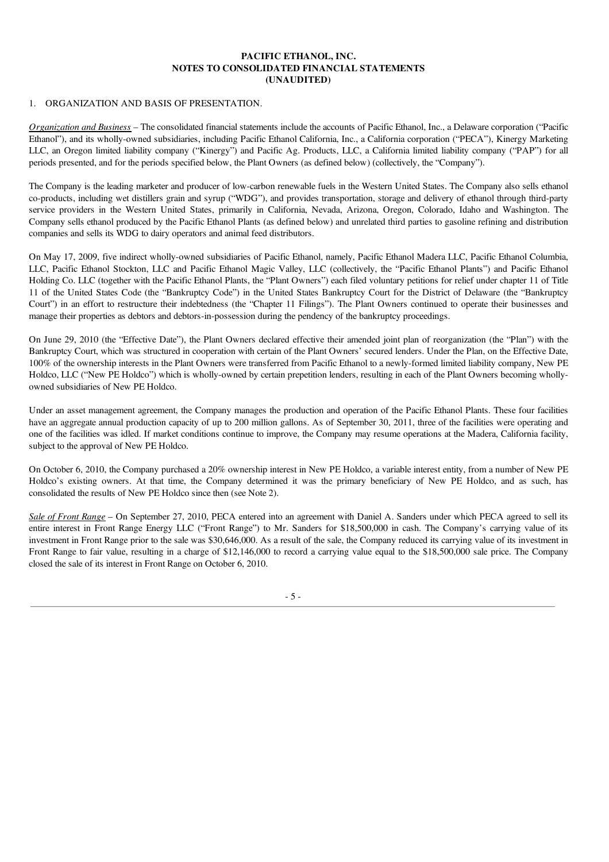### PACIFIC ETHANOL, INC. NOTES TO CONSOLIDATED FINANCIAL STATEMENTS (UNAUDITED)

### 1. ORGANIZATION AND BASIS OF PRESENTATION.

*Organization and Business* – The consolidated financial statements include the accounts of Pacific Ethanol, Inc., a Delaware corporation ("Pacific Ethanol"), and its wholly-owned subsidiaries, including Pacific Ethanol California, Inc., a California corporation ("PECA"), Kinergy Marketing LLC, an Oregon limited liability company ("Kinergy") and Pacific Ag. Products, LLC, a California limited liability company ("PAP") for all periods presented, and for the periods specified below, the Plant Owners (as defined below) (collectively, the "Company").

The Company is the leading marketer and producer of low-carbon renewable fuels in the Western United States. The Company also sells ethanol co-products, including wet distillers grain and syrup ("WDG"), and provides transportation, storage and delivery of ethanol through third-party service providers in the Western United States, primarily in California, Nevada, Arizona, Oregon, Colorado, Idaho and Washington. The Company sells ethanol produced by the Pacific Ethanol Plants (as defined below) and unrelated third parties to gasoline refining and distribution companies and sells its WDG to dairy operators and animal feed distributors.

On May 17, 2009, five indirect wholly-owned subsidiaries of Pacific Ethanol, namely, Pacific Ethanol Madera LLC, Pacific Ethanol Columbia, LLC, Pacific Ethanol Stockton, LLC and Pacific Ethanol Magic Valley, LLC (collectively, the "Pacific Ethanol Plants") and Pacific Ethanol Holding Co. LLC (together with the Pacific Ethanol Plants, the "Plant Owners") each filed voluntary petitions for relief under chapter 11 of Title 11 of the United States Code (the "Bankruptcy Code") in the United States Bankruptcy Court for the District of Delaware (the "Bankruptcy Court") in an effort to restructure their indebtedness (the "Chapter 11 Filings"). The Plant Owners continued to operate their businesses and manage their properties as debtors and debtors-in-possession during the pendency of the bankruptcy proceedings.

On June 29, 2010 (the "Effective Date"), the Plant Owners declared effective their amended joint plan of reorganization (the "Plan") with the Bankruptcy Court, which was structured in cooperation with certain of the Plant Owners' secured lenders. Under the Plan, on the Effective Date, 100% of the ownership interests in the Plant Owners were transferred from Pacific Ethanol to a newly-formed limited liability company, New PE Holdco, LLC ("New PE Holdco") which is wholly-owned by certain prepetition lenders, resulting in each of the Plant Owners becoming whollyowned subsidiaries of New PE Holdco.

Under an asset management agreement, the Company manages the production and operation of the Pacific Ethanol Plants. These four facilities have an aggregate annual production capacity of up to 200 million gallons. As of September 30, 2011, three of the facilities were operating and one of the facilities was idled. If market conditions continue to improve, the Company may resume operations at the Madera, California facility, subject to the approval of New PE Holdco.

On October 6, 2010, the Company purchased a 20% ownership interest in New PE Holdco, a variable interest entity, from a number of New PE Holdco's existing owners. At that time, the Company determined it was the primary beneficiary of New PE Holdco, and as such, has consolidated the results of New PE Holdco since then (see Note 2).

*Sale of Front Range* – On September 27, 2010, PECA entered into an agreement with Daniel A. Sanders under which PECA agreed to sell its entire interest in Front Range Energy LLC ("Front Range") to Mr. Sanders for \$18,500,000 in cash. The Company's carrying value of its investment in Front Range prior to the sale was \$30,646,000. As a result of the sale, the Company reduced its carrying value of its investment in Front Range to fair value, resulting in a charge of \$12,146,000 to record a carrying value equal to the \$18,500,000 sale price. The Company closed the sale of its interest in Front Range on October 6, 2010.

- 5 -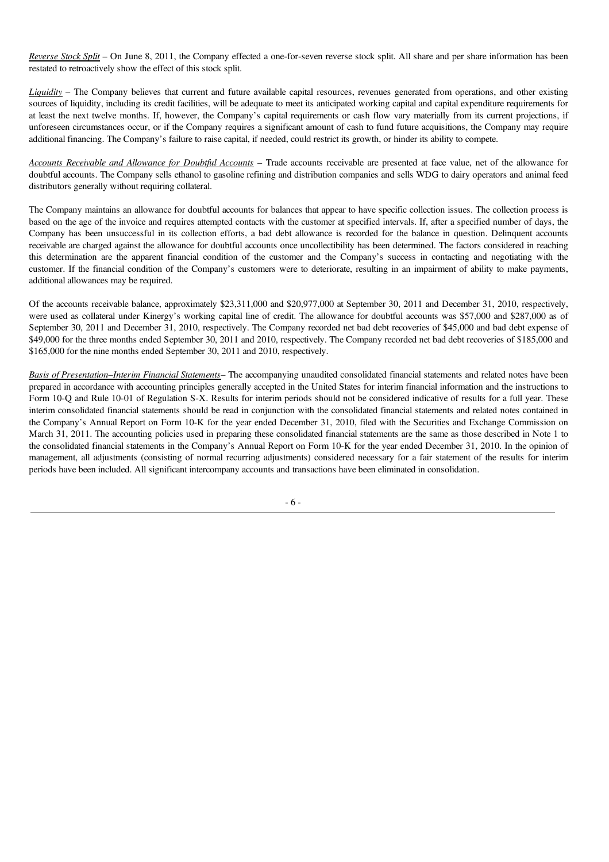*Reverse Stock Split* – On June 8, 2011, the Company effected a one-for-seven reverse stock split. All share and per share information has been restated to retroactively show the effect of this stock split.

*Liquidity* – The Company believes that current and future available capital resources, revenues generated from operations, and other existing sources of liquidity, including its credit facilities, will be adequate to meet its anticipated working capital and capital expenditure requirements for at least the next twelve months. If, however, the Company's capital requirements or cash flow vary materially from its current projections, if unforeseen circumstances occur, or if the Company requires a significant amount of cash to fund future acquisitions, the Company may require additional financing. The Company's failure to raise capital, if needed, could restrict its growth, or hinder its ability to compete.

*Accounts Receivable and Allowance for Doubtful Accounts* – Trade accounts receivable are presented at face value, net of the allowance for doubtful accounts. The Company sells ethanol to gasoline refining and distribution companies and sells WDG to dairy operators and animal feed distributors generally without requiring collateral.

The Company maintains an allowance for doubtful accounts for balances that appear to have specific collection issues. The collection process is based on the age of the invoice and requires attempted contacts with the customer at specified intervals. If, after a specified number of days, the Company has been unsuccessful in its collection efforts, a bad debt allowance is recorded for the balance in question. Delinquent accounts receivable are charged against the allowance for doubtful accounts once uncollectibility has been determined. The factors considered in reaching this determination are the apparent financial condition of the customer and the Company's success in contacting and negotiating with the customer. If the financial condition of the Company's customers were to deteriorate, resulting in an impairment of ability to make payments, additional allowances may be required.

Of the accounts receivable balance, approximately \$23,311,000 and \$20,977,000 at September 30, 2011 and December 31, 2010, respectively, were used as collateral under Kinergy's working capital line of credit. The allowance for doubtful accounts was \$57,000 and \$287,000 as of September 30, 2011 and December 31, 2010, respectively. The Company recorded net bad debt recoveries of \$45,000 and bad debt expense of \$49,000 for the three months ended September 30, 2011 and 2010, respectively. The Company recorded net bad debt recoveries of \$185,000 and \$165,000 for the nine months ended September 30, 2011 and 2010, respectively.

*Basis of Presentation*–*Interim Financial Statements*– The accompanying unaudited consolidated financial statements and related notes have been prepared in accordance with accounting principles generally accepted in the United States for interim financial information and the instructions to Form 10-Q and Rule 10-01 of Regulation S-X. Results for interim periods should not be considered indicative of results for a full year. These interim consolidated financial statements should be read in conjunction with the consolidated financial statements and related notes contained in the Company's Annual Report on Form 10-K for the year ended December 31, 2010, filed with the Securities and Exchange Commission on March 31, 2011. The accounting policies used in preparing these consolidated financial statements are the same as those described in Note 1 to the consolidated financial statements in the Company's Annual Report on Form 10-K for the year ended December 31, 2010. In the opinion of management, all adjustments (consisting of normal recurring adjustments) considered necessary for a fair statement of the results for interim periods have been included. All significant intercompany accounts and transactions have been eliminated in consolidation.

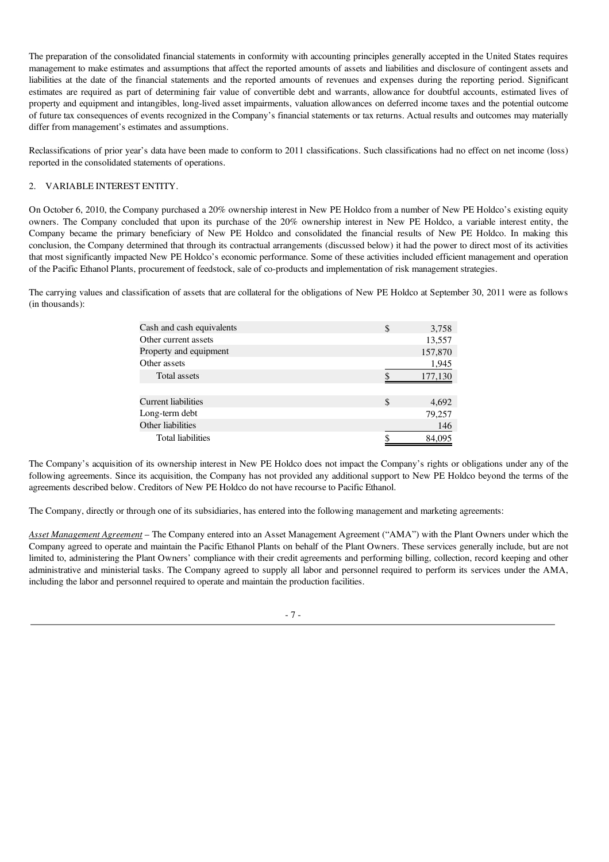The preparation of the consolidated financial statements in conformity with accounting principles generally accepted in the United States requires management to make estimates and assumptions that affect the reported amounts of assets and liabilities and disclosure of contingent assets and liabilities at the date of the financial statements and the reported amounts of revenues and expenses during the reporting period. Significant estimates are required as part of determining fair value of convertible debt and warrants, allowance for doubtful accounts, estimated lives of property and equipment and intangibles, long-lived asset impairments, valuation allowances on deferred income taxes and the potential outcome of future tax consequences of events recognized in the Company's financial statements or tax returns. Actual results and outcomes may materially differ from management's estimates and assumptions.

Reclassifications of prior year's data have been made to conform to 2011 classifications. Such classifications had no effect on net income (loss) reported in the consolidated statements of operations.

### 2. VARIABLE INTEREST ENTITY.

On October 6, 2010, the Company purchased a 20% ownership interest in New PE Holdco from a number of New PE Holdco's existing equity owners. The Company concluded that upon its purchase of the 20% ownership interest in New PE Holdco, a variable interest entity, the Company became the primary beneficiary of New PE Holdco and consolidated the financial results of New PE Holdco. In making this conclusion, the Company determined that through its contractual arrangements (discussed below) it had the power to direct most of its activities that most significantly impacted New PE Holdco's economic performance. Some of these activities included efficient management and operation of the Pacific Ethanol Plants, procurement of feedstock, sale of co-products and implementation of risk management strategies.

The carrying values and classification of assets that are collateral for the obligations of New PE Holdco at September 30, 2011 were as follows (in thousands):

| Cash and cash equivalents | \$<br>3,758 |
|---------------------------|-------------|
| Other current assets      | 13,557      |
| Property and equipment    | 157,870     |
| Other assets              | 1,945       |
| Total assets              | 177,130     |
|                           |             |
| Current liabilities       | \$<br>4,692 |
| Long-term debt            | 79,257      |
| Other liabilities         | 146         |
| <b>Total liabilities</b>  | 84,095      |

The Company's acquisition of its ownership interest in New PE Holdco does not impact the Company's rights or obligations under any of the following agreements. Since its acquisition, the Company has not provided any additional support to New PE Holdco beyond the terms of the agreements described below. Creditors of New PE Holdco do not have recourse to Pacific Ethanol.

The Company, directly or through one of its subsidiaries, has entered into the following management and marketing agreements:

*Asset Management Agreement* – The Company entered into an Asset Management Agreement ("AMA") with the Plant Owners under which the Company agreed to operate and maintain the Pacific Ethanol Plants on behalf of the Plant Owners. These services generally include, but are not limited to, administering the Plant Owners' compliance with their credit agreements and performing billing, collection, record keeping and other administrative and ministerial tasks. The Company agreed to supply all labor and personnel required to perform its services under the AMA, including the labor and personnel required to operate and maintain the production facilities.

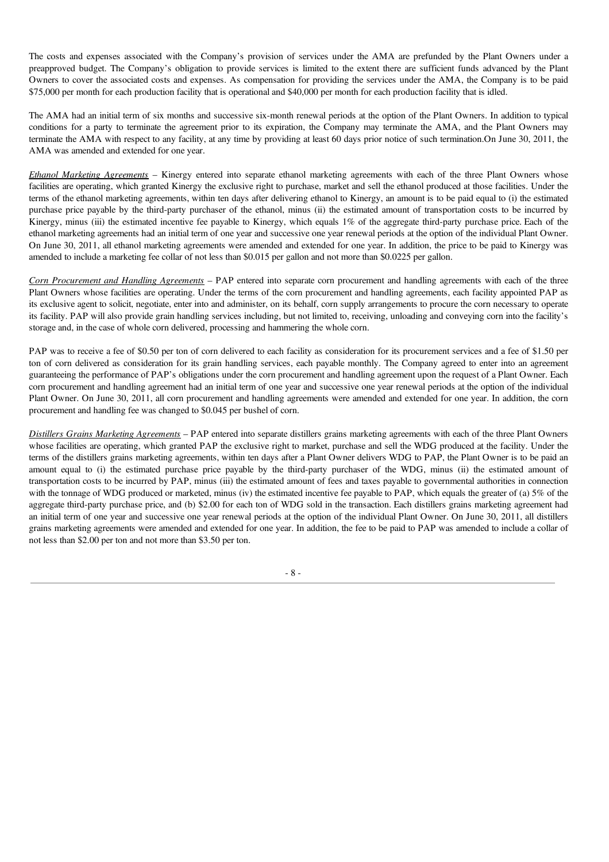The costs and expenses associated with the Company's provision of services under the AMA are prefunded by the Plant Owners under a preapproved budget. The Company's obligation to provide services is limited to the extent there are sufficient funds advanced by the Plant Owners to cover the associated costs and expenses. As compensation for providing the services under the AMA, the Company is to be paid \$75,000 per month for each production facility that is operational and \$40,000 per month for each production facility that is idled.

The AMA had an initial term of six months and successive six-month renewal periods at the option of the Plant Owners. In addition to typical conditions for a party to terminate the agreement prior to its expiration, the Company may terminate the AMA, and the Plant Owners may terminate the AMA with respect to any facility, at any time by providing at least 60 days prior notice of such termination.On June 30, 2011, the AMA was amended and extended for one year.

*Ethanol Marketing Agreements* – Kinergy entered into separate ethanol marketing agreements with each of the three Plant Owners whose facilities are operating, which granted Kinergy the exclusive right to purchase, market and sell the ethanol produced at those facilities. Under the terms of the ethanol marketing agreements, within ten days after delivering ethanol to Kinergy, an amount is to be paid equal to (i) the estimated purchase price payable by the third-party purchaser of the ethanol, minus (ii) the estimated amount of transportation costs to be incurred by Kinergy, minus (iii) the estimated incentive fee payable to Kinergy, which equals 1% of the aggregate third-party purchase price. Each of the ethanol marketing agreements had an initial term of one year and successive one year renewal periods at the option of the individual Plant Owner. On June 30, 2011, all ethanol marketing agreements were amended and extended for one year. In addition, the price to be paid to Kinergy was amended to include a marketing fee collar of not less than \$0.015 per gallon and not more than \$0.0225 per gallon.

*Corn Procurement and Handling Agreements* – PAP entered into separate corn procurement and handling agreements with each of the three Plant Owners whose facilities are operating. Under the terms of the corn procurement and handling agreements, each facility appointed PAP as its exclusive agent to solicit, negotiate, enter into and administer, on its behalf, corn supply arrangements to procure the corn necessary to operate its facility. PAP will also provide grain handling services including, but not limited to, receiving, unloading and conveying corn into the facility's storage and, in the case of whole corn delivered, processing and hammering the whole corn.

PAP was to receive a fee of \$0.50 per ton of corn delivered to each facility as consideration for its procurement services and a fee of \$1.50 per ton of corn delivered as consideration for its grain handling services, each payable monthly. The Company agreed to enter into an agreement guaranteeing the performance of PAP's obligations under the corn procurement and handling agreement upon the request of a Plant Owner. Each corn procurement and handling agreement had an initial term of one year and successive one year renewal periods at the option of the individual Plant Owner. On June 30, 2011, all corn procurement and handling agreements were amended and extended for one year. In addition, the corn procurement and handling fee was changed to \$0.045 per bushel of corn.

*Distillers Grains Marketing Agreements* – PAP entered into separate distillers grains marketing agreements with each of the three Plant Owners whose facilities are operating, which granted PAP the exclusive right to market, purchase and sell the WDG produced at the facility. Under the terms of the distillers grains marketing agreements, within ten days after a Plant Owner delivers WDG to PAP, the Plant Owner is to be paid an amount equal to (i) the estimated purchase price payable by the third-party purchaser of the WDG, minus (ii) the estimated amount of transportation costs to be incurred by PAP, minus (iii) the estimated amount of fees and taxes payable to governmental authorities in connection with the tonnage of WDG produced or marketed, minus (iv) the estimated incentive fee payable to PAP, which equals the greater of (a) 5% of the aggregate third-party purchase price, and (b) \$2.00 for each ton of WDG sold in the transaction. Each distillers grains marketing agreement had an initial term of one year and successive one year renewal periods at the option of the individual Plant Owner. On June 30, 2011, all distillers grains marketing agreements were amended and extended for one year. In addition, the fee to be paid to PAP was amended to include a collar of not less than \$2.00 per ton and not more than \$3.50 per ton.

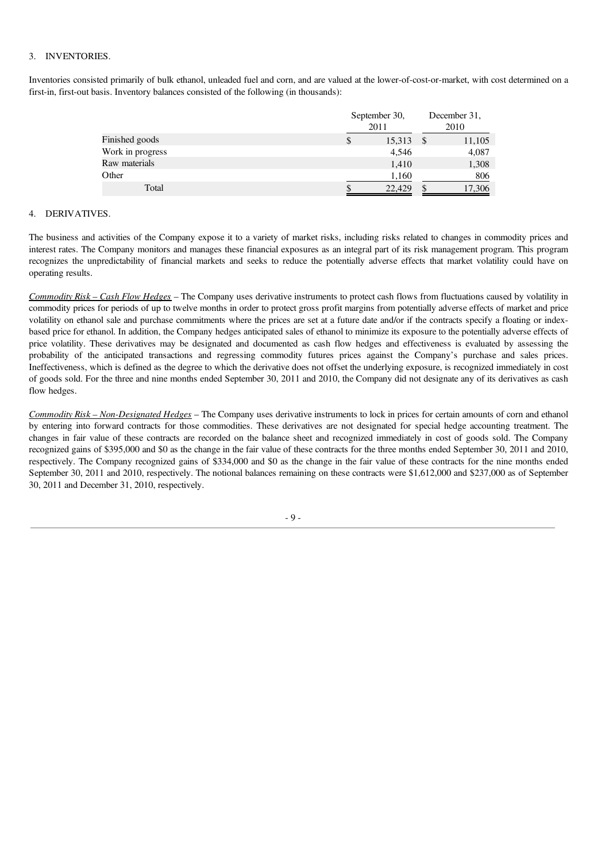### 3. INVENTORIES.

Inventories consisted primarily of bulk ethanol, unleaded fuel and corn, and are valued at the lower-of-cost-or-market, with cost determined on a first-in, first-out basis. Inventory balances consisted of the following (in thousands):

|                  | September 30,<br>2011 |    | December 31.<br>2010 |
|------------------|-----------------------|----|----------------------|
| Finished goods   | 15,313                | -S | 11,105               |
| Work in progress | 4,546                 |    | 4,087                |
| Raw materials    | 1,410                 |    | 1,308                |
| Other            | 1,160                 |    | 806                  |
| Total            | 22.429                |    | 17,306               |

## 4. DERIVATIVES.

The business and activities of the Company expose it to a variety of market risks, including risks related to changes in commodity prices and interest rates. The Company monitors and manages these financial exposures as an integral part of its risk management program. This program recognizes the unpredictability of financial markets and seeks to reduce the potentially adverse effects that market volatility could have on operating results.

*Commodity Risk* – *Cash Flow Hedges* – The Company uses derivative instruments to protect cash flows from fluctuations caused by volatility in commodity prices for periods of up to twelve months in order to protect gross profit margins from potentially adverse effects of market and price volatility on ethanol sale and purchase commitments where the prices are set at a future date and/or if the contracts specify a floating or indexbased price for ethanol. In addition, the Company hedges anticipated sales of ethanol to minimize its exposure to the potentially adverse effects of price volatility. These derivatives may be designated and documented as cash flow hedges and effectiveness is evaluated by assessing the probability of the anticipated transactions and regressing commodity futures prices against the Company's purchase and sales prices. Ineffectiveness, which is defined as the degree to which the derivative does not offset the underlying exposure, is recognized immediately in cost of goods sold. For the three and nine months ended September 30, 2011 and 2010, the Company did not designate any of its derivatives as cash flow hedges.

*Commodity Risk – Non-Designated Hedges* – The Company uses derivative instruments to lock in prices for certain amounts of corn and ethanol by entering into forward contracts for those commodities. These derivatives are not designated for special hedge accounting treatment. The changes in fair value of these contracts are recorded on the balance sheet and recognized immediately in cost of goods sold. The Company recognized gains of \$395,000 and \$0 as the change in the fair value of these contracts for the three months ended September 30, 2011 and 2010, respectively. The Company recognized gains of \$334,000 and \$0 as the change in the fair value of these contracts for the nine months ended September 30, 2011 and 2010, respectively. The notional balances remaining on these contracts were \$1,612,000 and \$237,000 as of September 30, 2011 and December 31, 2010, respectively.

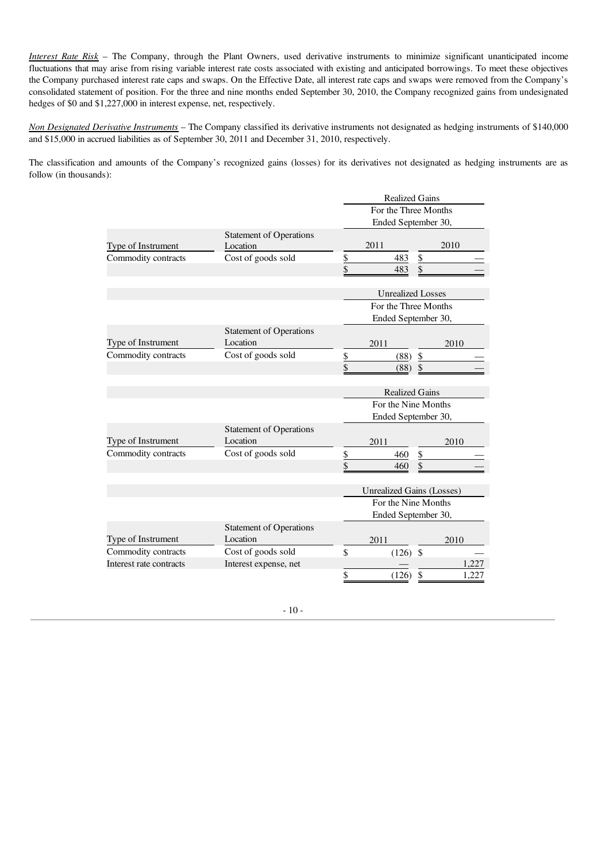*Interest Rate Risk* – The Company, through the Plant Owners, used derivative instruments to minimize significant unanticipated income fluctuations that may arise from rising variable interest rate costs associated with existing and anticipated borrowings. To meet these objectives the Company purchased interest rate caps and swaps. On the Effective Date, all interest rate caps and swaps were removed from the Company's consolidated statement of position. For the three and nine months ended September 30, 2010, the Company recognized gains from undesignated hedges of \$0 and \$1,227,000 in interest expense, net, respectively.

*Non Designated Derivative Instruments* – The Company classified its derivative instruments not designated as hedging instruments of \$140,000 and \$15,000 in accrued liabilities as of September 30, 2011 and December 31, 2010, respectively.

The classification and amounts of the Company's recognized gains (losses) for its derivatives not designated as hedging instruments are as follow (in thousands):

|                         |                                            | <b>Realized Gains</b> |                                            |       |  |
|-------------------------|--------------------------------------------|-----------------------|--------------------------------------------|-------|--|
|                         |                                            | For the Three Months  |                                            |       |  |
|                         |                                            | Ended September 30,   |                                            |       |  |
| Type of Instrument      | <b>Statement of Operations</b><br>Location |                       | 2011                                       | 2010  |  |
| Commodity contracts     | Cost of goods sold                         | \$                    | 483                                        | \$    |  |
|                         |                                            | \$                    | 483                                        | \$    |  |
|                         |                                            |                       | <b>Unrealized Losses</b>                   |       |  |
|                         |                                            |                       | For the Three Months                       |       |  |
|                         |                                            |                       | Ended September 30,                        |       |  |
|                         | <b>Statement of Operations</b>             |                       |                                            |       |  |
| Type of Instrument      | Location                                   |                       | 2011                                       | 2010  |  |
| Commodity contracts     | Cost of goods sold                         | \$                    | (88)                                       | \$    |  |
|                         |                                            | \$                    | (88)                                       | \$    |  |
|                         |                                            |                       |                                            |       |  |
|                         |                                            |                       | <b>Realized Gains</b>                      |       |  |
|                         |                                            |                       | For the Nine Months<br>Ended September 30, |       |  |
|                         | <b>Statement of Operations</b>             |                       |                                            |       |  |
| Type of Instrument      | Location                                   |                       | 2011                                       | 2010  |  |
| Commodity contracts     | Cost of goods sold                         | \$                    | 460                                        | \$    |  |
|                         |                                            | \$                    | 460                                        | \$    |  |
|                         |                                            |                       | <b>Unrealized Gains (Losses)</b>           |       |  |
|                         |                                            |                       | For the Nine Months                        |       |  |
|                         |                                            |                       | Ended September 30,                        |       |  |
|                         | <b>Statement of Operations</b>             |                       |                                            |       |  |
| Type of Instrument      | Location                                   |                       | 2011                                       | 2010  |  |
| Commodity contracts     | Cost of goods sold                         | \$                    | $(126)$ \$                                 |       |  |
| Interest rate contracts | Interest expense, net                      |                       |                                            | 1.227 |  |
|                         |                                            |                       | (126)                                      | 1.227 |  |

- 10 -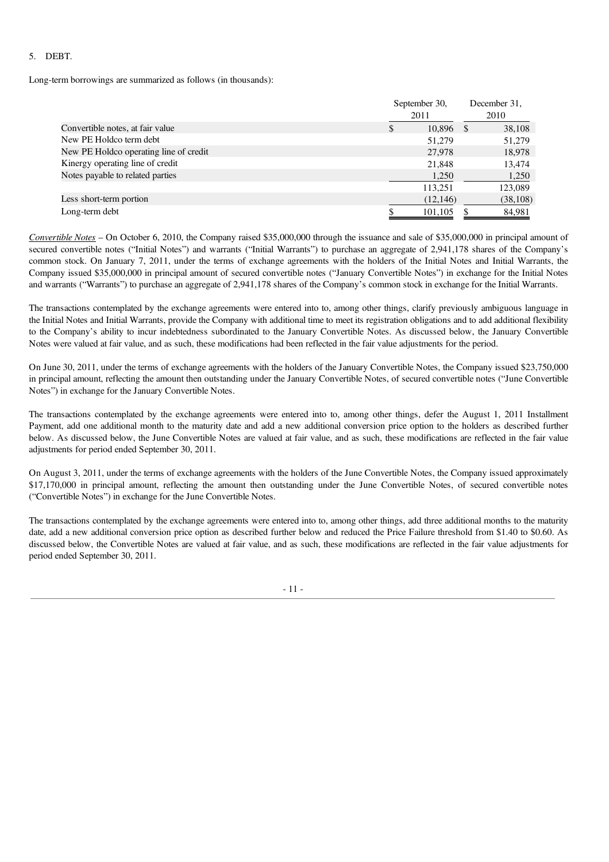# 5. DEBT.

Long-term borrowings are summarized as follows (in thousands):

|                                        | September 30,<br>2011 |  |           |
|----------------------------------------|-----------------------|--|-----------|
| Convertible notes, at fair value       | \$<br>10.896 \$       |  | 38,108    |
| New PE Holdco term debt                | 51,279                |  | 51,279    |
| New PE Holdco operating line of credit | 27,978                |  | 18,978    |
| Kinergy operating line of credit       | 21,848                |  | 13,474    |
| Notes payable to related parties       | 1,250                 |  | 1,250     |
|                                        | 113,251               |  | 123,089   |
| Less short-term portion                | (12, 146)             |  | (38, 108) |
| Long-term debt                         | 101,105               |  | 84,981    |

*Convertible Notes* – On October 6, 2010, the Company raised \$35,000,000 through the issuance and sale of \$35,000,000 in principal amount of secured convertible notes ("Initial Notes") and warrants ("Initial Warrants") to purchase an aggregate of 2,941,178 shares of the Company's common stock. On January 7, 2011, under the terms of exchange agreements with the holders of the Initial Notes and Initial Warrants, the Company issued \$35,000,000 in principal amount of secured convertible notes ("January Convertible Notes") in exchange for the Initial Notes and warrants ("Warrants") to purchase an aggregate of 2,941,178 shares of the Company's common stock in exchange for the Initial Warrants.

The transactions contemplated by the exchange agreements were entered into to, among other things, clarify previously ambiguous language in the Initial Notes and Initial Warrants, provide the Company with additional time to meet its registration obligations and to add additional flexibility to the Company's ability to incur indebtedness subordinated to the January Convertible Notes. As discussed below, the January Convertible Notes were valued at fair value, and as such, these modifications had been reflected in the fair value adjustments for the period.

On June 30, 2011, under the terms of exchange agreements with the holders of the January Convertible Notes, the Company issued \$23,750,000 in principal amount, reflecting the amount then outstanding under the January Convertible Notes, of secured convertible notes ("June Convertible Notes") in exchange for the January Convertible Notes.

The transactions contemplated by the exchange agreements were entered into to, among other things, defer the August 1, 2011 Installment Payment, add one additional month to the maturity date and add a new additional conversion price option to the holders as described further below. As discussed below, the June Convertible Notes are valued at fair value, and as such, these modifications are reflected in the fair value adjustments for period ended September 30, 2011.

On August 3, 2011, under the terms of exchange agreements with the holders of the June Convertible Notes, the Company issued approximately \$17,170,000 in principal amount, reflecting the amount then outstanding under the June Convertible Notes, of secured convertible notes ("Convertible Notes") in exchange for the June Convertible Notes.

The transactions contemplated by the exchange agreements were entered into to, among other things, add three additional months to the maturity date, add a new additional conversion price option as described further below and reduced the Price Failure threshold from \$1.40 to \$0.60. As discussed below, the Convertible Notes are valued at fair value, and as such, these modifications are reflected in the fair value adjustments for period ended September 30, 2011.

- 11 -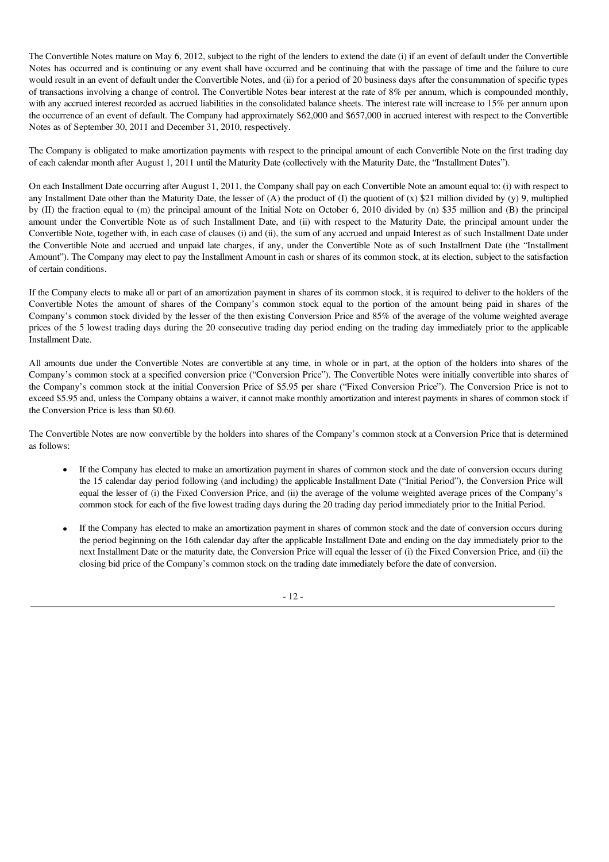The Convertible Notes mature on May 6, 2012, subject to the right of the lenders to extend the date (i) if an event of default under the Convertible Notes has occurred and is continuing or any event shall have occurred and be continuing that with the passage of time and the failure to cure would result in an event of default under the Convertible Notes, and (ii) for a period of 20 business days after the consummation of specific types of transactions involving a change of control. The Convertible Notes bear interest at the rate of 8% per annum, which is compounded monthly, with any accrued interest recorded as accrued liabilities in the consolidated balance sheets. The interest rate will increase to 15% per annum upon the occurrence of an event of default. The Company had approximately \$62,000 and \$657,000 in accrued interest with respect to the Convertible Notes as of September 30, 2011 and December 31, 2010, respectively.

The Company is obligated to make amortization payments with respect to the principal amount of each Convertible Note on the first trading day of each calendar month after August 1, 2011 until the Maturity Date (collectively with the Maturity Date, the "Installment Dates").

On each Installment Date occurring after August 1, 2011, the Company shall pay on each Convertible Note an amount equal to: (i) with respect to any Installment Date other than the Maturity Date, the lesser of (A) the product of (I) the quotient of  $(x)$  \$21 million divided by  $(y)$  9, multiplied by (II) the fraction equal to (m) the principal amount of the Initial Note on October 6, 2010 divided by (n) \$35 million and (B) the principal amount under the Convertible Note as of such Installment Date, and (ii) with respect to the Maturity Date, the principal amount under the Convertible Note, together with, in each case of clauses (i) and (ii), the sum of any accrued and unpaid Interest as of such Installment Date under the Convertible Note and accrued and unpaid late charges, if any, under the Convertible Note as of such Installment Date (the "Installment Amount"). The Company may elect to pay the Installment Amount in cash or shares of its common stock, at its election, subject to the satisfaction of certain conditions.

If the Company elects to make all or part of an amortization payment in shares of its common stock, it is required to deliver to the holders of the Convertible Notes the amount of shares of the Company's common stock equal to the portion of the amount being paid in shares of the Company's common stock divided by the lesser of the then existing Conversion Price and 85% of the average of the volume weighted average prices of the 5 lowest trading days during the 20 consecutive trading day period ending on the trading day immediately prior to the applicable Installment Date.

All amounts due under the Convertible Notes are convertible at any time, in whole or in part, at the option of the holders into shares of the Company's common stock at a specified conversion price ("Conversion Price"). The Convertible Notes were initially convertible into shares of the Company's common stock at the initial Conversion Price of \$5.95 per share ("Fixed Conversion Price"). The Conversion Price is not to exceed \$5.95 and, unless the Company obtains a waiver, it cannot make monthly amortization and interest payments in shares of common stock if the Conversion Price is less than \$0.60.

The Convertible Notes are now convertible by the holders into shares of the Company's common stock at a Conversion Price that is determined as follows:

- If the Company has elected to make an amortization payment in shares of common stock and the date of conversion occurs during the 15 calendar day period following (and including) the applicable Installment Date ("Initial Period"), the Conversion Price will equal the lesser of (i) the Fixed Conversion Price, and (ii) the average of the volume weighted average prices of the Company's common stock for each of the five lowest trading days during the 20 trading day period immediately prior to the Initial Period.
- If the Company has elected to make an amortization payment in shares of common stock and the date of conversion occurs during the period beginning on the 16th calendar day after the applicable Installment Date and ending on the day immediately prior to the next Installment Date or the maturity date, the Conversion Price will equal the lesser of (i) the Fixed Conversion Price, and (ii) the closing bid price of the Company's common stock on the trading date immediately before the date of conversion.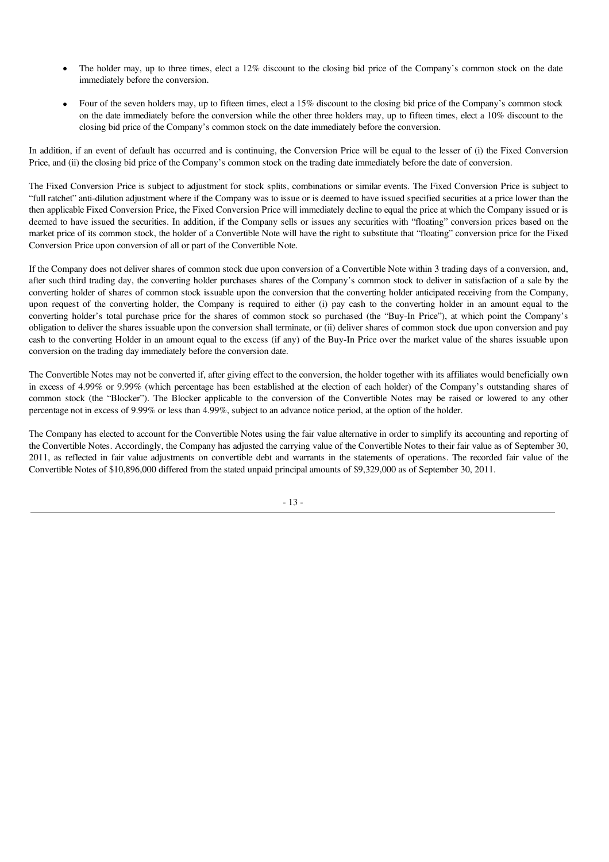- The holder may, up to three times, elect a 12% discount to the closing bid price of the Company's common stock on the date immediately before the conversion.
- Four of the seven holders may, up to fifteen times, elect a 15% discount to the closing bid price of the Company's common stock on the date immediately before the conversion while the other three holders may, up to fifteen times, elect a 10% discount to the closing bid price of the Company's common stock on the date immediately before the conversion.

In addition, if an event of default has occurred and is continuing, the Conversion Price will be equal to the lesser of (i) the Fixed Conversion Price, and (ii) the closing bid price of the Company's common stock on the trading date immediately before the date of conversion.

The Fixed Conversion Price is subject to adjustment for stock splits, combinations or similar events. The Fixed Conversion Price is subject to "full ratchet" anti-dilution adjustment where if the Company was to issue or is deemed to have issued specified securities at a price lower than the then applicable Fixed Conversion Price, the Fixed Conversion Price will immediately decline to equal the price at which the Company issued or is deemed to have issued the securities. In addition, if the Company sells or issues any securities with "floating" conversion prices based on the market price of its common stock, the holder of a Convertible Note will have the right to substitute that "floating" conversion price for the Fixed Conversion Price upon conversion of all or part of the Convertible Note.

If the Company does not deliver shares of common stock due upon conversion of a Convertible Note within 3 trading days of a conversion, and, after such third trading day, the converting holder purchases shares of the Company's common stock to deliver in satisfaction of a sale by the converting holder of shares of common stock issuable upon the conversion that the converting holder anticipated receiving from the Company, upon request of the converting holder, the Company is required to either (i) pay cash to the converting holder in an amount equal to the converting holder's total purchase price for the shares of common stock so purchased (the "Buy-In Price"), at which point the Company's obligation to deliver the shares issuable upon the conversion shall terminate, or (ii) deliver shares of common stock due upon conversion and pay cash to the converting Holder in an amount equal to the excess (if any) of the Buy-In Price over the market value of the shares issuable upon conversion on the trading day immediately before the conversion date.

The Convertible Notes may not be converted if, after giving effect to the conversion, the holder together with its affiliates would beneficially own in excess of 4.99% or 9.99% (which percentage has been established at the election of each holder) of the Company's outstanding shares of common stock (the "Blocker"). The Blocker applicable to the conversion of the Convertible Notes may be raised or lowered to any other percentage not in excess of 9.99% or less than 4.99%, subject to an advance notice period, at the option of the holder.

The Company has elected to account for the Convertible Notes using the fair value alternative in order to simplify its accounting and reporting of the Convertible Notes. Accordingly, the Company has adjusted the carrying value of the Convertible Notes to their fair value as of September 30, 2011, as reflected in fair value adjustments on convertible debt and warrants in the statements of operations. The recorded fair value of the Convertible Notes of \$10,896,000 differed from the stated unpaid principal amounts of \$9,329,000 as of September 30, 2011.

- 13 -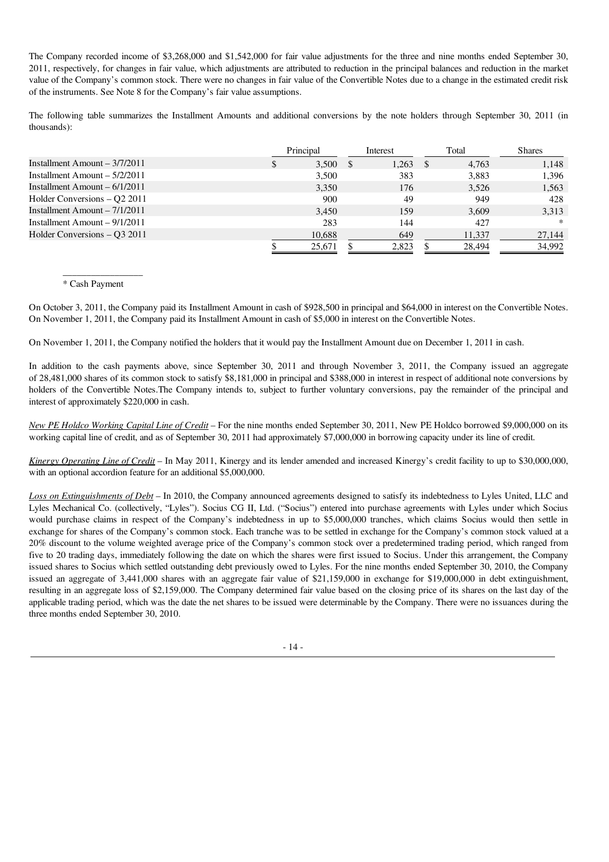The Company recorded income of \$3,268,000 and \$1,542,000 for fair value adjustments for the three and nine months ended September 30, 2011, respectively, for changes in fair value, which adjustments are attributed to reduction in the principal balances and reduction in the market value of the Company's common stock. There were no changes in fair value of the Convertible Notes due to a change in the estimated credit risk of the instruments. See Note 8 for the Company's fair value assumptions.

The following table summarizes the Installment Amounts and additional conversions by the note holders through September 30, 2011 (in thousands):

|                                | Principal | Interest | Total  | <b>Shares</b> |
|--------------------------------|-----------|----------|--------|---------------|
| Installment Amount $-3/7/2011$ | 3.500     | 1.263    | 4.763  | 1.148         |
| Installment Amount $-5/2/2011$ | 3.500     | 383      | 3.883  | 1,396         |
| Installment Amount $-6/1/2011$ | 3.350     | 176      | 3.526  | 1,563         |
| Holder Conversions – O2 2011   | 900       | 49       | 949    | 428           |
| Installment Amount $-7/1/2011$ | 3.450     | 159      | 3.609  | 3,313         |
| Installment Amount $-9/1/2011$ | 283       | 144      | 427    | $\ast$        |
| Holder Conversions – O3 2011   | 10.688    | 649      | 11,337 | 27,144        |
|                                | 25.671    | 2,823    | 28,494 | 34,992        |

\_\_\_\_\_\_\_\_\_\_\_\_\_\_\_\_\_ \* Cash Payment

On October 3, 2011, the Company paid its Installment Amount in cash of \$928,500 in principal and \$64,000 in interest on the Convertible Notes. On November 1, 2011, the Company paid its Installment Amount in cash of \$5,000 in interest on the Convertible Notes.

On November 1, 2011, the Company notified the holders that it would pay the Installment Amount due on December 1, 2011 in cash.

In addition to the cash payments above, since September 30, 2011 and through November 3, 2011, the Company issued an aggregate of 28,481,000 shares of its common stock to satisfy \$8,181,000 in principal and \$388,000 in interest in respect of additional note conversions by holders of the Convertible Notes. The Company intends to, subject to further voluntary conversions, pay the remainder of the principal and interest of approximately \$220,000 in cash.

*New PE Holdco Working Capital Line of Credit* – For the nine months ended September 30, 2011, New PE Holdco borrowed \$9,000,000 on its working capital line of credit, and as of September 30, 2011 had approximately \$7,000,000 in borrowing capacity under its line of credit.

*Kinergy Operating Line of Credit* – In May 2011, Kinergy and its lender amended and increased Kinergy's credit facility to up to \$30,000,000, with an optional accordion feature for an additional \$5,000,000.

*Loss on Extinguishments of Debt* – In 2010, the Company announced agreements designed to satisfy its indebtedness to Lyles United, LLC and Lyles Mechanical Co. (collectively, "Lyles"). Socius CG II, Ltd. ("Socius") entered into purchase agreements with Lyles under which Socius would purchase claims in respect of the Company's indebtedness in up to \$5,000,000 tranches, which claims Socius would then settle in exchange for shares of the Company's common stock. Each tranche was to be settled in exchange for the Company's common stock valued at a 20% discount to the volume weighted average price of the Company's common stock over a predetermined trading period, which ranged from five to 20 trading days, immediately following the date on which the shares were first issued to Socius. Under this arrangement, the Company issued shares to Socius which settled outstanding debt previously owed to Lyles. For the nine months ended September 30, 2010, the Company issued an aggregate of 3,441,000 shares with an aggregate fair value of \$21,159,000 in exchange for \$19,000,000 in debt extinguishment, resulting in an aggregate loss of \$2,159,000. The Company determined fair value based on the closing price of its shares on the last day of the applicable trading period, which was the date the net shares to be issued were determinable by the Company. There were no issuances during the three months ended September 30, 2010.

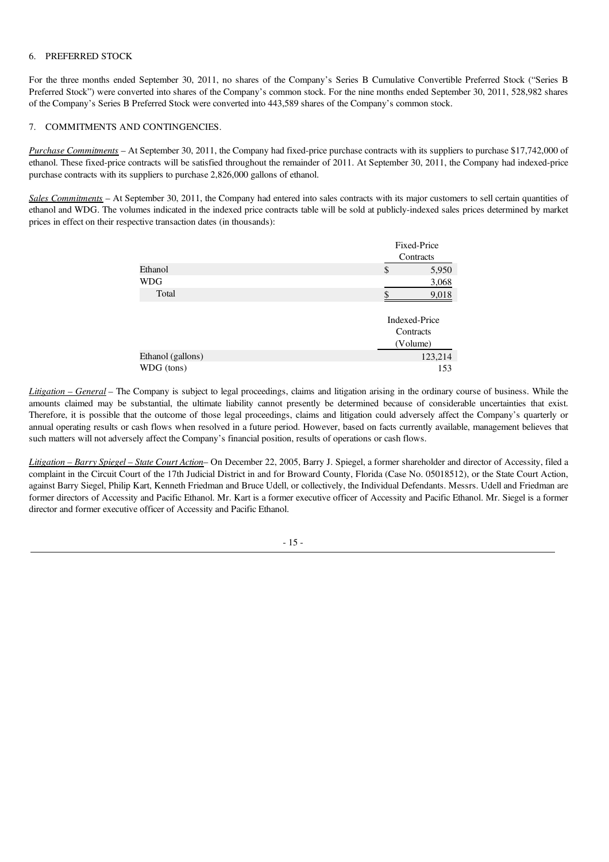#### 6. PREFERRED STOCK

For the three months ended September 30, 2011, no shares of the Company's Series B Cumulative Convertible Preferred Stock ("Series B Preferred Stock") were converted into shares of the Company's common stock. For the nine months ended September 30, 2011, 528,982 shares of the Company's Series B Preferred Stock were converted into 443,589 shares of the Company's common stock.

#### 7. COMMITMENTS AND CONTINGENCIES.

*Purchase Commitments* – At September 30, 2011, the Company had fixed-price purchase contracts with its suppliers to purchase \$17,742,000 of ethanol. These fixed-price contracts will be satisfied throughout the remainder of 2011. At September 30, 2011, the Company had indexed-price purchase contracts with its suppliers to purchase 2,826,000 gallons of ethanol.

*Sales Commitments* – At September 30, 2011, the Company had entered into sales contracts with its major customers to sell certain quantities of ethanol and WDG. The volumes indicated in the indexed price contracts table will be sold at publicly-indexed sales prices determined by market prices in effect on their respective transaction dates (in thousands):

|                   | Fixed-Price                                   |
|-------------------|-----------------------------------------------|
|                   | Contracts                                     |
| Ethanol           | 5,950<br>\$                                   |
| <b>WDG</b>        | 3,068                                         |
| Total             | 9,018                                         |
|                   | <b>Indexed-Price</b><br>Contracts<br>(Volume) |
| Ethanol (gallons) | 123,214                                       |
| WDG (tons)        | 153                                           |

*Litigation* – *General* – The Company is subject to legal proceedings, claims and litigation arising in the ordinary course of business. While the amounts claimed may be substantial, the ultimate liability cannot presently be determined because of considerable uncertainties that exist. Therefore, it is possible that the outcome of those legal proceedings, claims and litigation could adversely affect the Company's quarterly or annual operating results or cash flows when resolved in a future period. However, based on facts currently available, management believes that such matters will not adversely affect the Company's financial position, results of operations or cash flows.

*Litigation – Barry Spiegel – State Court Action*– On December 22, 2005, Barry J. Spiegel, a former shareholder and director of Accessity, filed a complaint in the Circuit Court of the 17th Judicial District in and for Broward County, Florida (Case No. 05018512), or the State Court Action, against Barry Siegel, Philip Kart, Kenneth Friedman and Bruce Udell, or collectively, the Individual Defendants. Messrs. Udell and Friedman are former directors of Accessity and Pacific Ethanol. Mr. Kart is a former executive officer of Accessity and Pacific Ethanol. Mr. Siegel is a former director and former executive officer of Accessity and Pacific Ethanol.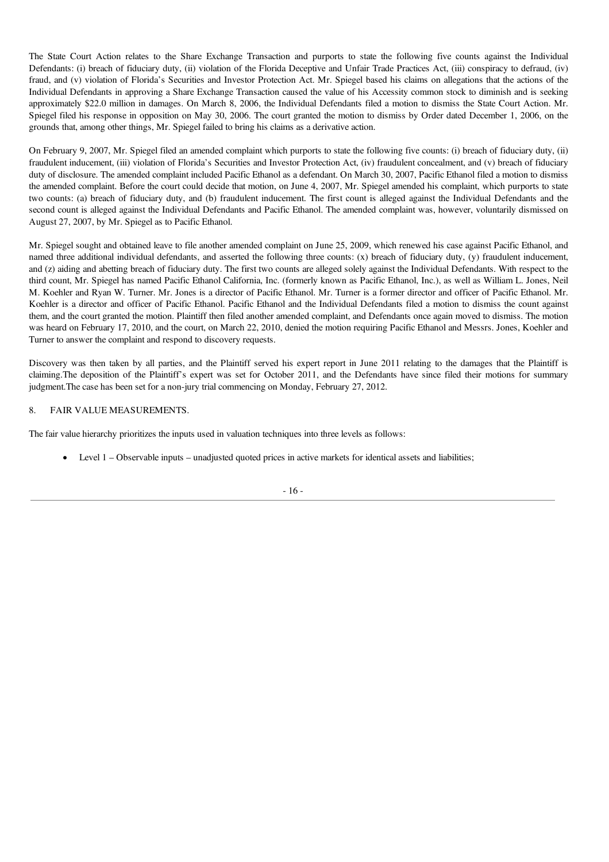The State Court Action relates to the Share Exchange Transaction and purports to state the following five counts against the Individual Defendants: (i) breach of fiduciary duty, (ii) violation of the Florida Deceptive and Unfair Trade Practices Act, (iii) conspiracy to defraud, (iv) fraud, and (v) violation of Florida's Securities and Investor Protection Act. Mr. Spiegel based his claims on allegations that the actions of the Individual Defendants in approving a Share Exchange Transaction caused the value of his Accessity common stock to diminish and is seeking approximately \$22.0 million in damages. On March 8, 2006, the Individual Defendants filed a motion to dismiss the State Court Action. Mr. Spiegel filed his response in opposition on May 30, 2006. The court granted the motion to dismiss by Order dated December 1, 2006, on the grounds that, among other things, Mr. Spiegel failed to bring his claims as a derivative action.

On February 9, 2007, Mr. Spiegel filed an amended complaint which purports to state the following five counts: (i) breach of fiduciary duty, (ii) fraudulent inducement, (iii) violation of Florida's Securities and Investor Protection Act, (iv) fraudulent concealment, and (v) breach of fiduciary duty of disclosure. The amended complaint included Pacific Ethanol as a defendant. On March 30, 2007, Pacific Ethanol filed a motion to dismiss the amended complaint. Before the court could decide that motion, on June 4, 2007, Mr. Spiegel amended his complaint, which purports to state two counts: (a) breach of fiduciary duty, and (b) fraudulent inducement. The first count is alleged against the Individual Defendants and the second count is alleged against the Individual Defendants and Pacific Ethanol. The amended complaint was, however, voluntarily dismissed on August 27, 2007, by Mr. Spiegel as to Pacific Ethanol.

Mr. Spiegel sought and obtained leave to file another amended complaint on June 25, 2009, which renewed his case against Pacific Ethanol, and named three additional individual defendants, and asserted the following three counts: (x) breach of fiduciary duty, (y) fraudulent inducement, and (z) aiding and abetting breach of fiduciary duty. The first two counts are alleged solely against the Individual Defendants. With respect to the third count, Mr. Spiegel has named Pacific Ethanol California, Inc. (formerly known as Pacific Ethanol, Inc.), as well as William L. Jones, Neil M. Koehler and Ryan W. Turner. Mr. Jones is a director of Pacific Ethanol. Mr. Turner is a former director and officer of Pacific Ethanol. Mr. Koehler is a director and officer of Pacific Ethanol. Pacific Ethanol and the Individual Defendants filed a motion to dismiss the count against them, and the court granted the motion. Plaintiff then filed another amended complaint, and Defendants once again moved to dismiss. The motion was heard on February 17, 2010, and the court, on March 22, 2010, denied the motion requiring Pacific Ethanol and Messrs. Jones, Koehler and Turner to answer the complaint and respond to discovery requests.

Discovery was then taken by all parties, and the Plaintiff served his expert report in June 2011 relating to the damages that the Plaintiff is claiming.The deposition of the Plaintiff's expert was set for October 2011, and the Defendants have since filed their motions for summary judgment.The case has been set for a non-jury trial commencing on Monday, February 27, 2012.

### 8. FAIR VALUE MEASUREMENTS.

The fair value hierarchy prioritizes the inputs used in valuation techniques into three levels as follows:

• Level 1 – Observable inputs – unadjusted quoted prices in active markets for identical assets and liabilities;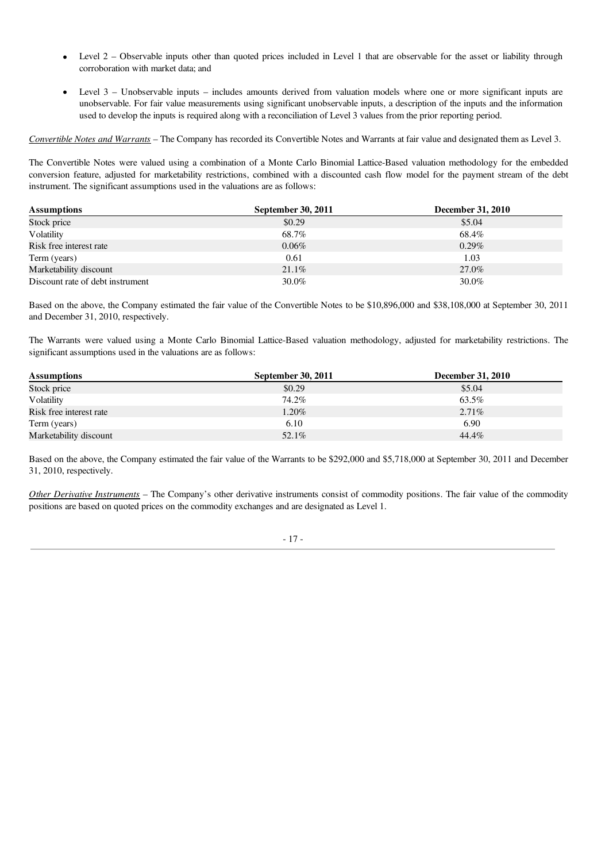- Level 2 Observable inputs other than quoted prices included in Level 1 that are observable for the asset or liability through corroboration with market data; and
- Level 3 Unobservable inputs includes amounts derived from valuation models where one or more significant inputs are unobservable. For fair value measurements using significant unobservable inputs, a description of the inputs and the information used to develop the inputs is required along with a reconciliation of Level 3 values from the prior reporting period.

*Convertible Notes and Warrants* – The Company has recorded its Convertible Notes and Warrants at fair value and designated them as Level 3.

The Convertible Notes were valued using a combination of a Monte Carlo Binomial Lattice-Based valuation methodology for the embedded conversion feature, adjusted for marketability restrictions, combined with a discounted cash flow model for the payment stream of the debt instrument. The significant assumptions used in the valuations are as follows:

| <b>Assumptions</b>               | September 30, 2011 | <b>December 31, 2010</b> |
|----------------------------------|--------------------|--------------------------|
| Stock price                      | \$0.29             | \$5.04                   |
| Volatility                       | 68.7%              | 68.4%                    |
| Risk free interest rate          | $0.06\%$           | $0.29\%$                 |
| Term (years)                     | 0.61               | 1.03                     |
| Marketability discount           | $21.1\%$           | 27.0%                    |
| Discount rate of debt instrument | 30.0%              | 30.0%                    |

Based on the above, the Company estimated the fair value of the Convertible Notes to be \$10,896,000 and \$38,108,000 at September 30, 2011 and December 31, 2010, respectively.

The Warrants were valued using a Monte Carlo Binomial Lattice-Based valuation methodology, adjusted for marketability restrictions. The significant assumptions used in the valuations are as follows:

| <b>Assumptions</b>      | <b>September 30, 2011</b> | December 31, 2010 |
|-------------------------|---------------------------|-------------------|
| Stock price             | \$0.29                    | \$5.04            |
| Volatility              | 74.2%                     | 63.5%             |
| Risk free interest rate | 1.20%                     | 2.71%             |
| Term (years)            | 6.10                      | 6.90              |
| Marketability discount  | 52.1%                     | 44.4%             |

Based on the above, the Company estimated the fair value of the Warrants to be \$292,000 and \$5,718,000 at September 30, 2011 and December 31, 2010, respectively.

*Other Derivative Instruments* – The Company's other derivative instruments consist of commodity positions. The fair value of the commodity positions are based on quoted prices on the commodity exchanges and are designated as Level 1.

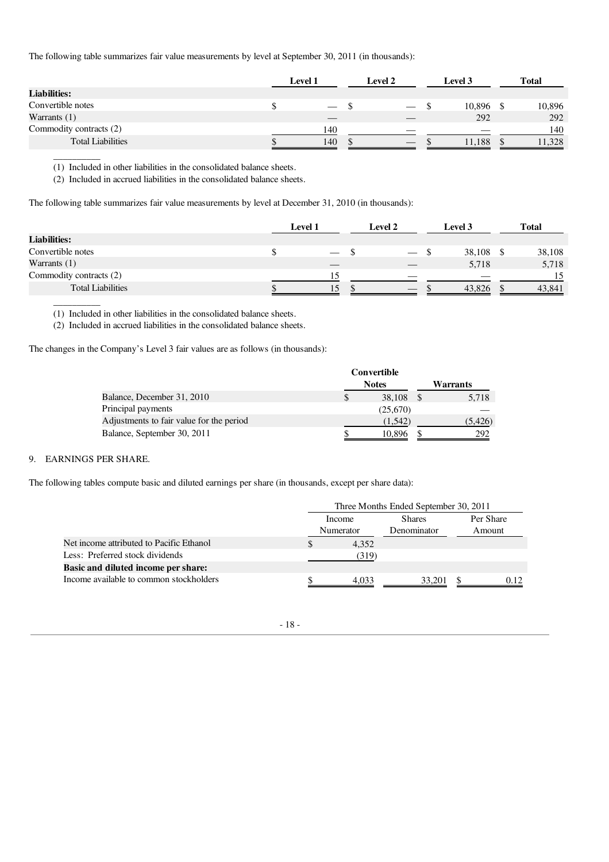The following table summarizes fair value measurements by level at September 30, 2011 (in thousands):

|                          | <b>Level 1</b>           | <b>Level 2</b> | <b>Level 3</b> | <b>Total</b> |        |  |
|--------------------------|--------------------------|----------------|----------------|--------------|--------|--|
| <b>Liabilities:</b>      |                          |                |                |              |        |  |
| Convertible notes        | $\overline{\phantom{a}}$ |                | 10,896         |              | 10,896 |  |
| Warrants $(1)$           |                          |                | 292            |              | 292    |  |
| Commodity contracts (2)  | 140                      |                |                |              | 140    |  |
| <b>Total Liabilities</b> | 140                      |                | 11.188         |              | 1,328  |  |

(1) Included in other liabilities in the consolidated balance sheets.

(2) Included in accrued liabilities in the consolidated balance sheets.

The following table summarizes fair value measurements by level at December 31, 2010 (in thousands):

|                          | <b>Level 1</b> | <b>Level 2</b>           | <b>Level 3</b> | Total             |           |        |
|--------------------------|----------------|--------------------------|----------------|-------------------|-----------|--------|
| <b>Liabilities:</b>      |                |                          |                |                   |           |        |
| Convertible notes        |                | $\overline{\phantom{m}}$ |                | $\hspace{0.05cm}$ | 38,108 \$ | 38,108 |
| Warrants $(1)$           |                |                          |                |                   | 5,718     | 5,718  |
| Commodity contracts (2)  |                |                          |                |                   |           | 15     |
| <b>Total Liabilities</b> |                | 15                       |                | $\hspace{0.05cm}$ | 43,826    | 43,841 |

(1) Included in other liabilities in the consolidated balance sheets.

(2) Included in accrued liabilities in the consolidated balance sheets.

The changes in the Company's Level 3 fair values are as follows (in thousands):

|                                          | Convertible  |          |
|------------------------------------------|--------------|----------|
|                                          | <b>Notes</b> | Warrants |
| Balance, December 31, 2010               | 38,108       | 5,718    |
| Principal payments                       | (25,670)     |          |
| Adjustments to fair value for the period | (1.542)      | (5, 426) |
| Balance, September 30, 2011              | 10,896       | 292      |

### 9. EARNINGS PER SHARE.

\_\_\_\_\_\_\_\_\_\_

\_\_\_\_\_\_\_\_\_\_

The following tables compute basic and diluted earnings per share (in thousands, except per share data):

|                                          | Three Months Ended September 30, 2011 |               |  |           |  |  |  |  |
|------------------------------------------|---------------------------------------|---------------|--|-----------|--|--|--|--|
|                                          | Income                                | <b>Shares</b> |  | Per Share |  |  |  |  |
|                                          | Numerator                             | Denominator   |  | Amount    |  |  |  |  |
| Net income attributed to Pacific Ethanol | 4.352                                 |               |  |           |  |  |  |  |
| Less: Preferred stock dividends          | (319)                                 |               |  |           |  |  |  |  |
| Basic and diluted income per share:      |                                       |               |  |           |  |  |  |  |
| Income available to common stockholders  | 4.033                                 | 33.201        |  | በ 12      |  |  |  |  |

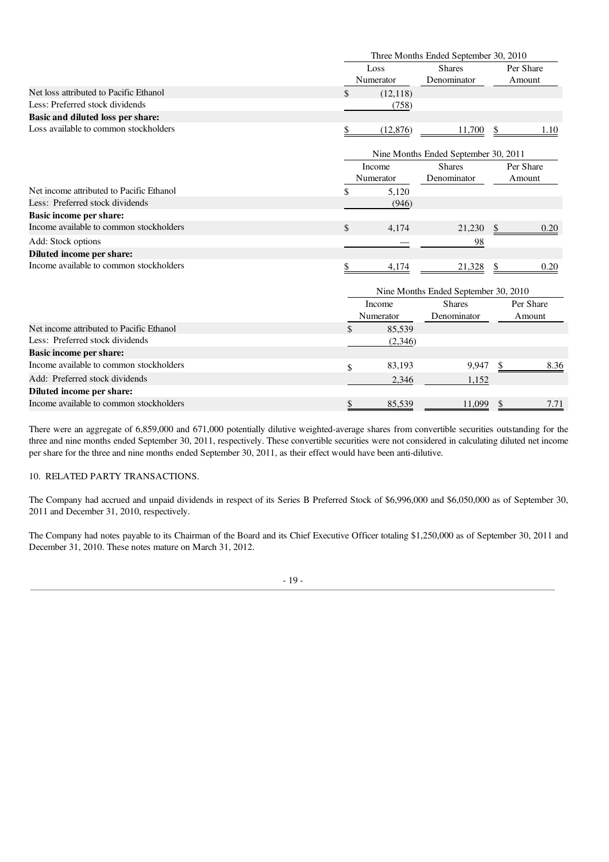|                                          |                                      |           | Three Months Ended September 30, 2010 |              |           |  |  |  |  |  |  |
|------------------------------------------|--------------------------------------|-----------|---------------------------------------|--------------|-----------|--|--|--|--|--|--|
|                                          |                                      | Loss      | <b>Shares</b>                         |              | Per Share |  |  |  |  |  |  |
|                                          |                                      | Numerator | Denominator                           |              | Amount    |  |  |  |  |  |  |
| Net loss attributed to Pacific Ethanol   | \$                                   | (12, 118) |                                       |              |           |  |  |  |  |  |  |
| Less: Preferred stock dividends          |                                      | (758)     |                                       |              |           |  |  |  |  |  |  |
| Basic and diluted loss per share:        |                                      |           |                                       |              |           |  |  |  |  |  |  |
| Loss available to common stockholders    | \$                                   | (12, 876) | 11,700                                | \$           | 1.10      |  |  |  |  |  |  |
|                                          | Nine Months Ended September 30, 2011 |           |                                       |              |           |  |  |  |  |  |  |
|                                          |                                      | Income    | <b>Shares</b>                         |              | Per Share |  |  |  |  |  |  |
|                                          |                                      | Numerator | Denominator                           |              | Amount    |  |  |  |  |  |  |
| Net income attributed to Pacific Ethanol | \$                                   | 5,120     |                                       |              |           |  |  |  |  |  |  |
| Less: Preferred stock dividends          |                                      | (946)     |                                       |              |           |  |  |  |  |  |  |
| Basic income per share:                  |                                      |           |                                       |              |           |  |  |  |  |  |  |
| Income available to common stockholders  | \$                                   | 4,174     | 21,230                                | $\mathbb{S}$ | 0.20      |  |  |  |  |  |  |
| Add: Stock options                       |                                      |           | 98                                    |              |           |  |  |  |  |  |  |
| Diluted income per share:                |                                      |           |                                       |              |           |  |  |  |  |  |  |
| Income available to common stockholders  | \$                                   | 4,174     | 21,328                                | \$           | 0.20      |  |  |  |  |  |  |
|                                          |                                      |           | Nine Months Ended September 30, 2010  |              |           |  |  |  |  |  |  |
|                                          |                                      | Income    | <b>Shares</b>                         |              | Per Share |  |  |  |  |  |  |
|                                          |                                      | Numerator | Denominator                           |              | Amount    |  |  |  |  |  |  |
| Net income attributed to Pacific Ethanol | \$                                   | 85,539    |                                       |              |           |  |  |  |  |  |  |
| Less: Preferred stock dividends          |                                      | (2,346)   |                                       |              |           |  |  |  |  |  |  |
| <b>Basic income per share:</b>           |                                      |           |                                       |              |           |  |  |  |  |  |  |
| Income available to common stockholders  | \$                                   | 83,193    | 9,947                                 | S            | 8.36      |  |  |  |  |  |  |
| Add: Preferred stock dividends           |                                      | 2,346     | 1,152                                 |              |           |  |  |  |  |  |  |
| Diluted income per share:                |                                      |           |                                       |              |           |  |  |  |  |  |  |
| Income available to common stockholders  | \$                                   | 85,539    | 11.099                                | $\mathbb{S}$ | 7.71      |  |  |  |  |  |  |

There were an aggregate of 6,859,000 and 671,000 potentially dilutive weighted-average shares from convertible securities outstanding for the three and nine months ended September 30, 2011, respectively. These convertible securities were not considered in calculating diluted net income per share for the three and nine months ended September 30, 2011, as their effect would have been anti-dilutive.

# 10. RELATED PARTY TRANSACTIONS.

The Company had accrued and unpaid dividends in respect of its Series B Preferred Stock of \$6,996,000 and \$6,050,000 as of September 30, 2011 and December 31, 2010, respectively.

The Company had notes payable to its Chairman of the Board and its Chief Executive Officer totaling \$1,250,000 as of September 30, 2011 and December 31, 2010. These notes mature on March 31, 2012.

- 19 -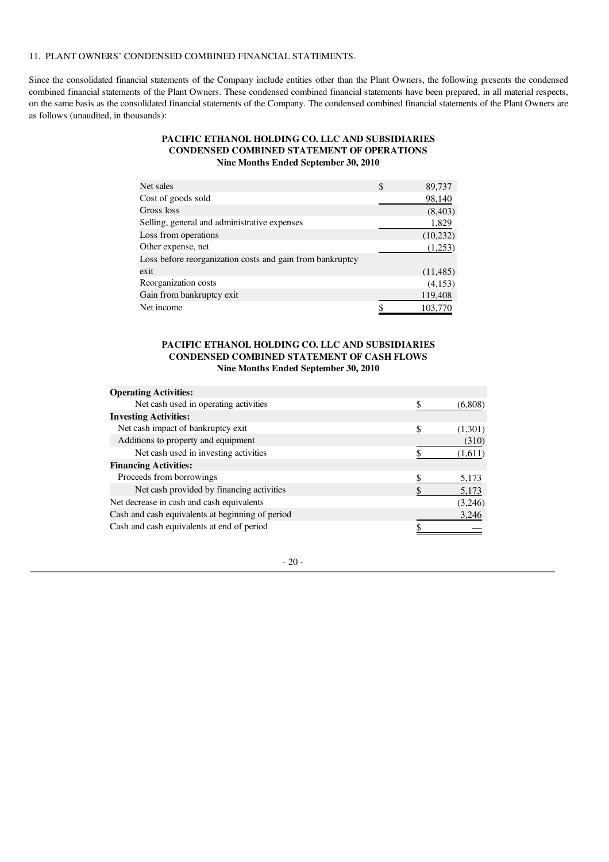### 11. PLANT OWNERS' CONDENSED COMBINED FINANCIAL STATEMENTS.

Since the consolidated financial statements of the Company include entities other than the Plant Owners, the following presents the condensed combined financial statements of the Plant Owners. These condensed combined financial statements have been prepared, in all material respects, on the same basis as the consolidated financial statements of the Company. The condensed combined financial statements of the Plant Owners are as follows (unaudited, in thousands):

# PACIFIC ETHANOL HOLDING CO. LLC AND SUBSIDIARIES CONDENSED COMBINED STATEMENT OF OPERATIONS Nine Months Ended September 30, 2010

| Net sales                                                 | \$<br>89,737 |
|-----------------------------------------------------------|--------------|
| Cost of goods sold                                        | 98,140       |
| Gross loss                                                | (8, 403)     |
| Selling, general and administrative expenses              | 1,829        |
| Loss from operations                                      | (10,232)     |
| Other expense, net                                        | (1,253)      |
| Loss before reorganization costs and gain from bankruptcy |              |
| exit                                                      | (11, 485)    |
| Reorganization costs                                      | (4,153)      |
| Gain from bankruptcy exit                                 | 119,408      |
| Net income                                                | 103,770      |

### PACIFIC ETHANOL HOLDING CO. LLC AND SUBSIDIARIES CONDENSED COMBINED STATEMENT OF CASH FLOWS Nine Months Ended September 30, 2010

| <b>Operating Activities:</b>                     |               |
|--------------------------------------------------|---------------|
| Net cash used in operating activities            | (6,808)       |
| <b>Investing Activities:</b>                     |               |
| Net cash impact of bankruptcy exit               | \$<br>(1,301) |
| Additions to property and equipment              | (310)         |
| Net cash used in investing activities            | (1,611)       |
| <b>Financing Activities:</b>                     |               |
| Proceeds from borrowings                         | 5,173         |
| Net cash provided by financing activities        | 5,173         |
| Net decrease in cash and cash equivalents        | (3,246)       |
| Cash and cash equivalents at beginning of period | 3,246         |
| Cash and cash equivalents at end of period       |               |

- 20 -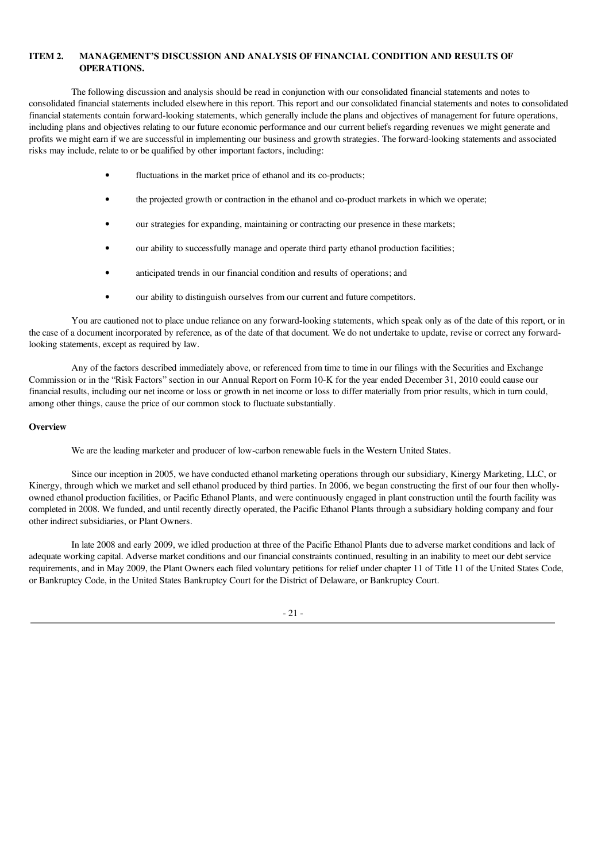# ITEM 2. MANAGEMENT'S DISCUSSION AND ANALYSIS OF FINANCIAL CONDITION AND RESULTS OF OPERATIONS.

The following discussion and analysis should be read in conjunction with our consolidated financial statements and notes to consolidated financial statements included elsewhere in this report. This report and our consolidated financial statements and notes to consolidated financial statements contain forward-looking statements, which generally include the plans and objectives of management for future operations, including plans and objectives relating to our future economic performance and our current beliefs regarding revenues we might generate and profits we might earn if we are successful in implementing our business and growth strategies. The forward-looking statements and associated risks may include, relate to or be qualified by other important factors, including:

- fluctuations in the market price of ethanol and its co-products;
- · the projected growth or contraction in the ethanol and co-product markets in which we operate;
- our strategies for expanding, maintaining or contracting our presence in these markets;
- · our ability to successfully manage and operate third party ethanol production facilities;
- · anticipated trends in our financial condition and results of operations; and
- · our ability to distinguish ourselves from our current and future competitors.

You are cautioned not to place undue reliance on any forward-looking statements, which speak only as of the date of this report, or in the case of a document incorporated by reference, as of the date of that document. We do not undertake to update, revise or correct any forwardlooking statements, except as required by law.

Any of the factors described immediately above, or referenced from time to time in our filings with the Securities and Exchange Commission or in the "Risk Factors" section in our Annual Report on Form 10-K for the year ended December 31, 2010 could cause our financial results, including our net income or loss or growth in net income or loss to differ materially from prior results, which in turn could, among other things, cause the price of our common stock to fluctuate substantially.

### **Overview**

We are the leading marketer and producer of low-carbon renewable fuels in the Western United States.

Since our inception in 2005, we have conducted ethanol marketing operations through our subsidiary, Kinergy Marketing, LLC, or Kinergy, through which we market and sell ethanol produced by third parties. In 2006, we began constructing the first of our four then whollyowned ethanol production facilities, or Pacific Ethanol Plants, and were continuously engaged in plant construction until the fourth facility was completed in 2008. We funded, and until recently directly operated, the Pacific Ethanol Plants through a subsidiary holding company and four other indirect subsidiaries, or Plant Owners.

In late 2008 and early 2009, we idled production at three of the Pacific Ethanol Plants due to adverse market conditions and lack of adequate working capital. Adverse market conditions and our financial constraints continued, resulting in an inability to meet our debt service requirements, and in May 2009, the Plant Owners each filed voluntary petitions for relief under chapter 11 of Title 11 of the United States Code, or Bankruptcy Code, in the United States Bankruptcy Court for the District of Delaware, or Bankruptcy Court.

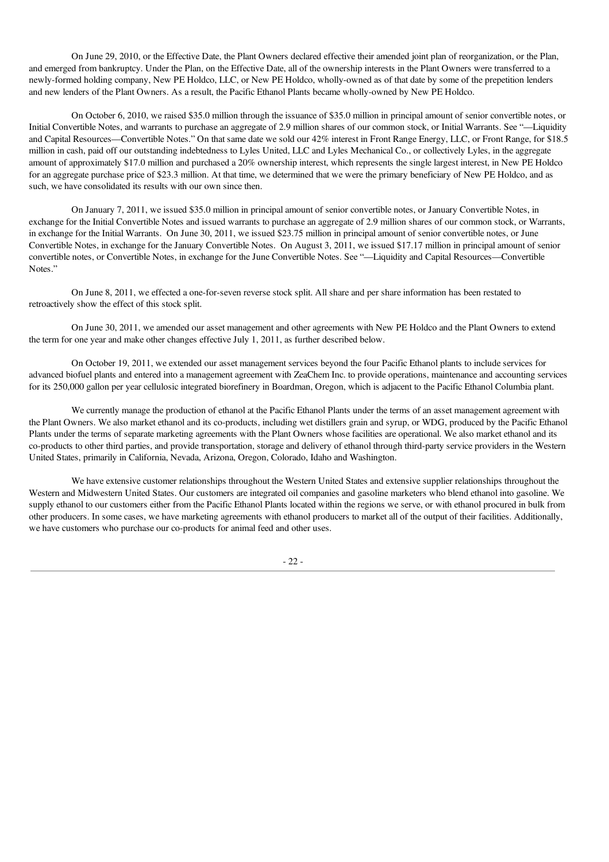On June 29, 2010, or the Effective Date, the Plant Owners declared effective their amended joint plan of reorganization, or the Plan, and emerged from bankruptcy. Under the Plan, on the Effective Date, all of the ownership interests in the Plant Owners were transferred to a newly-formed holding company, New PE Holdco, LLC, or New PE Holdco, wholly-owned as of that date by some of the prepetition lenders and new lenders of the Plant Owners. As a result, the Pacific Ethanol Plants became wholly-owned by New PE Holdco.

On October 6, 2010, we raised \$35.0 million through the issuance of \$35.0 million in principal amount of senior convertible notes, or Initial Convertible Notes, and warrants to purchase an aggregate of 2.9 million shares of our common stock, or Initial Warrants. See "—Liquidity and Capital Resources—Convertible Notes." On that same date we sold our 42% interest in Front Range Energy, LLC, or Front Range, for \$18.5 million in cash, paid off our outstanding indebtedness to Lyles United, LLC and Lyles Mechanical Co., or collectively Lyles, in the aggregate amount of approximately \$17.0 million and purchased a 20% ownership interest, which represents the single largest interest, in New PE Holdco for an aggregate purchase price of \$23.3 million. At that time, we determined that we were the primary beneficiary of New PE Holdco, and as such, we have consolidated its results with our own since then.

On January 7, 2011, we issued \$35.0 million in principal amount of senior convertible notes, or January Convertible Notes, in exchange for the Initial Convertible Notes and issued warrants to purchase an aggregate of 2.9 million shares of our common stock, or Warrants, in exchange for the Initial Warrants. On June 30, 2011, we issued \$23.75 million in principal amount of senior convertible notes, or June Convertible Notes, in exchange for the January Convertible Notes. On August 3, 2011, we issued \$17.17 million in principal amount of senior convertible notes, or Convertible Notes, in exchange for the June Convertible Notes. See "—Liquidity and Capital Resources—Convertible Notes."

On June 8, 2011, we effected a one-for-seven reverse stock split. All share and per share information has been restated to retroactively show the effect of this stock split.

On June 30, 2011, we amended our asset management and other agreements with New PE Holdco and the Plant Owners to extend the term for one year and make other changes effective July 1, 2011, as further described below.

On October 19, 2011, we extended our asset management services beyond the four Pacific Ethanol plants to include services for advanced biofuel plants and entered into a management agreement with ZeaChem Inc. to provide operations, maintenance and accounting services for its 250,000 gallon per year cellulosic integrated biorefinery in Boardman, Oregon, which is adjacent to the Pacific Ethanol Columbia plant.

We currently manage the production of ethanol at the Pacific Ethanol Plants under the terms of an asset management agreement with the Plant Owners. We also market ethanol and its co-products, including wet distillers grain and syrup, or WDG, produced by the Pacific Ethanol Plants under the terms of separate marketing agreements with the Plant Owners whose facilities are operational. We also market ethanol and its co-products to other third parties, and provide transportation, storage and delivery of ethanol through third-party service providers in the Western United States, primarily in California, Nevada, Arizona, Oregon, Colorado, Idaho and Washington.

We have extensive customer relationships throughout the Western United States and extensive supplier relationships throughout the Western and Midwestern United States. Our customers are integrated oil companies and gasoline marketers who blend ethanol into gasoline. We supply ethanol to our customers either from the Pacific Ethanol Plants located within the regions we serve, or with ethanol procured in bulk from other producers. In some cases, we have marketing agreements with ethanol producers to market all of the output of their facilities. Additionally, we have customers who purchase our co-products for animal feed and other uses.

- 22 -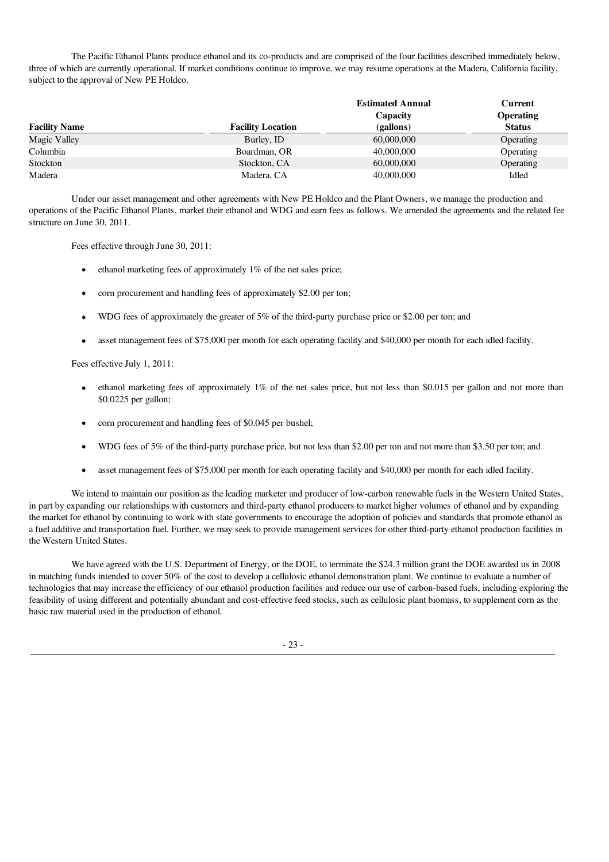The Pacific Ethanol Plants produce ethanol and its co-products and are comprised of the four facilities described immediately below, three of which are currently operational. If market conditions continue to improve, we may resume operations at the Madera, California facility, subject to the approval of New PE Holdco.

|                      |                          | <b>Estimated Annual</b> | Current          |
|----------------------|--------------------------|-------------------------|------------------|
|                      |                          | Capacity                | <b>Operating</b> |
| <b>Facility Name</b> | <b>Facility Location</b> | (gallons)               | <b>Status</b>    |
| Magic Valley         | Burley, ID               | 60,000,000              | Operating        |
| Columbia             | Boardman, OR             | 40,000,000              | Operating        |
| Stockton             | Stockton, CA             | 60,000,000              | Operating        |
| Madera               | Madera, CA               | 40,000,000              | Idled            |

Under our asset management and other agreements with New PE Holdco and the Plant Owners, we manage the production and operations of the Pacific Ethanol Plants, market their ethanol and WDG and earn fees as follows. We amended the agreements and the related fee structure on June 30, 2011.

Fees effective through June 30, 2011:

- ethanol marketing fees of approximately  $1\%$  of the net sales price;
- corn procurement and handling fees of approximately \$2.00 per ton;
- WDG fees of approximately the greater of 5% of the third-party purchase price or \$2.00 per ton; and
- asset management fees of \$75,000 per month for each operating facility and \$40,000 per month for each idled facility.

Fees effective July 1, 2011:

- ethanol marketing fees of approximately  $1\%$  of the net sales price, but not less than \$0.015 per gallon and not more than \$0.0225 per gallon;
- corn procurement and handling fees of \$0.045 per bushel;
- WDG fees of 5% of the third-party purchase price, but not less than \$2.00 per ton and not more than \$3.50 per ton; and
- asset management fees of \$75,000 per month for each operating facility and \$40,000 per month for each idled facility.

We intend to maintain our position as the leading marketer and producer of low-carbon renewable fuels in the Western United States, in part by expanding our relationships with customers and third-party ethanol producers to market higher volumes of ethanol and by expanding the market for ethanol by continuing to work with state governments to encourage the adoption of policies and standards that promote ethanol as a fuel additive and transportation fuel. Further, we may seek to provide management services for other third-party ethanol production facilities in the Western United States.

We have agreed with the U.S. Department of Energy, or the DOE, to terminate the \$24.3 million grant the DOE awarded us in 2008 in matching funds intended to cover 50% of the cost to develop a cellulosic ethanol demonstration plant. We continue to evaluate a number of technologies that may increase the efficiency of our ethanol production facilities and reduce our use of carbon-based fuels, including exploring the feasibility of using different and potentially abundant and cost-effective feed stocks, such as cellulosic plant biomass, to supplement corn as the basic raw material used in the production of ethanol.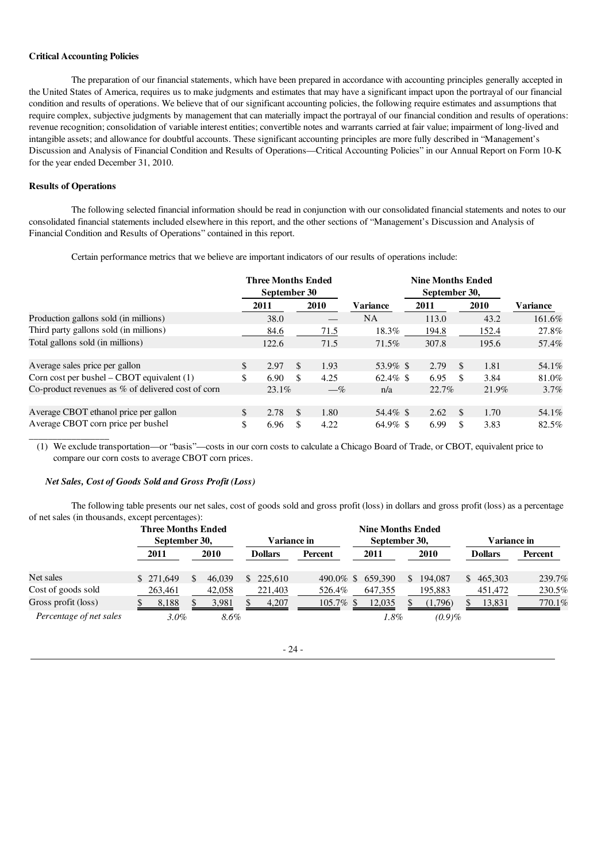#### Critical Accounting Policies

The preparation of our financial statements, which have been prepared in accordance with accounting principles generally accepted in the United States of America, requires us to make judgments and estimates that may have a significant impact upon the portrayal of our financial condition and results of operations. We believe that of our significant accounting policies, the following require estimates and assumptions that require complex, subjective judgments by management that can materially impact the portrayal of our financial condition and results of operations: revenue recognition; consolidation of variable interest entities; convertible notes and warrants carried at fair value; impairment of long-lived and intangible assets; and allowance for doubtful accounts. These significant accounting principles are more fully described in "Management's Discussion and Analysis of Financial Condition and Results of Operations—Critical Accounting Policies" in our Annual Report on Form 10-K for the year ended December 31, 2010.

#### Results of Operations

\_\_\_\_\_\_\_\_\_\_\_\_\_\_\_\_\_

The following selected financial information should be read in conjunction with our consolidated financial statements and notes to our consolidated financial statements included elsewhere in this report, and the other sections of "Management's Discussion and Analysis of Financial Condition and Results of Operations" contained in this report.

Certain performance metrics that we believe are important indicators of our results of operations include:

|                                                    | <b>Three Months Ended</b><br>September 30 |               |       |                 | <b>Nine Months Ended</b><br>September 30, |               |       |          |
|----------------------------------------------------|-------------------------------------------|---------------|-------|-----------------|-------------------------------------------|---------------|-------|----------|
|                                                    | 2011                                      |               | 2010  | <b>Variance</b> | 2011                                      |               | 2010  | Variance |
| Production gallons sold (in millions)              | 38.0                                      |               |       | <b>NA</b>       | 113.0                                     |               | 43.2  | 161.6%   |
| Third party gallons sold (in millions)             | 84.6                                      |               | 71.5  | 18.3%           | 194.8                                     |               | 152.4 | 27.8%    |
| Total gallons sold (in millions)                   | 122.6                                     |               | 71.5  | 71.5%           | 307.8                                     |               | 195.6 | 57.4%    |
| Average sales price per gallon                     | \$<br>2.97                                | \$.           | 1.93  | 53.9% \$        | 2.79                                      | <sup>\$</sup> | 1.81  | 54.1%    |
| Corn cost per bushel – CBOT equivalent $(1)$       | \$<br>6.90                                | \$.           | 4.25  | $62.4\%$ \$     | 6.95                                      | \$.           | 3.84  | 81.0%    |
| Co-product revenues as % of delivered cost of corn | $23.1\%$                                  |               | $-\%$ | n/a             | 22.7%                                     |               | 21.9% | 3.7%     |
| Average CBOT ethanol price per gallon              | \$<br>2.78                                | <sup>\$</sup> | 1.80  | 54.4% \$        | 2.62                                      | S.            | 1.70  | 54.1%    |
| Average CBOT corn price per bushel                 | \$<br>6.96                                | \$.           | 4.22  | 64.9% \$        | 6.99                                      | \$.           | 3.83  | 82.5%    |

(1) We exclude transportation—or "basis"—costs in our corn costs to calculate a Chicago Board of Trade, or CBOT, equivalent price to compare our corn costs to average CBOT corn prices.

#### *Net Sales, Cost of Goods Sold and Gross Profit (Loss)*

The following table presents our net sales, cost of goods sold and gross profit (loss) in dollars and gross profit (loss) as a percentage of net sales (in thousands, except percentages):

|                         | <b>Three Months Ended</b><br>September 30, |  |        |    | Variance in    |              | <b>Nine Months Ended</b><br>September 30, |    | <b>Variance in</b> |  |                |         |
|-------------------------|--------------------------------------------|--|--------|----|----------------|--------------|-------------------------------------------|----|--------------------|--|----------------|---------|
|                         | 2011                                       |  | 2010   |    | <b>Dollars</b> | Percent      | 2011                                      |    | 2010               |  | <b>Dollars</b> | Percent |
| Net sales               | \$ 271,649                                 |  | 46,039 | S. | 225,610        | 490.0% \$    | 659.390                                   | S. | 194.087            |  | \$465,303      | 239.7%  |
| Cost of goods sold      | 263,461                                    |  | 42,058 |    | 221,403        | 526.4%       | 647,355                                   |    | 195,883            |  | 451,472        | 230.5%  |
| Gross profit (loss)     | 8,188                                      |  | 3,981  |    | 4,207          | $105.7\%$ \$ | 12,035                                    |    | (1,796)            |  | 13,831         | 770.1%  |
| Percentage of net sales | $3.0\%$                                    |  | 8.6%   |    |                |              | 1.8%                                      |    | (0.9)%             |  |                |         |

- 24 -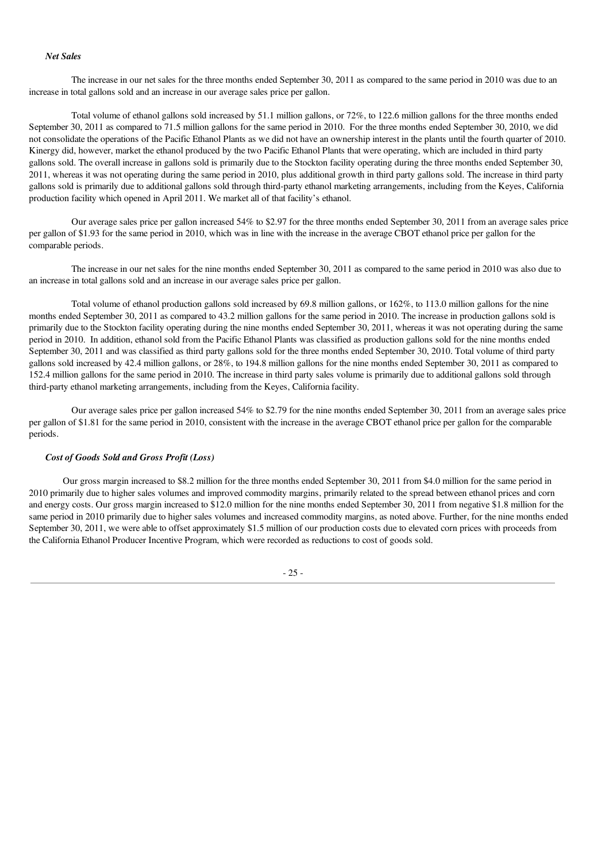#### *Net Sales*

The increase in our net sales for the three months ended September 30, 2011 as compared to the same period in 2010 was due to an increase in total gallons sold and an increase in our average sales price per gallon.

Total volume of ethanol gallons sold increased by 51.1 million gallons, or 72%, to 122.6 million gallons for the three months ended September 30, 2011 as compared to 71.5 million gallons for the same period in 2010. For the three months ended September 30, 2010, we did not consolidate the operations of the Pacific Ethanol Plants as we did not have an ownership interest in the plants until the fourth quarter of 2010. Kinergy did, however, market the ethanol produced by the two Pacific Ethanol Plants that were operating, which are included in third party gallons sold. The overall increase in gallons sold is primarily due to the Stockton facility operating during the three months ended September 30, 2011, whereas it was not operating during the same period in 2010, plus additional growth in third party gallons sold. The increase in third party gallons sold is primarily due to additional gallons sold through third-party ethanol marketing arrangements, including from the Keyes, California production facility which opened in April 2011. We market all of that facility's ethanol.

Our average sales price per gallon increased 54% to \$2.97 for the three months ended September 30, 2011 from an average sales price per gallon of \$1.93 for the same period in 2010, which was in line with the increase in the average CBOT ethanol price per gallon for the comparable periods.

The increase in our net sales for the nine months ended September 30, 2011 as compared to the same period in 2010 was also due to an increase in total gallons sold and an increase in our average sales price per gallon.

Total volume of ethanol production gallons sold increased by 69.8 million gallons, or 162%, to 113.0 million gallons for the nine months ended September 30, 2011 as compared to 43.2 million gallons for the same period in 2010. The increase in production gallons sold is primarily due to the Stockton facility operating during the nine months ended September 30, 2011, whereas it was not operating during the same period in 2010. In addition, ethanol sold from the Pacific Ethanol Plants was classified as production gallons sold for the nine months ended September 30, 2011 and was classified as third party gallons sold for the three months ended September 30, 2010. Total volume of third party gallons sold increased by 42.4 million gallons, or 28%, to 194.8 million gallons for the nine months ended September 30, 2011 as compared to 152.4 million gallons for the same period in 2010. The increase in third party sales volume is primarily due to additional gallons sold through third-party ethanol marketing arrangements, including from the Keyes, California facility.

Our average sales price per gallon increased 54% to \$2.79 for the nine months ended September 30, 2011 from an average sales price per gallon of \$1.81 for the same period in 2010, consistent with the increase in the average CBOT ethanol price per gallon for the comparable periods.

### *Cost of Goods Sold and Gross Profit (Loss)*

Our gross margin increased to \$8.2 million for the three months ended September 30, 2011 from \$4.0 million for the same period in 2010 primarily due to higher sales volumes and improved commodity margins, primarily related to the spread between ethanol prices and corn and energy costs. Our gross margin increased to \$12.0 million for the nine months ended September 30, 2011 from negative \$1.8 million for the same period in 2010 primarily due to higher sales volumes and increased commodity margins, as noted above. Further, for the nine months ended September 30, 2011, we were able to offset approximately \$1.5 million of our production costs due to elevated corn prices with proceeds from the California Ethanol Producer Incentive Program, which were recorded as reductions to cost of goods sold.

- 25 -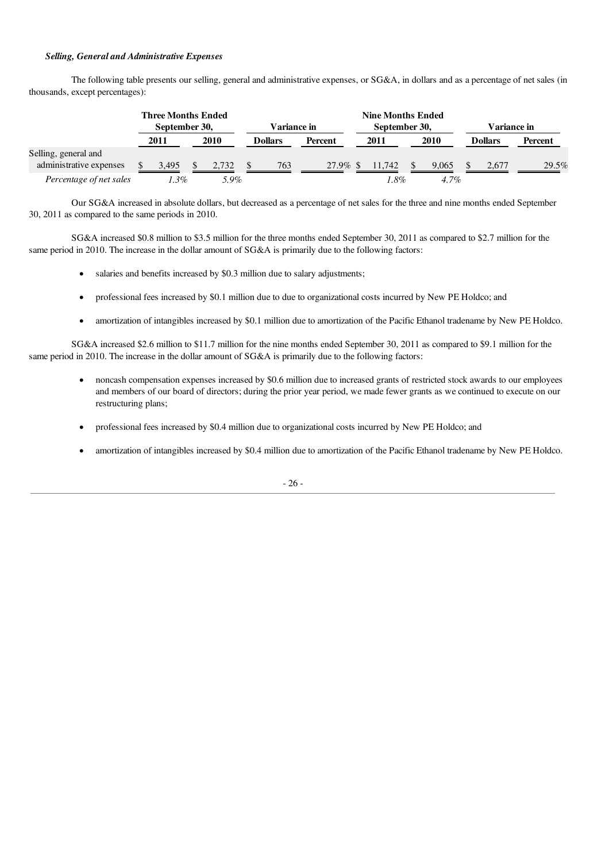### *Selling, General and Administrative Expenses*

The following table presents our selling, general and administrative expenses, or SG&A, in dollars and as a percentage of net sales (in thousands, except percentages):

|                         |               | <b>Three Months Ended</b> |  |       |  |             |               | <b>Nine Months Ended</b> |        |             |         |  |         |         |  |  |
|-------------------------|---------------|---------------------------|--|-------|--|-------------|---------------|--------------------------|--------|-------------|---------|--|---------|---------|--|--|
|                         | September 30, |                           |  |       |  | Variance in | September 30, |                          |        | Variance in |         |  |         |         |  |  |
|                         |               | 2011                      |  | 2010  |  | Dollars     | Percent       |                          | 2011   |             | 2010    |  | Dollars | Percent |  |  |
| Selling, general and    |               |                           |  |       |  |             |               |                          |        |             |         |  |         |         |  |  |
| administrative expenses |               | 3.495                     |  | 2.732 |  | 763         | 27.9% \$      |                          | 11.742 |             | 9.065   |  | 2.677   | 29.5%   |  |  |
| Percentage of net sales |               | 1.3%                      |  | 5.9%  |  |             |               |                          | 1.8%   |             | $4.7\%$ |  |         |         |  |  |

Our SG&A increased in absolute dollars, but decreased as a percentage of net sales for the three and nine months ended September 30, 2011 as compared to the same periods in 2010.

SG&A increased \$0.8 million to \$3.5 million for the three months ended September 30, 2011 as compared to \$2.7 million for the same period in 2010. The increase in the dollar amount of SG&A is primarily due to the following factors:

- salaries and benefits increased by \$0.3 million due to salary adjustments;
- · professional fees increased by \$0.1 million due to due to organizational costs incurred by New PE Holdco; and
- · amortization of intangibles increased by \$0.1 million due to amortization of the Pacific Ethanol tradename by New PE Holdco.

SG&A increased \$2.6 million to \$11.7 million for the nine months ended September 30, 2011 as compared to \$9.1 million for the same period in 2010. The increase in the dollar amount of SG&A is primarily due to the following factors:

- noncash compensation expenses increased by \$0.6 million due to increased grants of restricted stock awards to our employees and members of our board of directors; during the prior year period, we made fewer grants as we continued to execute on our restructuring plans;
- professional fees increased by \$0.4 million due to organizational costs incurred by New PE Holdco; and
- · amortization of intangibles increased by \$0.4 million due to amortization of the Pacific Ethanol tradename by New PE Holdco.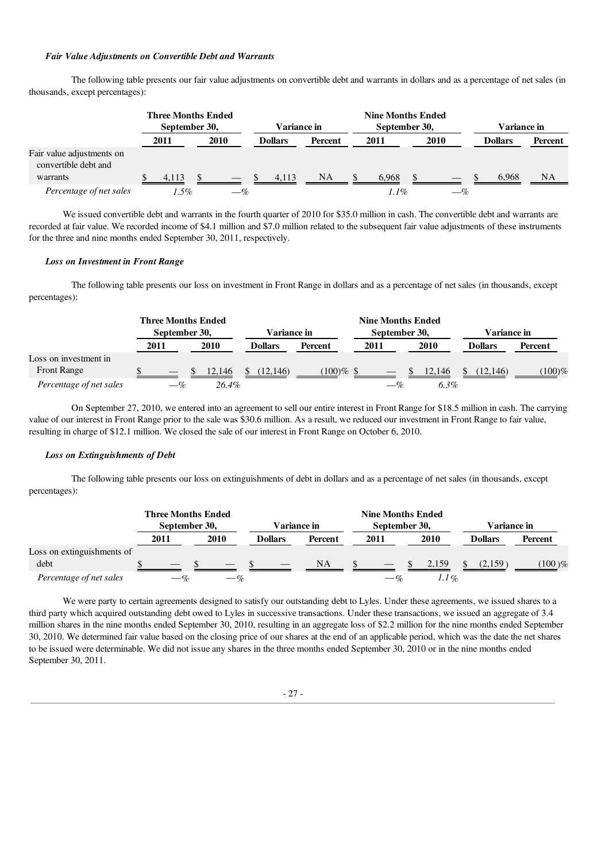#### *Fair Value Adjustments on Convertible Debt and Warrants*

The following table presents our fair value adjustments on convertible debt and warrants in dollars and as a percentage of net sales (in thousands, except percentages):

|                                                   | <b>Three Months Ended</b><br>September 30, |                                 | Variance in    |           | <b>Nine Months Ended</b><br>September 30, |                                | Variance in    |         |
|---------------------------------------------------|--------------------------------------------|---------------------------------|----------------|-----------|-------------------------------------------|--------------------------------|----------------|---------|
|                                                   | 2011                                       | 2010                            | <b>Dollars</b> | Percent   | 2011                                      | 2010                           | <b>Dollars</b> | Percent |
| Fair value adjustments on<br>convertible debt and |                                            |                                 |                |           |                                           |                                |                |         |
| warrants                                          | 4.113                                      | $\hspace{0.1mm}-\hspace{0.1mm}$ | 4,113          | <b>NA</b> | 6.968                                     | $\overbrace{\hspace{25mm}}^{}$ | 6.968          | NA      |
| Percentage of net sales                           | $1.5\%$                                    | $-\%$                           |                |           | $1.1\%$                                   | $-\%$                          |                |         |

We issued convertible debt and warrants in the fourth quarter of 2010 for \$35.0 million in cash. The convertible debt and warrants are recorded at fair value. We recorded income of \$4.1 million and \$7.0 million related to the subsequent fair value adjustments of these instruments for the three and nine months ended September 30, 2011, respectively.

#### *Loss on Investment in Front Range*

The following table presents our loss on investment in Front Range in dollars and as a percentage of net sales (in thousands, except percentages):

|                         |      | September 30, | <b>Three Months Ended</b> | Variance in     |              | <b>Nine Months Ended</b><br>September 30, |         | Variance in    |           |
|-------------------------|------|---------------|---------------------------|-----------------|--------------|-------------------------------------------|---------|----------------|-----------|
|                         | 2011 |               | <b>2010</b>               | <b>Dollars</b>  | Percent      | 2011                                      | 2010    | <b>Dollars</b> | Percent   |
| Loss on investment in   |      |               |                           |                 |              |                                           |         |                |           |
| <b>Front Range</b>      |      |               | 12,146                    | S.<br>(12, 146) | $(100)\%$ \$ |                                           | 12,146  | (12, 146)      | $(100)\%$ |
| Percentage of net sales |      | $-\%$         | 26.4%                     |                 |              | $-\%$                                     | $6.3\%$ |                |           |

On September 27, 2010, we entered into an agreement to sell our entire interest in Front Range for \$18.5 million in cash. The carrying value of our interest in Front Range prior to the sale was \$30.6 million. As a result, we reduced our investment in Front Range to fair value, resulting in charge of \$12.1 million. We closed the sale of our interest in Front Range on October 6, 2010.

## *Loss on Extinguishments of Debt*

The following table presents our loss on extinguishments of debt in dollars and as a percentage of net sales (in thousands, except percentages):

|                            | <b>Three Months Ended</b><br>September 30, |  |                                 |  |                                 | √ariance in | <b>Nine Months Ended</b><br>September 30, |       | Variance in    |           |
|----------------------------|--------------------------------------------|--|---------------------------------|--|---------------------------------|-------------|-------------------------------------------|-------|----------------|-----------|
|                            | 2011                                       |  | 2010                            |  | <b>Dollars</b>                  | Percent     | 2011                                      | 2010  | <b>Dollars</b> | Percent   |
| Loss on extinguishments of |                                            |  |                                 |  |                                 |             |                                           |       |                |           |
| debt                       |                                            |  | $\hspace{0.1mm}-\hspace{0.1mm}$ |  | $\hspace{0.1mm}-\hspace{0.1mm}$ | NA.         | $\hspace{0.1mm}-\hspace{0.1mm}$           | 2,159 | (2,159)        | $(100)\%$ |
| Percentage of net sales    |                                            |  |                                 |  |                                 |             | $-\%$                                     | l.1%  |                |           |

We were party to certain agreements designed to satisfy our outstanding debt to Lyles. Under these agreements, we issued shares to a third party which acquired outstanding debt owed to Lyles in successive transactions. Under these transactions, we issued an aggregate of 3.4 million shares in the nine months ended September 30, 2010, resulting in an aggregate loss of \$2.2 million for the nine months ended September 30, 2010. We determined fair value based on the closing price of our shares at the end of an applicable period, which was the date the net shares to be issued were determinable. We did not issue any shares in the three months ended September 30, 2010 or in the nine months ended September 30, 2011.

- 27 -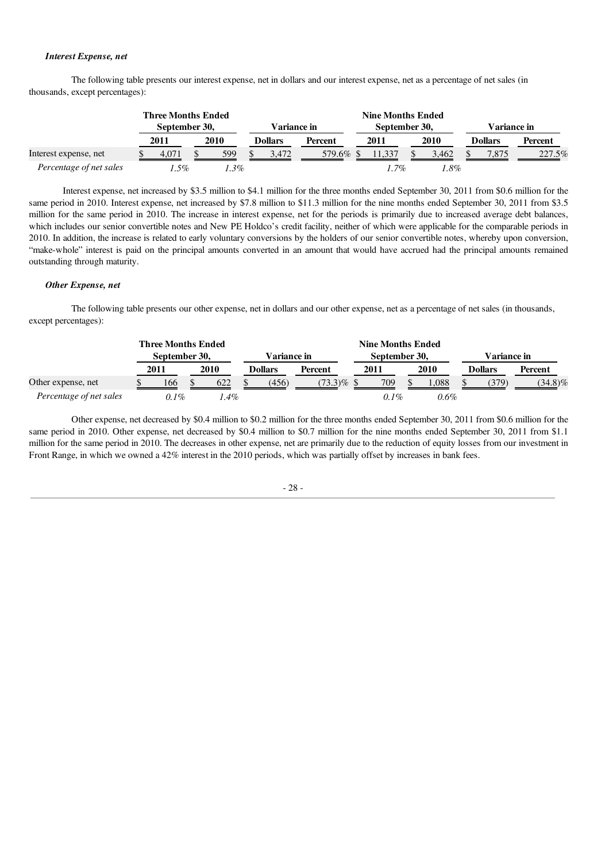### *Interest Expense, net*

The following table presents our interest expense, net in dollars and our interest expense, net as a percentage of net sales (in thousands, except percentages):

|                         | <b>Three Months Ended</b> |  |        |  |             |           | <b>Nine Months Ended</b> |       |             |         |
|-------------------------|---------------------------|--|--------|--|-------------|-----------|--------------------------|-------|-------------|---------|
|                         | September 30,             |  |        |  | Variance in |           | September 30.            |       | Variance in |         |
|                         | 2011                      |  | 2010   |  | Dollars     | Percent   | 2011                     | 2010  | Dollars     | Percent |
| Interest expense, net   | 4.071                     |  | 599    |  | 3.472       | 579.6% \$ | 11.337                   | 3.462 | 7.875       | 227.5%  |
| Percentage of net sales | $.5\%$                    |  | $.3\%$ |  |             |           | $.7\%$                   | 1.8%  |             |         |

Interest expense, net increased by \$3.5 million to \$4.1 million for the three months ended September 30, 2011 from \$0.6 million for the same period in 2010. Interest expense, net increased by \$7.8 million to \$11.3 million for the nine months ended September 30, 2011 from \$3.5 million for the same period in 2010. The increase in interest expense, net for the periods is primarily due to increased average debt balances, which includes our senior convertible notes and New PE Holdco's credit facility, neither of which were applicable for the comparable periods in 2010. In addition, the increase is related to early voluntary conversions by the holders of our senior convertible notes, whereby upon conversion, "make-whole" interest is paid on the principal amounts converted in an amount that would have accrued had the principal amounts remained outstanding through maturity.

# *Other Expense, net*

The following table presents our other expense, net in dollars and our other expense, net as a percentage of net sales (in thousands, except percentages):

|                         | <b>Three Months Ended</b> |      |             |               | <b>Nine Months Ended</b> |      |                |            |
|-------------------------|---------------------------|------|-------------|---------------|--------------------------|------|----------------|------------|
|                         | September 30,             |      | Variance in |               | September 30,            |      | Variance in    |            |
|                         | 2011                      | 2010 | Dollars     | Percent       | 2011                     | 2010 | <b>Dollars</b> | Percent    |
| Other expense, net      | 166                       | 622  | (456)       | $(73.3)\%$ \$ | 709                      | .088 | (379)          | $(34.8)\%$ |
| Percentage of net sales | 0.1%                      | .4%  |             |               | $0.1\%$                  | 0.6% |                |            |

Other expense, net decreased by \$0.4 million to \$0.2 million for the three months ended September 30, 2011 from \$0.6 million for the same period in 2010. Other expense, net decreased by \$0.4 million to \$0.7 million for the nine months ended September 30, 2011 from \$1.1 million for the same period in 2010. The decreases in other expense, net are primarily due to the reduction of equity losses from our investment in Front Range, in which we owned a 42% interest in the 2010 periods, which was partially offset by increases in bank fees.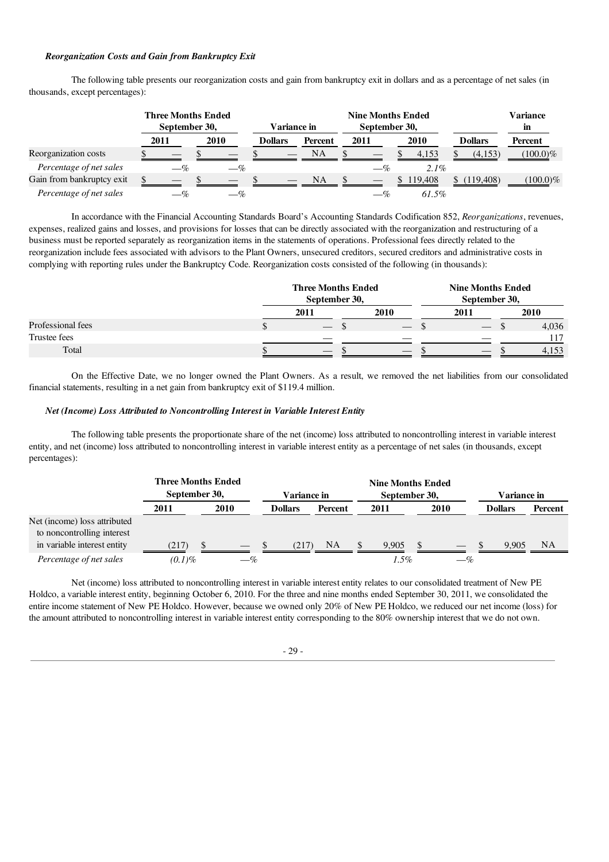### *Reorganization Costs and Gain from Bankruptcy Exit*

The following table presents our reorganization costs and gain from bankruptcy exit in dollars and as a percentage of net sales (in thousands, except percentages):

|                           | <b>Three Months Ended</b><br>September 30,<br>2011 |  |       |  | <b>Variance in</b> |           | <b>Nine Months Ended</b><br>September 30, |           |                | Variance<br>in |
|---------------------------|----------------------------------------------------|--|-------|--|--------------------|-----------|-------------------------------------------|-----------|----------------|----------------|
|                           |                                                    |  | 2010  |  | <b>Dollars</b>     | Percent   | 2011                                      | 2010      | <b>Dollars</b> | Percent        |
| Reorganization costs      |                                                    |  |       |  |                    | NΑ        |                                           | 4,153     | (4,153)        | $(100.0)\%$    |
| Percentage of net sales   | $-\%$                                              |  | $-\%$ |  |                    |           | $-\%$                                     | 2.1%      |                |                |
| Gain from bankruptcy exit |                                                    |  |       |  |                    | <b>NA</b> |                                           | \$119,408 | (119, 408)     | $(100.0)\%$    |
| Percentage of net sales   |                                                    |  |       |  |                    |           | $-\%$                                     | 61.5%     |                |                |

In accordance with the Financial Accounting Standards Board's Accounting Standards Codification 852, *Reorganizations*, revenues, expenses, realized gains and losses, and provisions for losses that can be directly associated with the reorganization and restructuring of a business must be reported separately as reorganization items in the statements of operations. Professional fees directly related to the reorganization include fees associated with advisors to the Plant Owners, unsecured creditors, secured creditors and administrative costs in complying with reporting rules under the Bankruptcy Code. Reorganization costs consisted of the following (in thousands):

|                   | <b>Three Months Ended</b><br>September 30, |                   | <b>Nine Months Ended</b><br>September 30, |       |
|-------------------|--------------------------------------------|-------------------|-------------------------------------------|-------|
|                   | 2011                                       | 2010              | 2011                                      | 2010  |
| Professional fees | ___                                        | $\hspace{0.05cm}$ |                                           | 4,036 |
| Trustee fees      |                                            |                   |                                           | 17    |
| Total             | __                                         | $-$               |                                           | 4.153 |

On the Effective Date, we no longer owned the Plant Owners. As a result, we removed the net liabilities from our consolidated financial statements, resulting in a net gain from bankruptcy exit of \$119.4 million.

### *Net (Income) Loss Attributed to Noncontrolling Interest in Variable Interest Entity*

The following table presents the proportionate share of the net (income) loss attributed to noncontrolling interest in variable interest entity, and net (income) loss attributed to noncontrolling interest in variable interest entity as a percentage of net sales (in thousands, except percentages):

|                                                            | <b>Three Months Ended</b><br>September 30, |             | <b>Variance in</b> |         | <b>Nine Months Ended</b><br>September 30, |             | Variance in    |           |
|------------------------------------------------------------|--------------------------------------------|-------------|--------------------|---------|-------------------------------------------|-------------|----------------|-----------|
|                                                            | 2011                                       | <b>2010</b> | <b>Dollars</b>     | Percent | 2011                                      | <b>2010</b> | <b>Dollars</b> | Percent   |
| Net (income) loss attributed<br>to noncontrolling interest |                                            |             |                    |         |                                           |             |                |           |
| in variable interest entity                                | 217                                        |             | (217)              | NA.     | 9.905                                     |             | 9.905          | <b>NA</b> |
| Percentage of net sales                                    | $(0.1)\%$                                  | $-\%$       |                    |         | 1.5%                                      | $-\%$       |                |           |

Net (income) loss attributed to noncontrolling interest in variable interest entity relates to our consolidated treatment of New PE Holdco, a variable interest entity, beginning October 6, 2010. For the three and nine months ended September 30, 2011, we consolidated the entire income statement of New PE Holdco. However, because we owned only 20% of New PE Holdco, we reduced our net income (loss) for the amount attributed to noncontrolling interest in variable interest entity corresponding to the 80% ownership interest that we do not own.

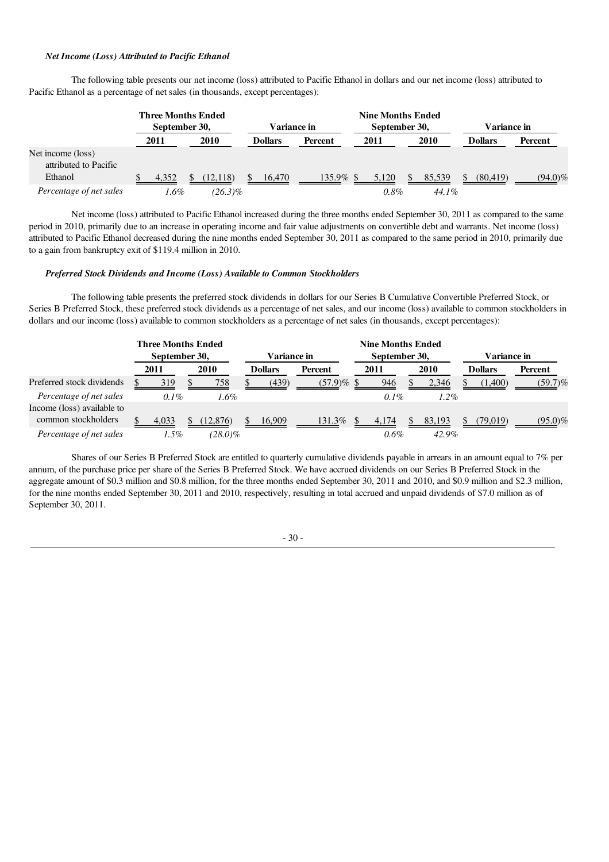#### *Net Income (Loss) Attributed to Pacific Ethanol*

The following table presents our net income (loss) attributed to Pacific Ethanol in dollars and our net income (loss) attributed to Pacific Ethanol as a percentage of net sales (in thousands, except percentages):

|                                                       | <b>Three Months Ended</b><br>September 30,<br>2011 |  | Variance in |                | <b>Nine Months Ended</b><br>September 30, |         | Variance in |                |            |
|-------------------------------------------------------|----------------------------------------------------|--|-------------|----------------|-------------------------------------------|---------|-------------|----------------|------------|
|                                                       |                                                    |  | 2010        | <b>Dollars</b> | Percent                                   | 2011    | 2010        | <b>Dollars</b> | Percent    |
| Net income (loss)<br>attributed to Pacific<br>Ethanol | 4.352                                              |  | 12.118)     | 16,470         | $135.9\%$ \$                              | 5,120   | 85,539      | (80, 419)      | $(94.0)\%$ |
| Percentage of net sales                               | .6%                                                |  | $(26.3)\%$  |                |                                           | $0.8\%$ | 44.1%       |                |            |

Net income (loss) attributed to Pacific Ethanol increased during the three months ended September 30, 2011 as compared to the same period in 2010, primarily due to an increase in operating income and fair value adjustments on convertible debt and warrants. Net income (loss) attributed to Pacific Ethanol decreased during the nine months ended September 30, 2011 as compared to the same period in 2010, primarily due to a gain from bankruptcy exit of \$119.4 million in 2010.

#### *Preferred Stock Dividends and Income (Loss) Available to Common Stockholders*

The following table presents the preferred stock dividends in dollars for our Series B Cumulative Convertible Preferred Stock, or Series B Preferred Stock, these preferred stock dividends as a percentage of net sales, and our income (loss) available to common stockholders in dollars and our income (loss) available to common stockholders as a percentage of net sales (in thousands, except percentages):

|                            | <b>Three Months Ended</b> |            |                |               | <b>Nine Months Ended</b> |         |                    |            |
|----------------------------|---------------------------|------------|----------------|---------------|--------------------------|---------|--------------------|------------|
|                            | September 30,             |            | Variance in    |               | September 30,            |         | <b>Variance in</b> |            |
|                            | 2011                      | 2010       | <b>Dollars</b> | Percent       | 2011                     | 2010    | <b>Dollars</b>     | Percent    |
| Preferred stock dividends  | 319                       | 758        | (439)          | $(57.9)\%$ \$ | 946                      | 2,346   | (1,400)            | $(59.7)\%$ |
| Percentage of net sales    | $0.1\%$                   | 1.6%       |                |               | $0.1\%$                  | $1.2\%$ |                    |            |
| Income (loss) available to |                           |            |                |               |                          |         |                    |            |
| common stockholders        | 4,033                     | 12,876)    | 16.909         | 131.3%        | 4.174                    | 83,193  | (79,019)           | $(95.0)\%$ |
| Percentage of net sales    | 1.5%                      | $(28.0)\%$ |                |               | 0.6%                     | 42.9%   |                    |            |

Shares of our Series B Preferred Stock are entitled to quarterly cumulative dividends payable in arrears in an amount equal to 7% per annum, of the purchase price per share of the Series B Preferred Stock. We have accrued dividends on our Series B Preferred Stock in the aggregate amount of \$0.3 million and \$0.8 million, for the three months ended September 30, 2011 and 2010, and \$0.9 million and \$2.3 million, for the nine months ended September 30, 2011 and 2010, respectively, resulting in total accrued and unpaid dividends of \$7.0 million as of September 30, 2011.

- 30 -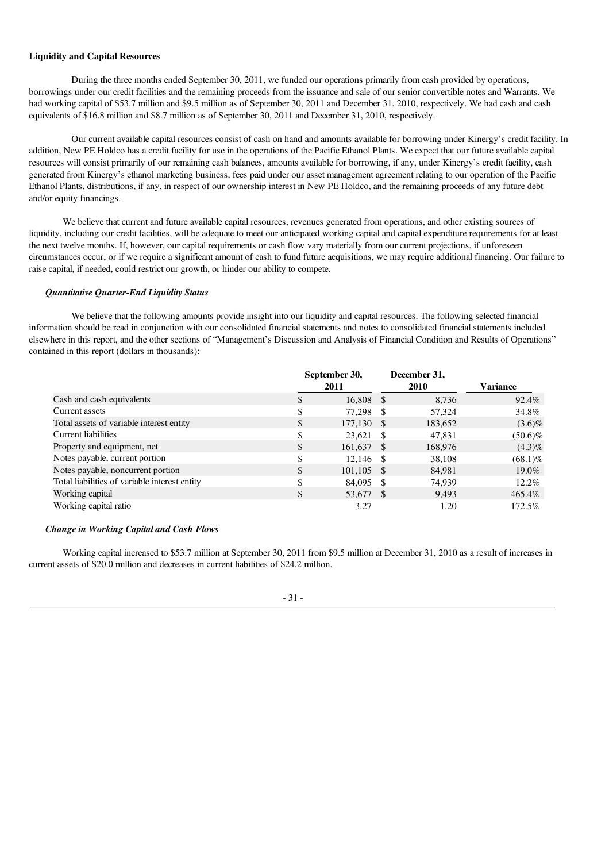#### Liquidity and Capital Resources

During the three months ended September 30, 2011, we funded our operations primarily from cash provided by operations, borrowings under our credit facilities and the remaining proceeds from the issuance and sale of our senior convertible notes and Warrants. We had working capital of \$53.7 million and \$9.5 million as of September 30, 2011 and December 31, 2010, respectively. We had cash and cash equivalents of \$16.8 million and \$8.7 million as of September 30, 2011 and December 31, 2010, respectively.

Our current available capital resources consist of cash on hand and amounts available for borrowing under Kinergy's credit facility. In addition, New PE Holdco has a credit facility for use in the operations of the Pacific Ethanol Plants. We expect that our future available capital resources will consist primarily of our remaining cash balances, amounts available for borrowing, if any, under Kinergy's credit facility, cash generated from Kinergy's ethanol marketing business, fees paid under our asset management agreement relating to our operation of the Pacific Ethanol Plants, distributions, if any, in respect of our ownership interest in New PE Holdco, and the remaining proceeds of any future debt and/or equity financings.

We believe that current and future available capital resources, revenues generated from operations, and other existing sources of liquidity, including our credit facilities, will be adequate to meet our anticipated working capital and capital expenditure requirements for at least the next twelve months. If, however, our capital requirements or cash flow vary materially from our current projections, if unforeseen circumstances occur, or if we require a significant amount of cash to fund future acquisitions, we may require additional financing. Our failure to raise capital, if needed, could restrict our growth, or hinder our ability to compete.

#### *Quantitative Quarter-End Liquidity Status*

We believe that the following amounts provide insight into our liquidity and capital resources. The following selected financial information should be read in conjunction with our consolidated financial statements and notes to consolidated financial statements included elsewhere in this report, and the other sections of "Management's Discussion and Analysis of Financial Condition and Results of Operations" contained in this report (dollars in thousands):

|                                               | September 30,<br>2011 |      | December 31,<br>2010 | Variance   |
|-----------------------------------------------|-----------------------|------|----------------------|------------|
| Cash and cash equivalents                     | 16,808                | - \$ | 8,736                | 92.4%      |
| Current assets                                | \$<br>77,298          | -S   | 57,324               | 34.8%      |
| Total assets of variable interest entity      | \$<br>177,130         | -S   | 183,652              | $(3.6)\%$  |
| Current liabilities                           | \$<br>23,621          | - \$ | 47,831               | $(50.6)\%$ |
| Property and equipment, net                   | \$<br>161,637         | -8   | 168,976              | $(4.3)\%$  |
| Notes payable, current portion                | \$<br>12,146          | - S  | 38,108               | $(68.1)\%$ |
| Notes payable, noncurrent portion             | \$<br>101,105         | ∣\$  | 84,981               | 19.0%      |
| Total liabilities of variable interest entity | \$<br>84,095          | - \$ | 74,939               | 12.2%      |
| Working capital                               | \$<br>53,677          | - \$ | 9.493                | 465.4%     |
| Working capital ratio                         | 3.27                  |      | 1.20                 | 172.5%     |

### *Change in Working Capital and Cash Flows*

Working capital increased to \$53.7 million at September 30, 2011 from \$9.5 million at December 31, 2010 as a result of increases in current assets of \$20.0 million and decreases in current liabilities of \$24.2 million.

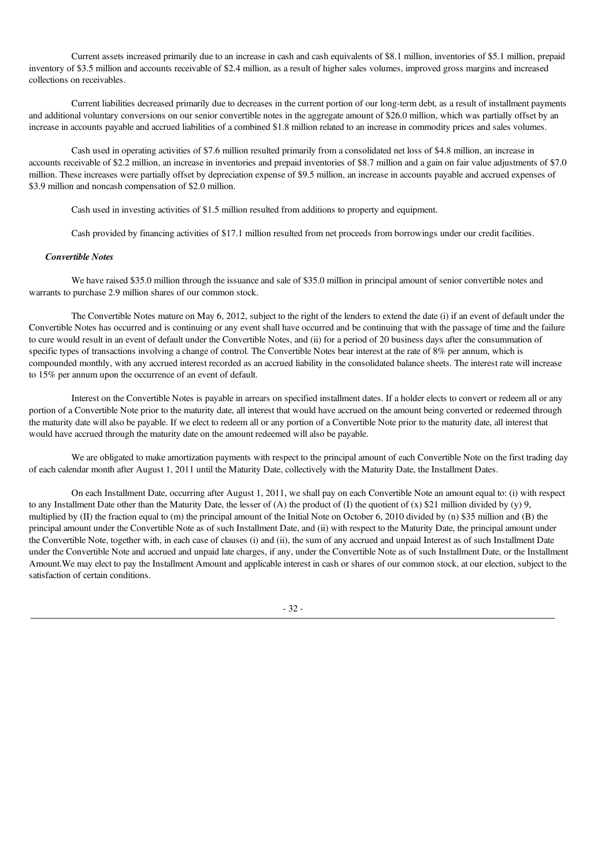Current assets increased primarily due to an increase in cash and cash equivalents of \$8.1 million, inventories of \$5.1 million, prepaid inventory of \$3.5 million and accounts receivable of \$2.4 million, as a result of higher sales volumes, improved gross margins and increased collections on receivables.

Current liabilities decreased primarily due to decreases in the current portion of our long-term debt, as a result of installment payments and additional voluntary conversions on our senior convertible notes in the aggregate amount of \$26.0 million, which was partially offset by an increase in accounts payable and accrued liabilities of a combined \$1.8 million related to an increase in commodity prices and sales volumes.

Cash used in operating activities of \$7.6 million resulted primarily from a consolidated net loss of \$4.8 million, an increase in accounts receivable of \$2.2 million, an increase in inventories and prepaid inventories of \$8.7 million and a gain on fair value adjustments of \$7.0 million. These increases were partially offset by depreciation expense of \$9.5 million, an increase in accounts payable and accrued expenses of \$3.9 million and noncash compensation of \$2.0 million.

Cash used in investing activities of \$1.5 million resulted from additions to property and equipment.

Cash provided by financing activities of \$17.1 million resulted from net proceeds from borrowings under our credit facilities.

### *Convertible Notes*

We have raised \$35.0 million through the issuance and sale of \$35.0 million in principal amount of senior convertible notes and warrants to purchase 2.9 million shares of our common stock.

The Convertible Notes mature on May 6, 2012, subject to the right of the lenders to extend the date (i) if an event of default under the Convertible Notes has occurred and is continuing or any event shall have occurred and be continuing that with the passage of time and the failure to cure would result in an event of default under the Convertible Notes, and (ii) for a period of 20 business days after the consummation of specific types of transactions involving a change of control. The Convertible Notes bear interest at the rate of 8% per annum, which is compounded monthly, with any accrued interest recorded as an accrued liability in the consolidated balance sheets. The interest rate will increase to 15% per annum upon the occurrence of an event of default.

Interest on the Convertible Notes is payable in arrears on specified installment dates. If a holder elects to convert or redeem all or any portion of a Convertible Note prior to the maturity date, all interest that would have accrued on the amount being converted or redeemed through the maturity date will also be payable. If we elect to redeem all or any portion of a Convertible Note prior to the maturity date, all interest that would have accrued through the maturity date on the amount redeemed will also be payable.

We are obligated to make amortization payments with respect to the principal amount of each Convertible Note on the first trading day of each calendar month after August 1, 2011 until the Maturity Date, collectively with the Maturity Date, the Installment Dates.

On each Installment Date, occurring after August 1, 2011, we shall pay on each Convertible Note an amount equal to: (i) with respect to any Installment Date other than the Maturity Date, the lesser of  $(A)$  the product of  $(I)$  the quotient of  $(x)$  \$21 million divided by  $(y)$  9, multiplied by (II) the fraction equal to (m) the principal amount of the Initial Note on October 6, 2010 divided by (n) \$35 million and (B) the principal amount under the Convertible Note as of such Installment Date, and (ii) with respect to the Maturity Date, the principal amount under the Convertible Note, together with, in each case of clauses (i) and (ii), the sum of any accrued and unpaid Interest as of such Installment Date under the Convertible Note and accrued and unpaid late charges, if any, under the Convertible Note as of such Installment Date, or the Installment Amount.We may elect to pay the Installment Amount and applicable interest in cash or shares of our common stock, at our election, subject to the satisfaction of certain conditions.

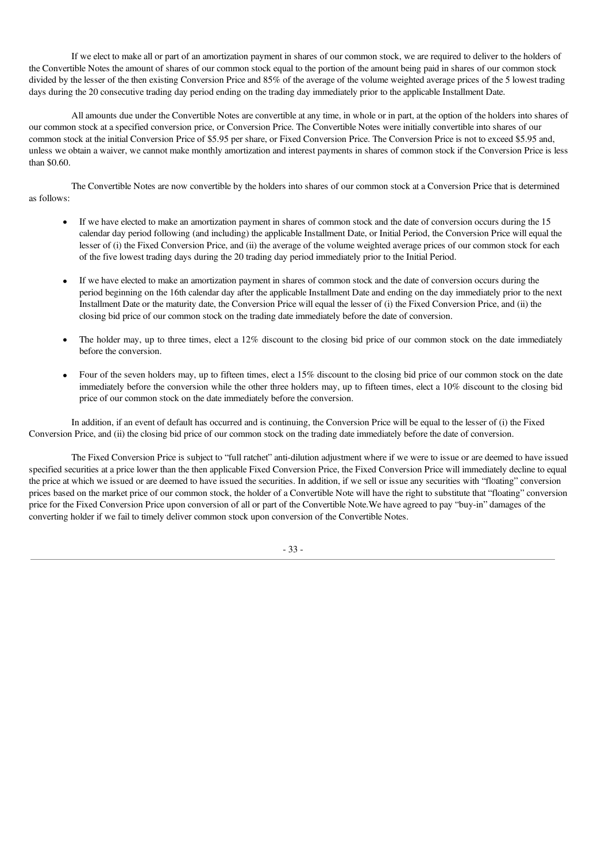If we elect to make all or part of an amortization payment in shares of our common stock, we are required to deliver to the holders of the Convertible Notes the amount of shares of our common stock equal to the portion of the amount being paid in shares of our common stock divided by the lesser of the then existing Conversion Price and 85% of the average of the volume weighted average prices of the 5 lowest trading days during the 20 consecutive trading day period ending on the trading day immediately prior to the applicable Installment Date.

All amounts due under the Convertible Notes are convertible at any time, in whole or in part, at the option of the holders into shares of our common stock at a specified conversion price, or Conversion Price. The Convertible Notes were initially convertible into shares of our common stock at the initial Conversion Price of \$5.95 per share, or Fixed Conversion Price. The Conversion Price is not to exceed \$5.95 and, unless we obtain a waiver, we cannot make monthly amortization and interest payments in shares of common stock if the Conversion Price is less than \$0.60.

The Convertible Notes are now convertible by the holders into shares of our common stock at a Conversion Price that is determined as follows:

- · If we have elected to make an amortization payment in shares of common stock and the date of conversion occurs during the 15 calendar day period following (and including) the applicable Installment Date, or Initial Period, the Conversion Price will equal the lesser of (i) the Fixed Conversion Price, and (ii) the average of the volume weighted average prices of our common stock for each of the five lowest trading days during the 20 trading day period immediately prior to the Initial Period.
- · If we have elected to make an amortization payment in shares of common stock and the date of conversion occurs during the period beginning on the 16th calendar day after the applicable Installment Date and ending on the day immediately prior to the next Installment Date or the maturity date, the Conversion Price will equal the lesser of (i) the Fixed Conversion Price, and (ii) the closing bid price of our common stock on the trading date immediately before the date of conversion.
- The holder may, up to three times, elect a 12% discount to the closing bid price of our common stock on the date immediately before the conversion.
- Four of the seven holders may, up to fifteen times, elect a 15% discount to the closing bid price of our common stock on the date immediately before the conversion while the other three holders may, up to fifteen times, elect a 10% discount to the closing bid price of our common stock on the date immediately before the conversion.

In addition, if an event of default has occurred and is continuing, the Conversion Price will be equal to the lesser of (i) the Fixed Conversion Price, and (ii) the closing bid price of our common stock on the trading date immediately before the date of conversion.

The Fixed Conversion Price is subject to "full ratchet" anti-dilution adjustment where if we were to issue or are deemed to have issued specified securities at a price lower than the then applicable Fixed Conversion Price, the Fixed Conversion Price will immediately decline to equal the price at which we issued or are deemed to have issued the securities. In addition, if we sell or issue any securities with "floating" conversion prices based on the market price of our common stock, the holder of a Convertible Note will have the right to substitute that "floating" conversion price for the Fixed Conversion Price upon conversion of all or part of the Convertible Note.We have agreed to pay "buy-in" damages of the converting holder if we fail to timely deliver common stock upon conversion of the Convertible Notes.

- 33 -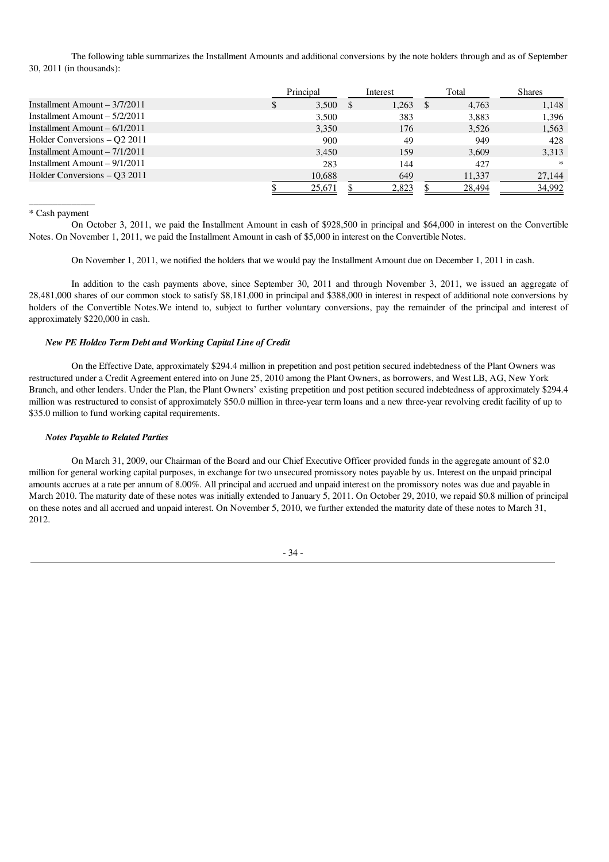The following table summarizes the Installment Amounts and additional conversions by the note holders through and as of September 30, 2011 (in thousands):

|                                |   | Principal | Interest | Total  | <b>Shares</b> |
|--------------------------------|---|-----------|----------|--------|---------------|
| Installment Amount $-3/7/2011$ | S | 3.500     | 1,263    | 4.763  | 1,148         |
| Installment Amount $-5/2/2011$ |   | 3,500     | 383      | 3,883  | 1,396         |
| Installment Amount $-6/1/2011$ |   | 3.350     | 176      | 3.526  | 1,563         |
| Holder Conversions – O2 2011   |   | 900       | 49       | 949    | 428           |
| Installment Amount $-7/1/2011$ |   | 3.450     | 159      | 3.609  | 3,313         |
| Installment Amount $-9/1/2011$ |   | 283       | 144      | 427    | $\ast$        |
| Holder Conversions – O3 2011   |   | 10,688    | 649      | 11,337 | 27,144        |
|                                |   | 25,671    | 2,823    | 28,494 | 34,992        |

 $\overline{\phantom{a}}$  , we can also the contract of  $\overline{\phantom{a}}$ \* Cash payment

On October 3, 2011, we paid the Installment Amount in cash of \$928,500 in principal and \$64,000 in interest on the Convertible Notes. On November 1, 2011, we paid the Installment Amount in cash of \$5,000 in interest on the Convertible Notes.

On November 1, 2011, we notified the holders that we would pay the Installment Amount due on December 1, 2011 in cash.

In addition to the cash payments above, since September 30, 2011 and through November 3, 2011, we issued an aggregate of 28,481,000 shares of our common stock to satisfy \$8,181,000 in principal and \$388,000 in interest in respect of additional note conversions by holders of the Convertible Notes.We intend to, subject to further voluntary conversions, pay the remainder of the principal and interest of approximately \$220,000 in cash.

### *New PE Holdco Term Debt and Working Capital Line of Credit*

On the Effective Date, approximately \$294.4 million in prepetition and post petition secured indebtedness of the Plant Owners was restructured under a Credit Agreement entered into on June 25, 2010 among the Plant Owners, as borrowers, and West LB, AG, New York Branch, and other lenders. Under the Plan, the Plant Owners' existing prepetition and post petition secured indebtedness of approximately \$294.4 million was restructured to consist of approximately \$50.0 million in three-year term loans and a new three-year revolving credit facility of up to \$35.0 million to fund working capital requirements.

#### *Notes Payable to Related Parties*

On March 31, 2009, our Chairman of the Board and our Chief Executive Officer provided funds in the aggregate amount of \$2.0 million for general working capital purposes, in exchange for two unsecured promissory notes payable by us. Interest on the unpaid principal amounts accrues at a rate per annum of 8.00%. All principal and accrued and unpaid interest on the promissory notes was due and payable in March 2010. The maturity date of these notes was initially extended to January 5, 2011. On October 29, 2010, we repaid \$0.8 million of principal on these notes and all accrued and unpaid interest. On November 5, 2010, we further extended the maturity date of these notes to March 31, 2012.

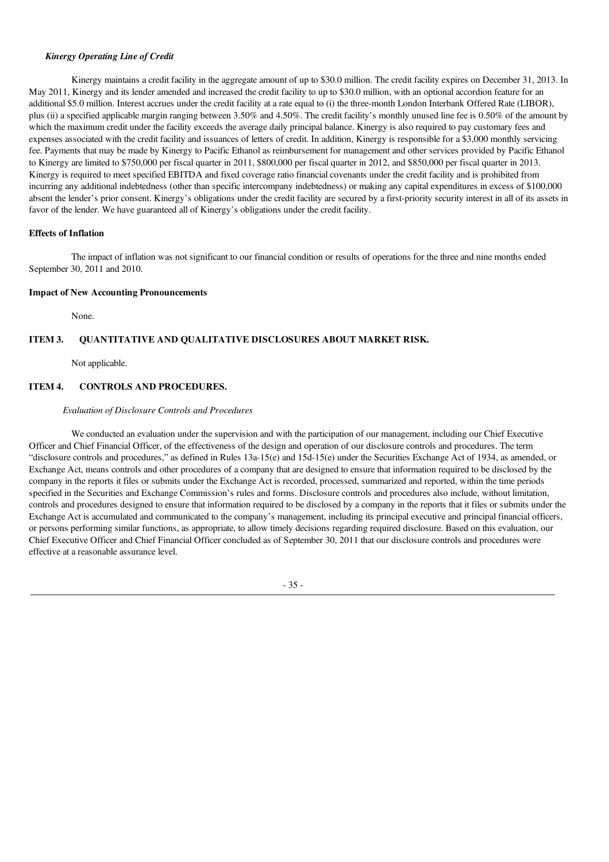### *Kinergy Operating Line of Credit*

Kinergy maintains a credit facility in the aggregate amount of up to \$30.0 million. The credit facility expires on December 31, 2013. In May 2011, Kinergy and its lender amended and increased the credit facility to up to \$30.0 million, with an optional accordion feature for an additional \$5.0 million. Interest accrues under the credit facility at a rate equal to (i) the three-month London Interbank Offered Rate (LIBOR), plus (ii) a specified applicable margin ranging between 3.50% and 4.50%. The credit facility's monthly unused line fee is 0.50% of the amount by which the maximum credit under the facility exceeds the average daily principal balance. Kinergy is also required to pay customary fees and expenses associated with the credit facility and issuances of letters of credit. In addition, Kinergy is responsible for a \$3,000 monthly servicing fee. Payments that may be made by Kinergy to Pacific Ethanol as reimbursement for management and other services provided by Pacific Ethanol to Kinergy are limited to \$750,000 per fiscal quarter in 2011, \$800,000 per fiscal quarter in 2012, and \$850,000 per fiscal quarter in 2013. Kinergy is required to meet specified EBITDA and fixed coverage ratio financial covenants under the credit facility and is prohibited from incurring any additional indebtedness (other than specific intercompany indebtedness) or making any capital expenditures in excess of \$100,000 absent the lender's prior consent. Kinergy's obligations under the credit facility are secured by a first-priority security interest in all of its assets in favor of the lender. We have guaranteed all of Kinergy's obligations under the credit facility.

# Effects of Inflation

The impact of inflation was not significant to our financial condition or results of operations for the three and nine months ended September 30, 2011 and 2010.

### Impact of New Accounting Pronouncements

None.

### ITEM 3. QUANTITATIVE AND QUALITATIVE DISCLOSURES ABOUT MARKET RISK.

Not applicable.

# ITEM 4. CONTROLS AND PROCEDURES.

### *Evaluation of Disclosure Controls and Procedures*

We conducted an evaluation under the supervision and with the participation of our management, including our Chief Executive Officer and Chief Financial Officer, of the effectiveness of the design and operation of our disclosure controls and procedures. The term "disclosure controls and procedures," as defined in Rules 13a-15(e) and 15d-15(e) under the Securities Exchange Act of 1934, as amended, or Exchange Act, means controls and other procedures of a company that are designed to ensure that information required to be disclosed by the company in the reports it files or submits under the Exchange Act is recorded, processed, summarized and reported, within the time periods specified in the Securities and Exchange Commission's rules and forms. Disclosure controls and procedures also include, without limitation, controls and procedures designed to ensure that information required to be disclosed by a company in the reports that it files or submits under the Exchange Act is accumulated and communicated to the company's management, including its principal executive and principal financial officers, or persons performing similar functions, as appropriate, to allow timely decisions regarding required disclosure. Based on this evaluation, our Chief Executive Officer and Chief Financial Officer concluded as of September 30, 2011 that our disclosure controls and procedures were effective at a reasonable assurance level.

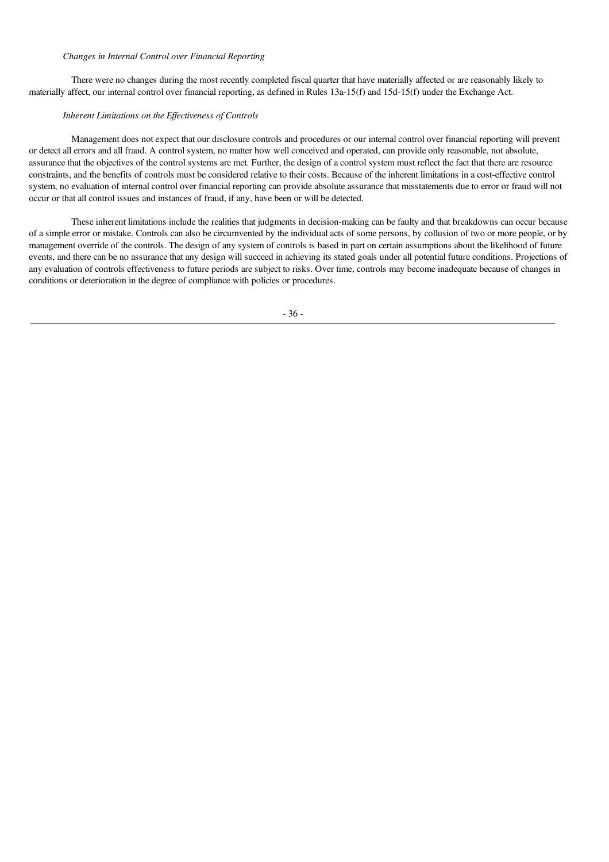#### *Changes in Internal Control over Financial Reporting*

There were no changes during the most recently completed fiscal quarter that have materially affected or are reasonably likely to materially affect, our internal control over financial reporting, as defined in Rules 13a-15(f) and 15d-15(f) under the Exchange Act.

### *Inherent Limitations on the Ef ectiveness of Controls*

Management does not expect that our disclosure controls and procedures or our internal control over financial reporting will prevent or detect all errors and all fraud. A control system, no matter how well conceived and operated, can provide only reasonable, not absolute, assurance that the objectives of the control systems are met. Further, the design of a control system must reflect the fact that there are resource constraints, and the benefits of controls must be considered relative to their costs. Because of the inherent limitations in a cost-effective control system, no evaluation of internal control over financial reporting can provide absolute assurance that misstatements due to error or fraud will not occur or that all control issues and instances of fraud, if any, have been or will be detected.

These inherent limitations include the realities that judgments in decision-making can be faulty and that breakdowns can occur because of a simple error or mistake. Controls can also be circumvented by the individual acts of some persons, by collusion of two or more people, or by management override of the controls. The design of any system of controls is based in part on certain assumptions about the likelihood of future events, and there can be no assurance that any design will succeed in achieving its stated goals under all potential future conditions. Projections of any evaluation of controls effectiveness to future periods are subject to risks. Over time, controls may become inadequate because of changes in conditions or deterioration in the degree of compliance with policies or procedures.

- 36 -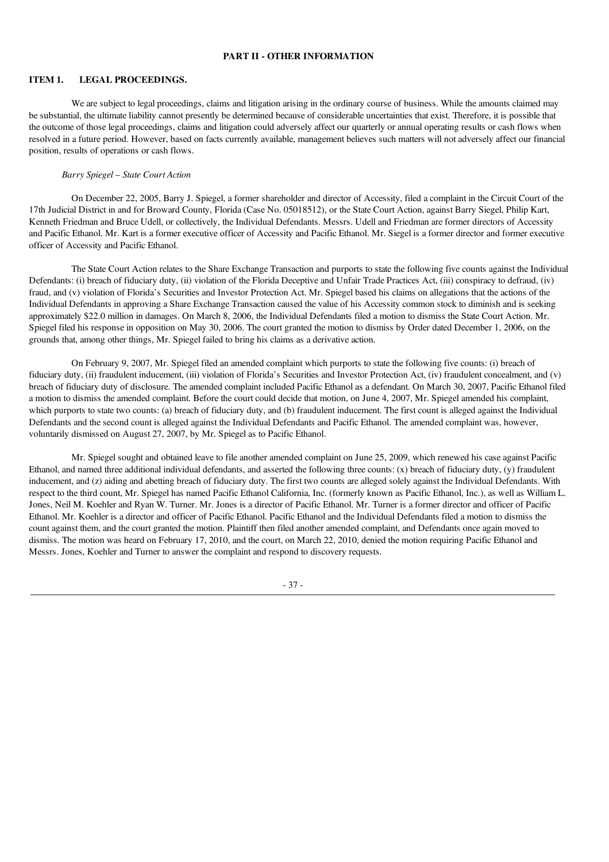### PART II - OTHER INFORMATION

#### ITEM 1. LEGAL PROCEEDINGS.

We are subject to legal proceedings, claims and litigation arising in the ordinary course of business. While the amounts claimed may be substantial, the ultimate liability cannot presently be determined because of considerable uncertainties that exist. Therefore, it is possible that the outcome of those legal proceedings, claims and litigation could adversely affect our quarterly or annual operating results or cash flows when resolved in a future period. However, based on facts currently available, management believes such matters will not adversely affect our financial position, results of operations or cash flows.

#### *Barry Spiegel – State Court Action*

On December 22, 2005, Barry J. Spiegel, a former shareholder and director of Accessity, filed a complaint in the Circuit Court of the 17th Judicial District in and for Broward County, Florida (Case No. 05018512), or the State Court Action, against Barry Siegel, Philip Kart, Kenneth Friedman and Bruce Udell, or collectively, the Individual Defendants. Messrs. Udell and Friedman are former directors of Accessity and Pacific Ethanol. Mr. Kart is a former executive officer of Accessity and Pacific Ethanol. Mr. Siegel is a former director and former executive officer of Accessity and Pacific Ethanol.

The State Court Action relates to the Share Exchange Transaction and purports to state the following five counts against the Individual Defendants: (i) breach of fiduciary duty, (ii) violation of the Florida Deceptive and Unfair Trade Practices Act, (iii) conspiracy to defraud, (iv) fraud, and (v) violation of Florida's Securities and Investor Protection Act. Mr. Spiegel based his claims on allegations that the actions of the Individual Defendants in approving a Share Exchange Transaction caused the value of his Accessity common stock to diminish and is seeking approximately \$22.0 million in damages. On March 8, 2006, the Individual Defendants filed a motion to dismiss the State Court Action. Mr. Spiegel filed his response in opposition on May 30, 2006. The court granted the motion to dismiss by Order dated December 1, 2006, on the grounds that, among other things, Mr. Spiegel failed to bring his claims as a derivative action.

On February 9, 2007, Mr. Spiegel filed an amended complaint which purports to state the following five counts: (i) breach of fiduciary duty, (ii) fraudulent inducement, (iii) violation of Florida's Securities and Investor Protection Act, (iv) fraudulent concealment, and (v) breach of fiduciary duty of disclosure. The amended complaint included Pacific Ethanol as a defendant. On March 30, 2007, Pacific Ethanol filed a motion to dismiss the amended complaint. Before the court could decide that motion, on June 4, 2007, Mr. Spiegel amended his complaint, which purports to state two counts: (a) breach of fiduciary duty, and (b) fraudulent inducement. The first count is alleged against the Individual Defendants and the second count is alleged against the Individual Defendants and Pacific Ethanol. The amended complaint was, however, voluntarily dismissed on August 27, 2007, by Mr. Spiegel as to Pacific Ethanol.

Mr. Spiegel sought and obtained leave to file another amended complaint on June 25, 2009, which renewed his case against Pacific Ethanol, and named three additional individual defendants, and asserted the following three counts:  $(x)$  breach of fiduciary duty,  $(y)$  fraudulent inducement, and (z) aiding and abetting breach of fiduciary duty. The first two counts are alleged solely against the Individual Defendants. With respect to the third count, Mr. Spiegel has named Pacific Ethanol California, Inc. (formerly known as Pacific Ethanol, Inc.), as well as William L. Jones, Neil M. Koehler and Ryan W. Turner. Mr. Jones is a director of Pacific Ethanol. Mr. Turner is a former director and officer of Pacific Ethanol. Mr. Koehler is a director and officer of Pacific Ethanol. Pacific Ethanol and the Individual Defendants filed a motion to dismiss the count against them, and the court granted the motion. Plaintiff then filed another amended complaint, and Defendants once again moved to dismiss. The motion was heard on February 17, 2010, and the court, on March 22, 2010, denied the motion requiring Pacific Ethanol and Messrs. Jones, Koehler and Turner to answer the complaint and respond to discovery requests.

- 37 -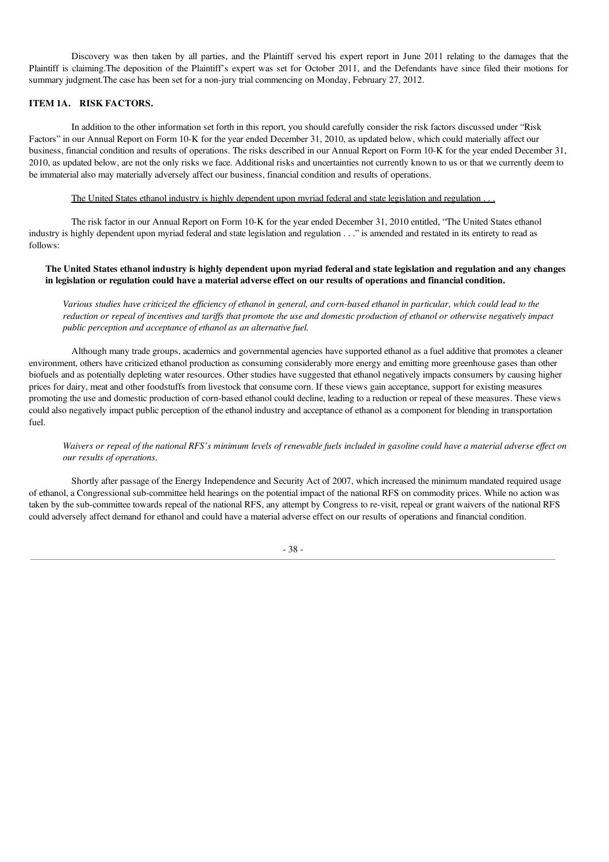Discovery was then taken by all parties, and the Plaintiff served his expert report in June 2011 relating to the damages that the Plaintiff is claiming.The deposition of the Plaintiff's expert was set for October 2011, and the Defendants have since filed their motions for summary judgment.The case has been set for a non-jury trial commencing on Monday, February 27, 2012.

## ITEM 1A. RISK FACTORS.

In addition to the other information set forth in this report, you should carefully consider the risk factors discussed under "Risk Factors" in our Annual Report on Form 10-K for the year ended December 31, 2010, as updated below, which could materially affect our business, financial condition and results of operations. The risks described in our Annual Report on Form 10-K for the year ended December 31, 2010, as updated below, are not the only risks we face. Additional risks and uncertainties not currently known to us or that we currently deem to be immaterial also may materially adversely affect our business, financial condition and results of operations.

### The United States ethanol industry is highly dependent upon myriad federal and state legislation and regulation . . .

The risk factor in our Annual Report on Form 10-K for the year ended December 31, 2010 entitled, "The United States ethanol industry is highly dependent upon myriad federal and state legislation and regulation . . ." is amended and restated in its entirety to read as follows:

## The United States ethanol industry is highly dependent upon myriad federal and state legislation and regulation and any changes in legislation or regulation could have a material adverse effect on our results of operations and financial condition.

Various studies have criticized the efficiency of ethanol in general, and corn-based ethanol in particular, which could lead to the reduction or repeal of incentives and tariffs that promote the use and domestic production of ethanol or otherwise negatively impact *public perception and acceptance of ethanol as an alternative fuel.*

Although many trade groups, academics and governmental agencies have supported ethanol as a fuel additive that promotes a cleaner environment, others have criticized ethanol production as consuming considerably more energy and emitting more greenhouse gases than other biofuels and as potentially depleting water resources. Other studies have suggested that ethanol negatively impacts consumers by causing higher prices for dairy, meat and other foodstuffs from livestock that consume corn. If these views gain acceptance, support for existing measures promoting the use and domestic production of corn-based ethanol could decline, leading to a reduction or repeal of these measures. These views could also negatively impact public perception of the ethanol industry and acceptance of ethanol as a component for blending in transportation fuel.

## Waivers or repeal of the national RFS's minimum levels of renewable fuels included in gasoline could have a material adverse effect on *our results of operations.*

Shortly after passage of the Energy Independence and Security Act of 2007, which increased the minimum mandated required usage of ethanol, a Congressional sub-committee held hearings on the potential impact of the national RFS on commodity prices. While no action was taken by the sub-committee towards repeal of the national RFS, any attempt by Congress to re-visit, repeal or grant waivers of the national RFS could adversely affect demand for ethanol and could have a material adverse effect on our results of operations and financial condition.

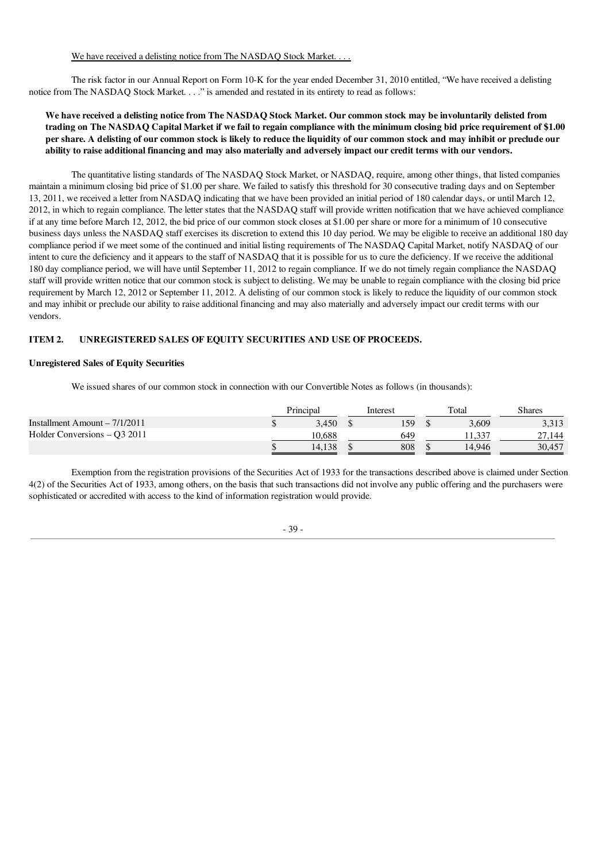#### We have received a delisting notice from The NASDAQ Stock Market. . . .

The risk factor in our Annual Report on Form 10-K for the year ended December 31, 2010 entitled, "We have received a delisting notice from The NASDAQ Stock Market. . . ." is amended and restated in its entirety to read as follows:

### We have received a delisting notice from The NASDAQ Stock Market. Our common stock may be involuntarily delisted from trading on The NASDAQ Capital Market if we fail to regain compliance with the minimum closing bid price requirement of \$1.00 per share. A delisting of our common stock is likely to reduce the liquidity of our common stock and may inhibit or preclude our ability to raise additional financing and may also materially and adversely impact our credit terms with our vendors.

The quantitative listing standards of The NASDAQ Stock Market, or NASDAQ, require, among other things, that listed companies maintain a minimum closing bid price of \$1.00 per share. We failed to satisfy this threshold for 30 consecutive trading days and on September 13, 2011, we received a letter from NASDAQ indicating that we have been provided an initial period of 180 calendar days, or until March 12, 2012, in which to regain compliance. The letter states that the NASDAQ staff will provide written notification that we have achieved compliance if at any time before March 12, 2012, the bid price of our common stock closes at \$1.00 per share or more for a minimum of 10 consecutive business days unless the NASDAQ staff exercises its discretion to extend this 10 day period. We may be eligible to receive an additional 180 day compliance period if we meet some of the continued and initial listing requirements of The NASDAQ Capital Market, notify NASDAQ of our intent to cure the deficiency and it appears to the staff of NASDAQ that it is possible for us to cure the deficiency. If we receive the additional 180 day compliance period, we will have until September 11, 2012 to regain compliance. If we do not timely regain compliance the NASDAQ staff will provide written notice that our common stock is subject to delisting. We may be unable to regain compliance with the closing bid price requirement by March 12, 2012 or September 11, 2012. A delisting of our common stock is likely to reduce the liquidity of our common stock and may inhibit or preclude our ability to raise additional financing and may also materially and adversely impact our credit terms with our vendors.

### ITEM 2. UNREGISTERED SALES OF EQUITY SECURITIES AND USE OF PROCEEDS.

#### Unregistered Sales of Equity Securities

We issued shares of our common stock in connection with our Convertible Notes as follows (in thousands):

|                                | Principal |        | Interest |     | Total |        | shares |  |
|--------------------------------|-----------|--------|----------|-----|-------|--------|--------|--|
| Installment Amount $-7/1/2011$ |           | 3.450  |          | 159 |       | 3.609  | 3,313  |  |
| Holder Conversions $-$ 03 2011 |           | 10.688 |          | 649 |       |        | 27.144 |  |
|                                |           | 14.138 |          | 808 |       | 14.946 | 30,457 |  |

Exemption from the registration provisions of the Securities Act of 1933 for the transactions described above is claimed under Section 4(2) of the Securities Act of 1933, among others, on the basis that such transactions did not involve any public offering and the purchasers were sophisticated or accredited with access to the kind of information registration would provide.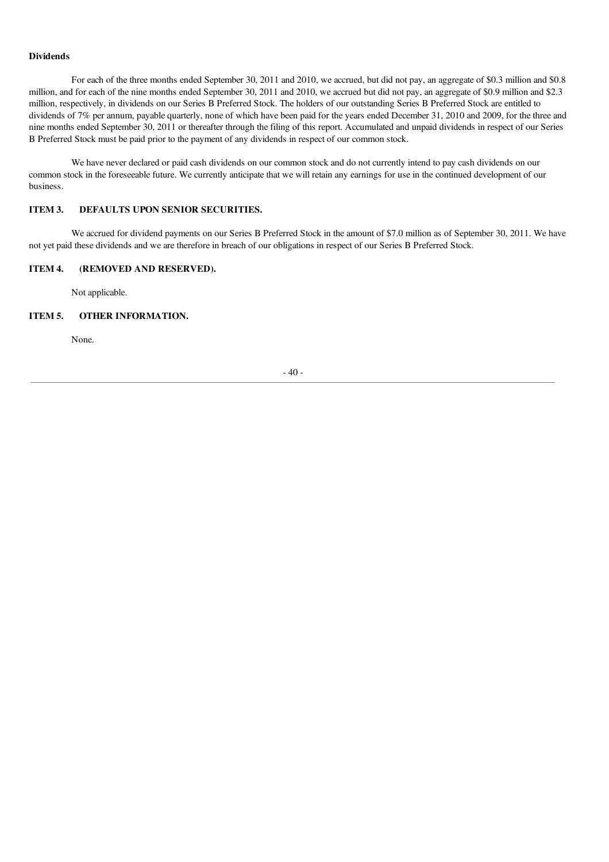### Dividends

For each of the three months ended September 30, 2011 and 2010, we accrued, but did not pay, an aggregate of \$0.3 million and \$0.8 million, and for each of the nine months ended September 30, 2011 and 2010, we accrued but did not pay, an aggregate of \$0.9 million and \$2.3 million, respectively, in dividends on our Series B Preferred Stock. The holders of our outstanding Series B Preferred Stock are entitled to dividends of 7% per annum, payable quarterly, none of which have been paid for the years ended December 31, 2010 and 2009, for the three and nine months ended September 30, 2011 or thereafter through the filing of this report. Accumulated and unpaid dividends in respect of our Series B Preferred Stock must be paid prior to the payment of any dividends in respect of our common stock.

We have never declared or paid cash dividends on our common stock and do not currently intend to pay cash dividends on our common stock in the foreseeable future. We currently anticipate that we will retain any earnings for use in the continued development of our business.

# ITEM 3. DEFAULTS UPON SENIOR SECURITIES.

We accrued for dividend payments on our Series B Preferred Stock in the amount of \$7.0 million as of September 30, 2011. We have not yet paid these dividends and we are therefore in breach of our obligations in respect of our Series B Preferred Stock.

# ITEM 4. (REMOVED AND RESERVED).

Not applicable.

## ITEM 5. OTHER INFORMATION.

None.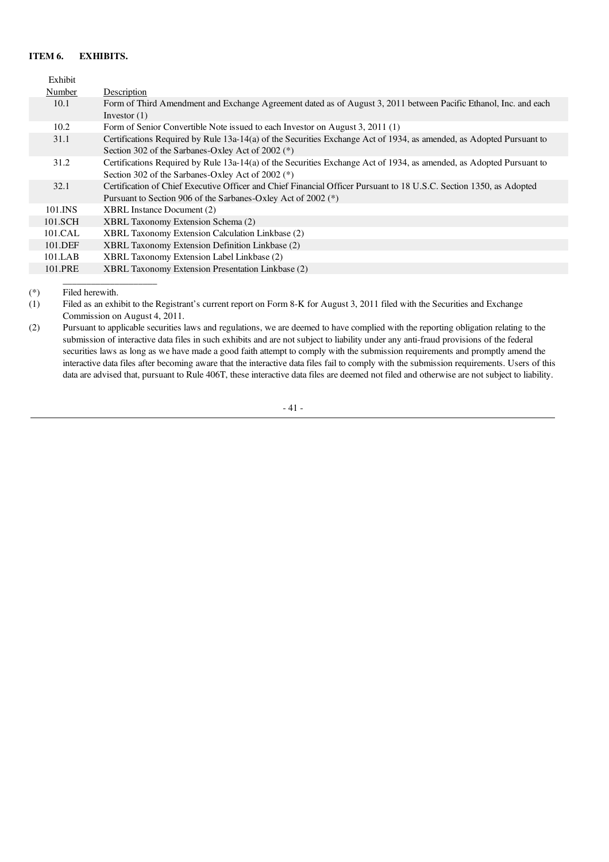# ITEM 6. EXHIBITS.

| Exhibit |                                                                                                                      |
|---------|----------------------------------------------------------------------------------------------------------------------|
| Number  | Description                                                                                                          |
| 10.1    | Form of Third Amendment and Exchange Agreement dated as of August 3, 2011 between Pacific Ethanol, Inc. and each     |
|         | Investor $(1)$                                                                                                       |
| 10.2    | Form of Senior Convertible Note issued to each Investor on August 3, 2011 (1)                                        |
| 31.1    | Certifications Required by Rule 13a-14(a) of the Securities Exchange Act of 1934, as amended, as Adopted Pursuant to |
|         | Section 302 of the Sarbanes-Oxley Act of 2002 (*)                                                                    |
| 31.2    | Certifications Required by Rule 13a-14(a) of the Securities Exchange Act of 1934, as amended, as Adopted Pursuant to |
|         | Section 302 of the Sarbanes-Oxley Act of 2002 (*)                                                                    |
| 32.1    | Certification of Chief Executive Officer and Chief Financial Officer Pursuant to 18 U.S.C. Section 1350, as Adopted  |
|         | Pursuant to Section 906 of the Sarbanes-Oxley Act of 2002 (*)                                                        |
| 101.INS | XBRL Instance Document (2)                                                                                           |
| 101.SCH | <b>XBRL Taxonomy Extension Schema (2)</b>                                                                            |
| 101.CAL | XBRL Taxonomy Extension Calculation Linkbase (2)                                                                     |
| 101.DEF | XBRL Taxonomy Extension Definition Linkbase (2)                                                                      |
| 101.LAB | XBRL Taxonomy Extension Label Linkbase (2)                                                                           |
| 101.PRE | XBRL Taxonomy Extension Presentation Linkbase (2)                                                                    |
|         |                                                                                                                      |

(\*) Filed herewith.

(1) Filed as an exhibit to the Registrant's current report on Form 8-K for August 3, 2011 filed with the Securities and Exchange Commission on August 4, 2011.

(2) Pursuant to applicable securities laws and regulations, we are deemed to have complied with the reporting obligation relating to the submission of interactive data files in such exhibits and are not subject to liability under any anti-fraud provisions of the federal securities laws as long as we have made a good faith attempt to comply with the submission requirements and promptly amend the interactive data files after becoming aware that the interactive data files fail to comply with the submission requirements. Users of this data are advised that, pursuant to Rule 406T, these interactive data files are deemed not filed and otherwise are not subject to liability.

- 41 -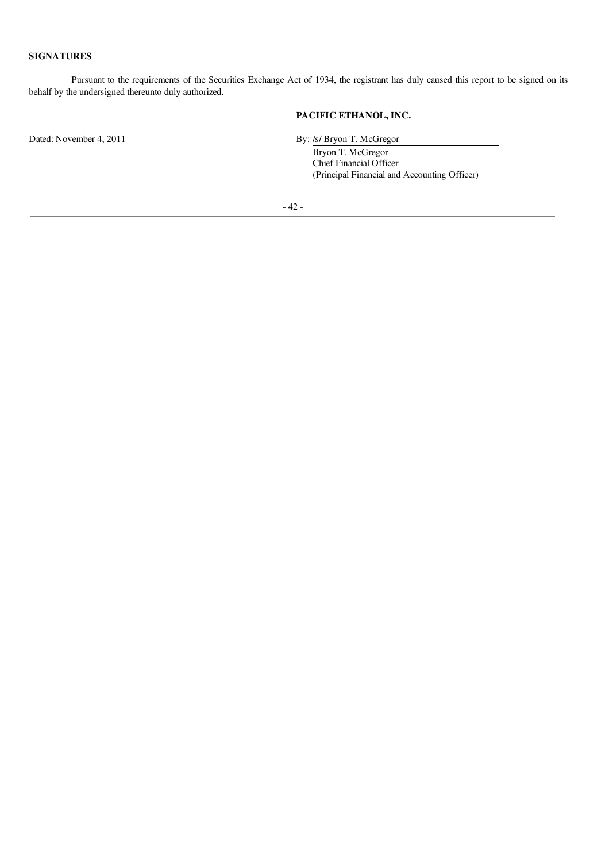# SIGNATURES

Pursuant to the requirements of the Securities Exchange Act of 1934, the registrant has duly caused this report to be signed on its behalf by the undersigned thereunto duly authorized.

# PACIFIC ETHANOL, INC.

Dated: November 4, 2011 By: /s/ Bryon T. McGregor

Bryon T. McGregor Chief Financial Officer (Principal Financial and Accounting Officer)

- 42 -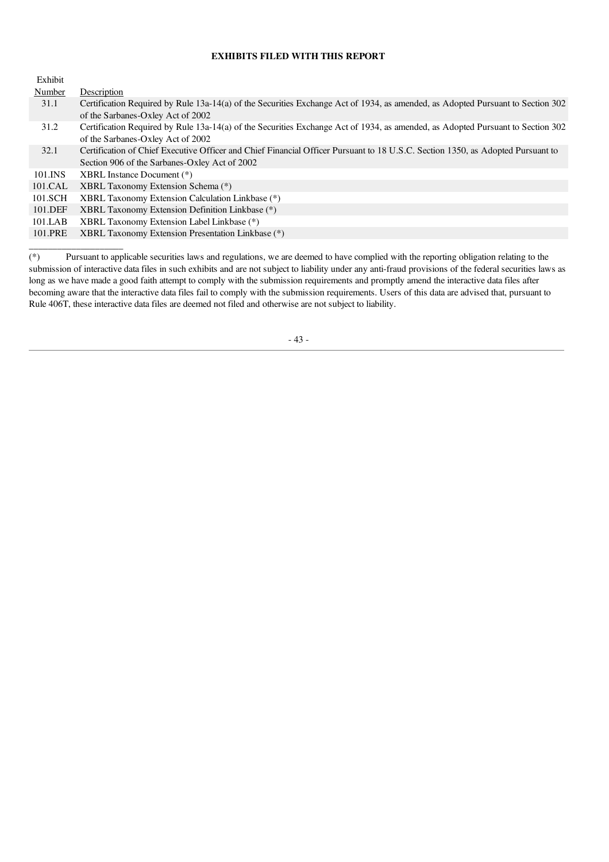# EXHIBITS FILED WITH THIS REPORT

| Exhibit |                                                                                                                                 |
|---------|---------------------------------------------------------------------------------------------------------------------------------|
| Number  | Description                                                                                                                     |
| 31.1    | Certification Required by Rule 13a-14(a) of the Securities Exchange Act of 1934, as amended, as Adopted Pursuant to Section 302 |
|         | of the Sarbanes-Oxley Act of 2002                                                                                               |
| 31.2    | Certification Required by Rule 13a-14(a) of the Securities Exchange Act of 1934, as amended, as Adopted Pursuant to Section 302 |
|         | of the Sarbanes-Oxley Act of 2002                                                                                               |
| 32.1    | Certification of Chief Executive Officer and Chief Financial Officer Pursuant to 18 U.S.C. Section 1350, as Adopted Pursuant to |
|         | Section 906 of the Sarbanes-Oxley Act of 2002                                                                                   |
| 101.INS | XBRL Instance Document (*)                                                                                                      |
| 101.CAL | XBRL Taxonomy Extension Schema (*)                                                                                              |
| 101.SCH | XBRL Taxonomy Extension Calculation Linkbase (*)                                                                                |
| 101.DEF | XBRL Taxonomy Extension Definition Linkbase (*)                                                                                 |
| 101.LAB | XBRL Taxonomy Extension Label Linkbase (*)                                                                                      |
| 101.PRE | XBRL Taxonomy Extension Presentation Linkbase (*)                                                                               |
|         |                                                                                                                                 |

(\*) Pursuant to applicable securities laws and regulations, we are deemed to have complied with the reporting obligation relating to the submission of interactive data files in such exhibits and are not subject to liability under any anti-fraud provisions of the federal securities laws as long as we have made a good faith attempt to comply with the submission requirements and promptly amend the interactive data files after becoming aware that the interactive data files fail to comply with the submission requirements. Users of this data are advised that, pursuant to Rule 406T, these interactive data files are deemed not filed and otherwise are not subject to liability.

- 43 -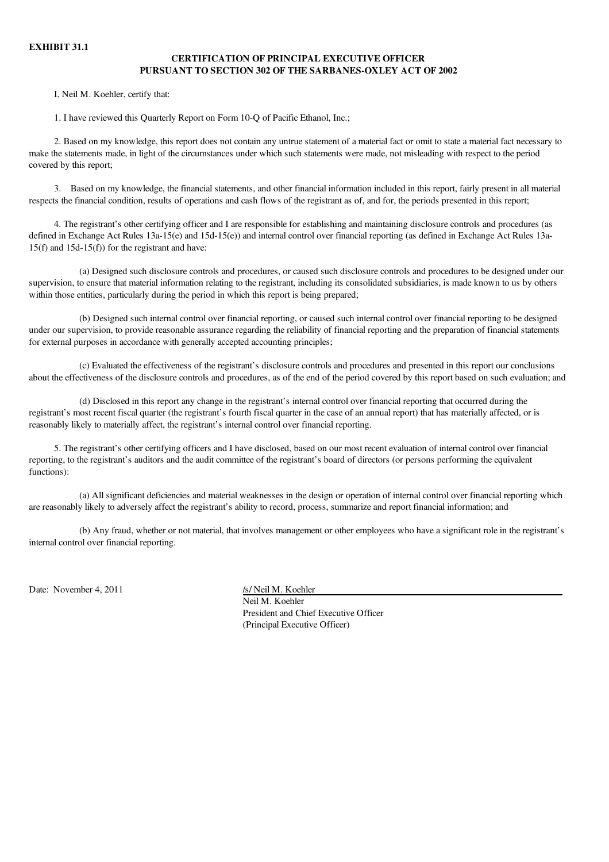### EXHIBIT 31.1

# CERTIFICATION OF PRINCIPAL EXECUTIVE OFFICER PURSUANT TO SECTION 302 OF THE SARBANES-OXLEY ACT OF 2002

I, Neil M. Koehler, certify that:

1. I have reviewed this Quarterly Report on Form 10-Q of Pacific Ethanol, Inc.;

2. Based on my knowledge, this report does not contain any untrue statement of a material fact or omit to state a material fact necessary to make the statements made, in light of the circumstances under which such statements were made, not misleading with respect to the period covered by this report;

3. Based on my knowledge, the financial statements, and other financial information included in this report, fairly present in all material respects the financial condition, results of operations and cash flows of the registrant as of, and for, the periods presented in this report;

4. The registrant's other certifying officer and I are responsible for establishing and maintaining disclosure controls and procedures (as defined in Exchange Act Rules 13a-15(e) and 15d-15(e)) and internal control over financial reporting (as defined in Exchange Act Rules 13a-15(f) and 15d-15(f)) for the registrant and have:

(a) Designed such disclosure controls and procedures, or caused such disclosure controls and procedures to be designed under our supervision, to ensure that material information relating to the registrant, including its consolidated subsidiaries, is made known to us by others within those entities, particularly during the period in which this report is being prepared;

(b) Designed such internal control over financial reporting, or caused such internal control over financial reporting to be designed under our supervision, to provide reasonable assurance regarding the reliability of financial reporting and the preparation of financial statements for external purposes in accordance with generally accepted accounting principles;

(c) Evaluated the effectiveness of the registrant's disclosure controls and procedures and presented in this report our conclusions about the effectiveness of the disclosure controls and procedures, as of the end of the period covered by this report based on such evaluation; and

(d) Disclosed in this report any change in the registrant's internal control over financial reporting that occurred during the registrant's most recent fiscal quarter (the registrant's fourth fiscal quarter in the case of an annual report) that has materially affected, or is reasonably likely to materially affect, the registrant's internal control over financial reporting.

5. The registrant's other certifying officers and I have disclosed, based on our most recent evaluation of internal control over financial reporting, to the registrant's auditors and the audit committee of the registrant's board of directors (or persons performing the equivalent functions):

(a) All significant deficiencies and material weaknesses in the design or operation of internal control over financial reporting which are reasonably likely to adversely affect the registrant's ability to record, process, summarize and report financial information; and

(b) Any fraud, whether or not material, that involves management or other employees who have a significant role in the registrant's internal control over financial reporting.

Date: November 4, 2011 /s/ Neil M. Koehler

Neil M. Koehler President and Chief Executive Officer (Principal Executive Officer)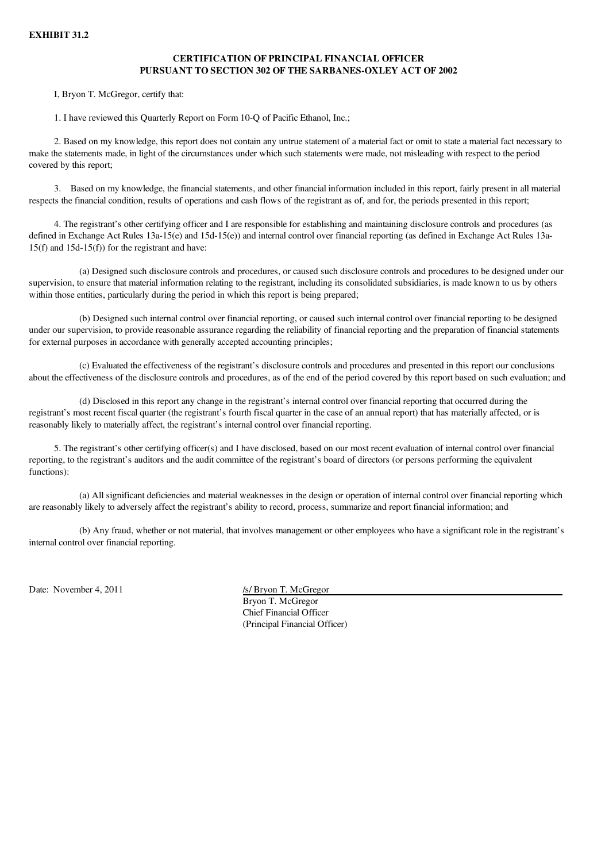# CERTIFICATION OF PRINCIPAL FINANCIAL OFFICER PURSUANT TO SECTION 302 OF THE SARBANES-OXLEY ACT OF 2002

I, Bryon T. McGregor, certify that:

1. I have reviewed this Quarterly Report on Form 10-Q of Pacific Ethanol, Inc.;

2. Based on my knowledge, this report does not contain any untrue statement of a material fact or omit to state a material fact necessary to make the statements made, in light of the circumstances under which such statements were made, not misleading with respect to the period covered by this report;

3. Based on my knowledge, the financial statements, and other financial information included in this report, fairly present in all material respects the financial condition, results of operations and cash flows of the registrant as of, and for, the periods presented in this report;

4. The registrant's other certifying officer and I are responsible for establishing and maintaining disclosure controls and procedures (as defined in Exchange Act Rules 13a-15(e) and 15d-15(e)) and internal control over financial reporting (as defined in Exchange Act Rules 13a-15(f) and 15d-15(f)) for the registrant and have:

(a) Designed such disclosure controls and procedures, or caused such disclosure controls and procedures to be designed under our supervision, to ensure that material information relating to the registrant, including its consolidated subsidiaries, is made known to us by others within those entities, particularly during the period in which this report is being prepared;

(b) Designed such internal control over financial reporting, or caused such internal control over financial reporting to be designed under our supervision, to provide reasonable assurance regarding the reliability of financial reporting and the preparation of financial statements for external purposes in accordance with generally accepted accounting principles;

(c) Evaluated the effectiveness of the registrant's disclosure controls and procedures and presented in this report our conclusions about the effectiveness of the disclosure controls and procedures, as of the end of the period covered by this report based on such evaluation; and

(d) Disclosed in this report any change in the registrant's internal control over financial reporting that occurred during the registrant's most recent fiscal quarter (the registrant's fourth fiscal quarter in the case of an annual report) that has materially affected, or is reasonably likely to materially affect, the registrant's internal control over financial reporting.

5. The registrant's other certifying officer(s) and I have disclosed, based on our most recent evaluation of internal control over financial reporting, to the registrant's auditors and the audit committee of the registrant's board of directors (or persons performing the equivalent functions):

(a) All significant deficiencies and material weaknesses in the design or operation of internal control over financial reporting which are reasonably likely to adversely affect the registrant's ability to record, process, summarize and report financial information; and

(b) Any fraud, whether or not material, that involves management or other employees who have a significant role in the registrant's internal control over financial reporting.

Date: November 4, 2011 /s/ Bryon T. McGregor Bryon T. McGregor Chief Financial Officer (Principal Financial Officer)